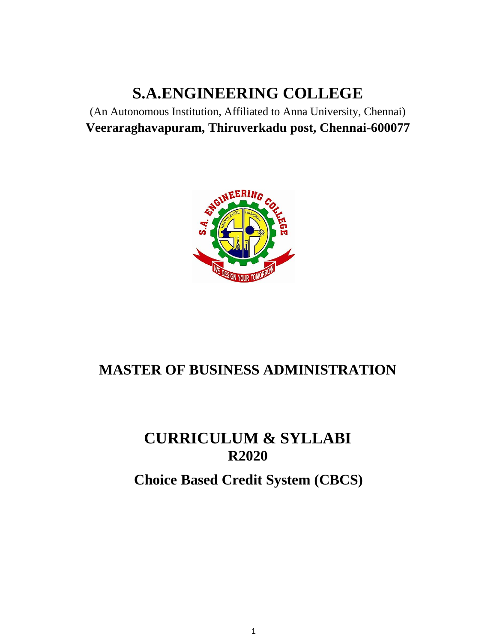# **S.A.ENGINEERING COLLEGE**

(An Autonomous Institution, Affiliated to Anna University, Chennai) **Veeraraghavapuram, Thiruverkadu post, Chennai-600077**



# **MASTER OF BUSINESS ADMINISTRATION**

# **CURRICULUM & SYLLABI R2020**

# **Choice Based Credit System (CBCS)**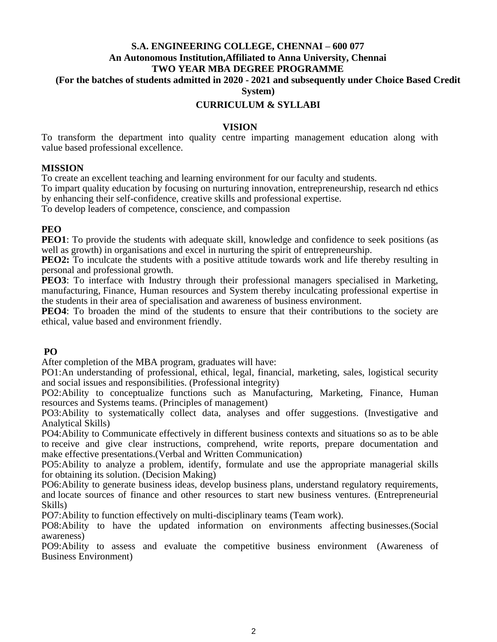#### **S.A. ENGINEERING COLLEGE, CHENNAI – 600 077 An Autonomous Institution,Affiliated to Anna University, Chennai TWO YEAR MBA DEGREE PROGRAMME (For the batches of students admitted in 2020 - 2021 and subsequently under Choice Based Credit**

**System)**

#### **CURRICULUM & SYLLABI**

#### **VISION**

To transform the department into quality centre imparting management education along with value based professional excellence.

#### **MISSION**

To create an excellent teaching and learning environment for our faculty and students.

To impart quality education by focusing on nurturing innovation, entrepreneurship, research nd ethics by enhancing their self-confidence, creative skills and professional expertise.

To develop leaders of competence, conscience, and compassion

#### **PEO**

**PEO1**: To provide the students with adequate skill, knowledge and confidence to seek positions (as well as growth) in organisations and excel in nurturing the spirit of entrepreneurship.

**PEO2:** To inculcate the students with a positive attitude towards work and life thereby resulting in personal and professional growth.

**PEO3**: To interface with Industry through their professional managers specialised in Marketing, manufacturing, Finance, Human resources and System thereby inculcating professional expertise in the students in their area of specialisation and awareness of business environment.

**PEO4**: To broaden the mind of the students to ensure that their contributions to the society are ethical, value based and environment friendly.

#### **PO**

After completion of the MBA program, graduates will have:

PO1:An understanding of professional, ethical, legal, financial, marketing, sales, logistical security and social issues and responsibilities. (Professional integrity)

PO2:Ability to conceptualize functions such as Manufacturing, Marketing, Finance, Human resources and Systems teams. (Principles of management)

PO3:Ability to systematically collect data, analyses and offer suggestions. (Investigative and Analytical Skills)

PO4:Ability to Communicate effectively in different business contexts and situations so as to be able to receive and give clear instructions, comprehend, write reports, prepare documentation and make effective presentations.(Verbal and Written Communication)

PO5:Ability to analyze a problem, identify, formulate and use the appropriate managerial skills for obtaining its solution. (Decision Making)

PO6:Ability to generate business ideas, develop business plans, understand regulatory requirements, and locate sources of finance and other resources to start new business ventures. (Entrepreneurial Skills)

PO7:Ability to function effectively on multi-disciplinary teams (Team work).

PO8:Ability to have the updated information on environments affecting businesses.(Social awareness)

PO9:Ability to assess and evaluate the competitive business environment (Awareness of Business Environment)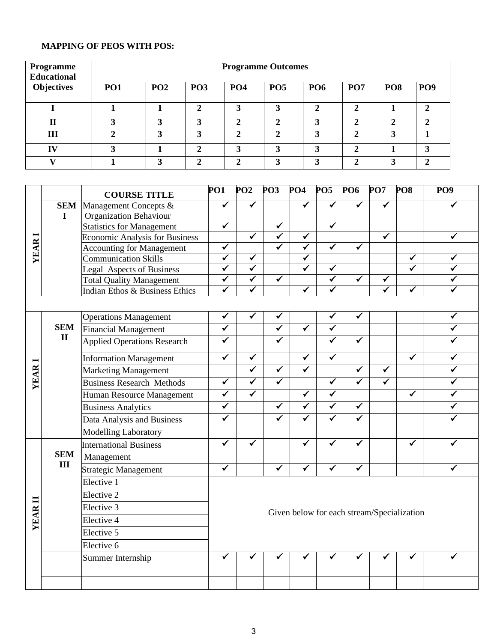# **MAPPING OF PEOS WITH POS:**

| Programme<br><b>Educational</b> | <b>Programme Outcomes</b> |     |            |            |            |            |                             |                 |                 |  |
|---------------------------------|---------------------------|-----|------------|------------|------------|------------|-----------------------------|-----------------|-----------------|--|
| <b>Objectives</b>               | <b>PO1</b>                | PO2 | <b>PO3</b> | <b>PO4</b> | <b>PO5</b> | <b>PO6</b> | PO <sub>7</sub>             | PO <sub>8</sub> | PO <sub>9</sub> |  |
|                                 |                           |     | າ          | 3          | 3          | ◠          | $\mathcal{D}_{\mathcal{L}}$ |                 | ↑               |  |
| $\mathbf{I}$                    |                           |     | 3          | ◠          | ◠          | 3          | <sub>2</sub>                | 2               | ↑               |  |
| Ш                               |                           | 3   | 3          | ◠          | ◠          | 3          | $\mathcal{D}_{\cdot}$       | 3               |                 |  |
| IV                              |                           |     | ↑          | ∍          | 3          | 2          | $\mathcal{D}$               |                 | 3               |  |
|                                 |                           |     | ◠          |            | 3          |            | ◠                           | 3               |                 |  |

|                |              | <b>COURSE TITLE</b>                                               | PO <sub>1</sub>         | PO2                     | PO <sub>3</sub>         | PO <sub>4</sub>         | PO <sub>5</sub>         | PO <sub>6</sub>      | PO7                  | PO <sub>8</sub>                            | PO <sub>9</sub>         |
|----------------|--------------|-------------------------------------------------------------------|-------------------------|-------------------------|-------------------------|-------------------------|-------------------------|----------------------|----------------------|--------------------------------------------|-------------------------|
|                |              | <b>SEM</b> Management Concepts &                                  | $\overline{\checkmark}$ | $\overline{\checkmark}$ |                         |                         |                         |                      |                      |                                            |                         |
|                | $\mathbf I$  | <b>Organization Behaviour</b>                                     |                         |                         |                         |                         |                         |                      |                      |                                            |                         |
|                |              | <b>Statistics for Management</b>                                  | $\checkmark$            |                         | $\checkmark$            |                         | $\checkmark$            |                      |                      |                                            |                         |
|                |              | <b>Economic Analysis for Business</b>                             |                         | ✔                       | $\blacktriangledown$    | $\overline{\checkmark}$ |                         |                      | ✔                    |                                            | ✓                       |
| YEAR           |              | <b>Accounting for Management</b>                                  | $\checkmark$            |                         | $\blacktriangledown$    | ✓                       | $\overline{\checkmark}$ | ✓                    |                      |                                            |                         |
|                |              | <b>Communication Skills</b>                                       | ✓                       | ✓                       |                         |                         |                         |                      |                      | ✓<br>✓                                     | ✓                       |
|                |              | <b>Legal Aspects of Business</b>                                  | ✓<br>✓                  | ✓<br>✓                  | $\checkmark$            | ✔                       | ✓<br>✓                  | ✓                    |                      |                                            | ✓<br>✓                  |
|                |              | <b>Total Quality Management</b><br>Indian Ethos & Business Ethics | ✔                       |                         |                         | $\overline{\checkmark}$ | ✓                       |                      | ✔                    | ✓                                          | ✓                       |
|                |              |                                                                   |                         |                         |                         |                         |                         |                      |                      |                                            |                         |
|                |              |                                                                   | ✔                       |                         |                         |                         | ✔                       |                      |                      |                                            | $\checkmark$            |
|                | <b>SEM</b>   | <b>Operations Management</b>                                      |                         |                         | $\overline{\checkmark}$ | $\overline{\checkmark}$ | $\checkmark$            |                      |                      |                                            | $\checkmark$            |
|                | $\mathbf{I}$ | Financial Management                                              |                         |                         | $\overline{\checkmark}$ |                         |                         |                      |                      |                                            |                         |
|                |              | <b>Applied Operations Research</b>                                | $\overline{\checkmark}$ |                         |                         |                         | $\overline{\checkmark}$ | ✓                    |                      |                                            | ✓                       |
|                |              | <b>Information Management</b>                                     | $\overline{\checkmark}$ | ✔                       |                         | $\overline{\checkmark}$ | $\overline{\checkmark}$ |                      |                      | $\overline{\checkmark}$                    | ✓                       |
|                |              | <b>Marketing Management</b>                                       |                         | $\overline{\checkmark}$ | $\overline{\checkmark}$ | $\overline{\checkmark}$ |                         | $\blacktriangledown$ | $\blacktriangledown$ |                                            | $\overline{\checkmark}$ |
| <b>YEAR</b>    |              | <b>Business Research Methods</b>                                  | $\overline{\checkmark}$ | $\overline{\checkmark}$ | $\overline{\checkmark}$ |                         | $\overline{\checkmark}$ | ✓                    | ✓                    |                                            | $\checkmark$            |
|                |              | Human Resource Management                                         | $\overline{\checkmark}$ | $\overline{\checkmark}$ |                         | $\overline{\checkmark}$ | $\overline{\checkmark}$ |                      |                      | $\blacktriangledown$                       | $\blacktriangledown$    |
|                |              | <b>Business Analytics</b>                                         | ✓                       |                         | $\overline{\checkmark}$ | $\overline{\checkmark}$ | $\overline{\checkmark}$ | $\blacktriangledown$ |                      |                                            | ✓                       |
|                |              | Data Analysis and Business                                        | $\blacktriangledown$    |                         | $\overline{\checkmark}$ | $\overline{\checkmark}$ | $\overline{\checkmark}$ | ✓                    |                      |                                            |                         |
|                |              | <b>Modelling Laboratory</b>                                       |                         |                         |                         |                         |                         |                      |                      |                                            |                         |
|                |              | <b>International Business</b>                                     | ✓                       | ✓                       |                         | ✓                       | $\overline{\checkmark}$ |                      |                      | $\tilde{\checkmark}$                       |                         |
|                | <b>SEM</b>   | Management                                                        |                         |                         |                         |                         |                         |                      |                      |                                            |                         |
|                | III          | Strategic Management                                              | ✔                       |                         | ✓                       | ✔                       | ✓                       | ✓                    |                      |                                            | ✔                       |
|                |              | Elective 1                                                        |                         |                         |                         |                         |                         |                      |                      |                                            |                         |
|                |              | Elective 2                                                        |                         |                         |                         |                         |                         |                      |                      |                                            |                         |
| $\blacksquare$ |              | Elective 3                                                        |                         |                         |                         |                         |                         |                      |                      |                                            |                         |
| YEAR           |              | Elective 4                                                        |                         |                         |                         |                         |                         |                      |                      | Given below for each stream/Specialization |                         |
|                |              | Elective 5                                                        |                         |                         |                         |                         |                         |                      |                      |                                            |                         |
|                |              | Elective 6                                                        |                         |                         |                         |                         |                         |                      |                      |                                            |                         |
|                |              | Summer Internship                                                 |                         |                         |                         |                         |                         |                      |                      |                                            |                         |
|                |              |                                                                   |                         |                         |                         |                         |                         |                      |                      |                                            |                         |
|                |              |                                                                   |                         |                         |                         |                         |                         |                      |                      |                                            |                         |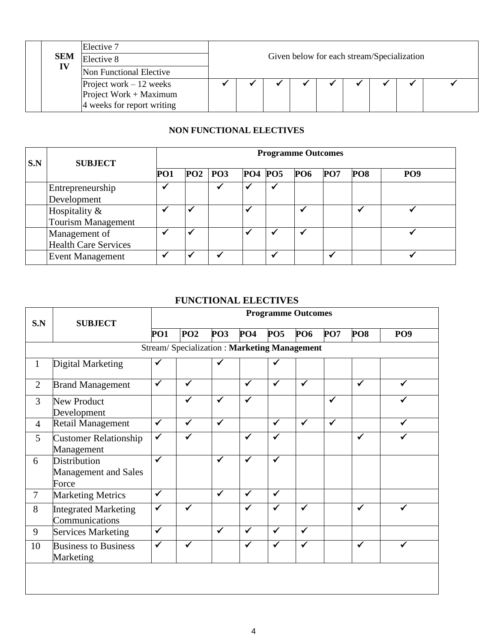| <b>SEM</b> | Elective 7<br>Elective 8                                                         |  |  |  | Given below for each stream/Specialization |  |  |  |  |  |
|------------|----------------------------------------------------------------------------------|--|--|--|--------------------------------------------|--|--|--|--|--|
| IV         | Non Functional Elective                                                          |  |  |  |                                            |  |  |  |  |  |
|            | Project work $-12$ weeks<br>Project Work + Maximum<br>4 weeks for report writing |  |  |  |                                            |  |  |  |  |  |

# **NON FUNCTIONAL ELECTIVES**

| S.N | <b>SUBJECT</b>              |     | <b>Programme Outcomes</b> |                 |                 |  |  |  |  |  |  |
|-----|-----------------------------|-----|---------------------------|-----------------|-----------------|--|--|--|--|--|--|
|     |                             | PO1 | $PO2$   $PO3$             | PO <sub>8</sub> | PO <sub>9</sub> |  |  |  |  |  |  |
|     | Entrepreneurship            |     |                           |                 |                 |  |  |  |  |  |  |
|     | Development                 |     |                           |                 |                 |  |  |  |  |  |  |
|     | Hospitality &               |     |                           |                 |                 |  |  |  |  |  |  |
|     | <b>Tourism Management</b>   |     |                           |                 |                 |  |  |  |  |  |  |
|     | Management of               |     |                           |                 |                 |  |  |  |  |  |  |
|     | <b>Health Care Services</b> |     |                           |                 |                 |  |  |  |  |  |  |
|     | <b>Event Management</b>     |     |                           |                 |                 |  |  |  |  |  |  |

# **FUNCTIONAL ELECTIVES**

|                |                                                             | <b>Programme Outcomes</b> |                                                    |                 |              |              |              |              |                 |                 |  |
|----------------|-------------------------------------------------------------|---------------------------|----------------------------------------------------|-----------------|--------------|--------------|--------------|--------------|-----------------|-----------------|--|
| S.N            | <b>SUBJECT</b>                                              | PO1                       | <b>PO2</b>                                         | PO <sub>3</sub> | PO4          | PO5          | <b>PO6</b>   | <b>PO7</b>   | PO <sub>8</sub> | PO <sub>9</sub> |  |
|                |                                                             |                           | <b>Stream/Specialization: Marketing Management</b> |                 |              |              |              |              |                 |                 |  |
| 1              | Digital Marketing                                           | $\checkmark$              |                                                    | $\checkmark$    |              | $\checkmark$ |              |              |                 |                 |  |
| $\overline{2}$ | <b>Brand Management</b>                                     | $\checkmark$              | ✓                                                  |                 | $\checkmark$ | $\checkmark$ | $\checkmark$ |              | $\checkmark$    |                 |  |
| 3              | <b>New Product</b><br>Development                           |                           | ✓                                                  | $\checkmark$    | $\checkmark$ |              |              | $\checkmark$ |                 |                 |  |
| $\overline{4}$ | Retail Management                                           | $\checkmark$              | $\checkmark$                                       | $\checkmark$    |              | $\checkmark$ | $\checkmark$ | $\checkmark$ |                 |                 |  |
| 5              | <b>Customer Relationship</b><br>Management                  | $\checkmark$              | ✓                                                  |                 | $\checkmark$ | $\checkmark$ |              |              | $\checkmark$    |                 |  |
| 6              | <b>Distribution</b><br><b>Management and Sales</b><br>Force | $\checkmark$              |                                                    | $\checkmark$    | ✔            | ✓            |              |              |                 |                 |  |
| $\overline{7}$ | <b>Marketing Metrics</b>                                    | $\checkmark$              |                                                    | $\checkmark$    | $\checkmark$ | $\checkmark$ |              |              |                 |                 |  |
| 8              | <b>Integrated Marketing</b><br>Communications               | $\checkmark$              | ✓                                                  |                 | $\checkmark$ | $\checkmark$ | $\checkmark$ |              | $\checkmark$    |                 |  |
| 9              | <b>Services Marketing</b>                                   | $\checkmark$              |                                                    | $\checkmark$    | $\checkmark$ | $\checkmark$ | $\checkmark$ |              |                 |                 |  |
| 10             | <b>Business to Business</b><br>Marketing                    | $\checkmark$              | ✔                                                  |                 | $\checkmark$ | ✓            | ✔            |              | √               |                 |  |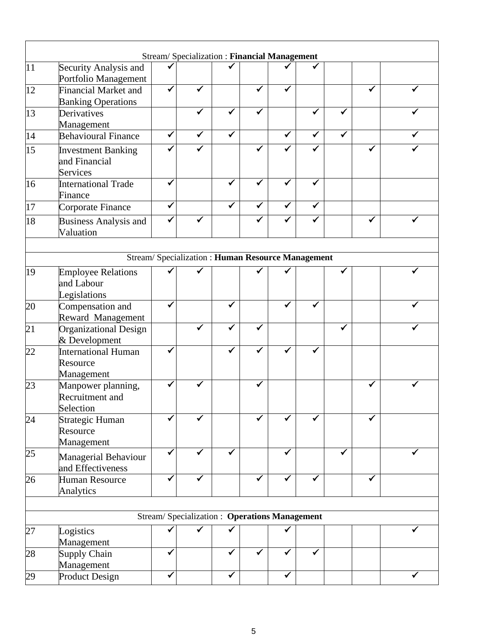|    |                                                          | Stream/ Specialization: Financial Management     |              |   |   |   |   |              |   |   |
|----|----------------------------------------------------------|--------------------------------------------------|--------------|---|---|---|---|--------------|---|---|
| 11 | Security Analysis and<br>Portfolio Management            |                                                  |              |   |   |   |   |              |   |   |
| 12 | <b>Financial Market and</b><br><b>Banking Operations</b> | ✓                                                | ✓            |   |   |   |   |              |   |   |
| 13 | Derivatives<br>Management                                |                                                  | ✓            |   |   |   |   |              |   |   |
| 14 | <b>Behavioural Finance</b>                               | $\checkmark$                                     | $\checkmark$ | ✓ |   | ✔ | ✓ | $\checkmark$ |   |   |
| 15 | <b>Investment Banking</b><br>and Financial<br>Services   |                                                  | ✓            |   |   |   |   |              |   |   |
| 16 | International Trade<br>Finance                           | ✔                                                |              |   | ✔ | ✓ | ✔ |              |   |   |
| 17 | Corporate Finance                                        | ✓                                                |              |   | ✔ |   | ✔ |              |   |   |
| 18 | <b>Business Analysis and</b><br>Valuation                | ✔                                                | ✓            |   |   | ✔ |   |              | ✔ |   |
|    |                                                          | Stream/Specialization: Human Resource Management |              |   |   |   |   |              |   |   |
| 19 | <b>Employee Relations</b><br>and Labour<br>Legislations  |                                                  |              |   |   |   |   |              |   |   |
| 20 | Compensation and<br>Reward Management                    | ✓                                                |              |   |   |   |   |              |   |   |
| 21 | Organizational Design<br>& Development                   |                                                  |              |   |   |   |   |              |   |   |
| 22 | International Human<br>Resource<br>Management            |                                                  |              |   |   |   |   |              |   |   |
| 23 | Manpower planning,<br>Recruitment and<br>Selection       |                                                  |              |   |   |   |   |              |   |   |
| 24 | Strategic Human<br>Resource<br>Management                |                                                  |              |   |   |   |   |              |   |   |
| 25 | Managerial Behaviour<br>and Effectiveness                | ✔                                                | ✔            |   |   |   |   |              |   |   |
| 26 | Human Resource<br>Analytics                              | ✓                                                | ✓            |   | ✓ | ✓ |   |              |   |   |
|    |                                                          | Stream/Specialization: Operations Management     |              |   |   |   |   |              |   |   |
| 27 | Logistics                                                |                                                  |              |   |   |   |   |              |   |   |
| 28 | Management<br>Supply Chain                               | ✓                                                |              | ✔ |   | ✓ | ✔ |              |   |   |
|    | Management                                               | ✔                                                |              | ✓ |   | ✓ |   |              |   | ✓ |
| 29 | <b>Product Design</b>                                    |                                                  |              |   |   |   |   |              |   |   |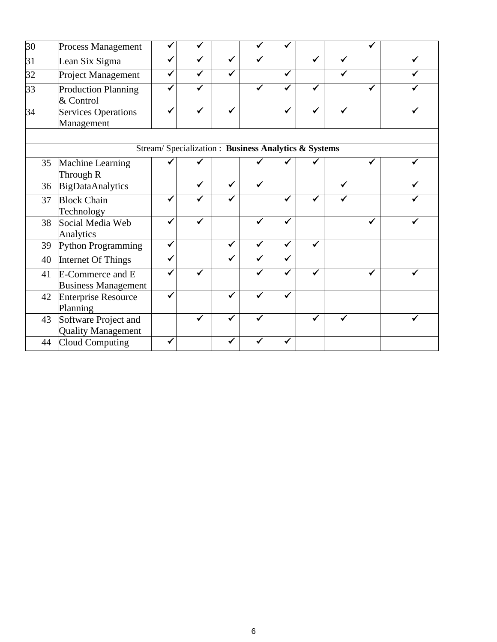| $\overline{30}$ | Process Management                                |   |                                                     |              |   |   |   |   |  |
|-----------------|---------------------------------------------------|---|-----------------------------------------------------|--------------|---|---|---|---|--|
| 31              | Lean Six Sigma                                    | ✔ | ✓                                                   | $\checkmark$ |   | ✔ | ✔ |   |  |
| 32              | Project Management                                |   | ✓                                                   |              |   |   |   |   |  |
| 33              | Production Planning<br>& Control                  |   | ✓                                                   |              |   |   |   |   |  |
| 34              | Services Operations<br>Management                 |   | ✔                                                   |              |   |   | ✔ |   |  |
|                 |                                                   |   | Stream/Specialization: Business Analytics & Systems |              |   |   |   |   |  |
| 35              | Machine Learning<br>Through R                     |   |                                                     |              |   |   |   |   |  |
| 36              | BigDataAnalytics                                  |   | $\checkmark$                                        | ✔            |   |   | ✓ |   |  |
| 37              | <b>Block Chain</b><br>Technology                  |   |                                                     |              |   |   |   |   |  |
| 38              | Social Media Web<br>Analytics                     |   |                                                     |              |   |   |   | ✔ |  |
| 39              | Python Programming                                | ✔ |                                                     |              |   |   |   |   |  |
| 40              | Internet Of Things                                | ✓ |                                                     | ✓            | ✓ |   |   |   |  |
| 41              | E-Commerce and E<br><b>Business Management</b>    |   |                                                     |              |   |   |   |   |  |
| 42              | <b>Enterprise Resource</b><br>Planning            |   |                                                     |              |   |   |   |   |  |
| 43              | Software Project and<br><b>Quality Management</b> |   | ✔                                                   |              |   | ✔ | ✓ |   |  |
| 44              | Cloud Computing                                   |   |                                                     |              |   |   |   |   |  |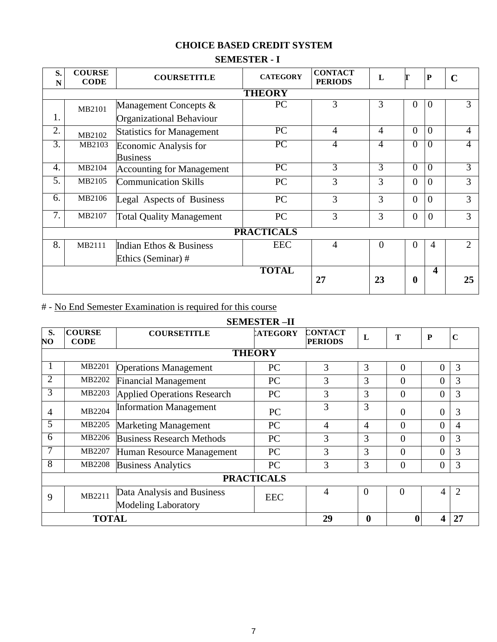# **CHOICE BASED CREDIT SYSTEM**

# **SEMESTER - I**

| S.<br>N          | <b>COURSE</b><br><b>CODE</b> | <b>COURSETITLE</b>                       | <b>CATEGORY</b>   | <b>CONTACT</b><br><b>PERIODS</b> | L        |                | ${\bf P}$               | $\mathbf C$   |  |
|------------------|------------------------------|------------------------------------------|-------------------|----------------------------------|----------|----------------|-------------------------|---------------|--|
| <b>THEORY</b>    |                              |                                          |                   |                                  |          |                |                         |               |  |
|                  | MB2101                       | Management Concepts &                    | PC                | 3                                | 3        | $\theta$       | $\overline{0}$          | 3             |  |
| 1.               |                              | <b>Organizational Behaviour</b>          |                   |                                  |          |                |                         |               |  |
| 2.               | MB2102                       | <b>Statistics for Management</b>         | PC                | $\overline{4}$                   | 4        | $\Omega$       | $\theta$                | 4             |  |
| $\overline{3}$ . | MB2103                       | Economic Analysis for<br><b>Business</b> | PC                | 4                                | 4        | $\theta$       | $\overline{0}$          | 4             |  |
| 4.               | MB2104                       | <b>Accounting for Management</b>         | $\overline{PC}$   | 3                                | 3        | $\Omega$       | $\overline{0}$          | 3             |  |
| 5.               | MB2105                       | <b>Communication Skills</b>              | PC                | $\overline{3}$                   | 3        | $\overline{0}$ | $\overline{0}$          | 3             |  |
| 6.               | MB2106                       | Legal Aspects of Business                | PC                | 3                                | 3        | $\overline{0}$ | $\theta$                | 3             |  |
| $\overline{7}$ . | MB2107                       | <b>Total Quality Management</b>          | PC                | 3                                | 3        | $\overline{0}$ | $\theta$                | 3             |  |
|                  |                              |                                          | <b>PRACTICALS</b> |                                  |          |                |                         |               |  |
| 8.               | MB2111                       | Indian Ethos & Business                  | <b>EEC</b>        | $\overline{4}$                   | $\theta$ | $\Omega$       | 4                       | $\mathcal{D}$ |  |
|                  |                              | Ethics (Seminar) #                       |                   |                                  |          |                |                         |               |  |
|                  |                              |                                          | <b>TOTAL</b>      | 27                               | 23       | $\mathbf{0}$   | $\overline{\mathbf{4}}$ | 25            |  |

# # - No End Semester Examination is required for this course

# **SEMESTER –II**

| S.<br>NO       | <b>COURSE</b><br><b>CODE</b> | <b>COURSETITLE</b>                                       | <b>LATEGORY</b>   | <b>CONTACT</b><br><b>PERIODS</b> | L                | т        | ${\bf P}$      | $\mathbf C$           |
|----------------|------------------------------|----------------------------------------------------------|-------------------|----------------------------------|------------------|----------|----------------|-----------------------|
|                |                              |                                                          | <b>THEORY</b>     |                                  |                  |          |                |                       |
|                | MB2201                       | <b>Operations Management</b>                             | PC                | 3                                | 3                | $\theta$ | $\overline{0}$ | 3                     |
| $\overline{2}$ | MB2202                       | <b>Financial Management</b>                              | PC                | 3                                | 3                | $\theta$ | $\overline{0}$ | 3                     |
| 3              | MB2203                       | <b>Applied Operations Research</b>                       | PC                | 3                                | 3                | $\theta$ | $\overline{0}$ | 3                     |
| 4              | MB2204                       | <b>Information Management</b>                            | PC                | 3                                | 3                | 0        | $\overline{0}$ | 3                     |
| 5              | MB2205                       | <b>Marketing Management</b>                              | PC                | 4                                | $\overline{4}$   | $\theta$ | $\overline{0}$ | 4                     |
| 6              | MB2206                       | <b>Business Research Methods</b>                         | <b>PC</b>         | 3                                | 3                | $\theta$ | $\overline{0}$ | 3                     |
| 7              | MB2207                       | Human Resource Management                                | PC                | 3                                | 3                | $\theta$ | $\overline{0}$ | 3                     |
| 8              | MB2208                       | <b>Business Analytics</b>                                | PC                | 3                                | 3                | $\Omega$ | $\overline{0}$ | 3                     |
|                |                              |                                                          | <b>PRACTICALS</b> |                                  |                  |          |                |                       |
| 9              | MB2211                       | Data Analysis and Business<br><b>Modeling Laboratory</b> | <b>EEC</b>        | 4                                | $\theta$         | $\theta$ | 4              | $\mathcal{D}_{\cdot}$ |
|                | <b>TOTAL</b>                 |                                                          |                   | 29                               | $\boldsymbol{0}$ | $\bf{0}$ | 4              | 27                    |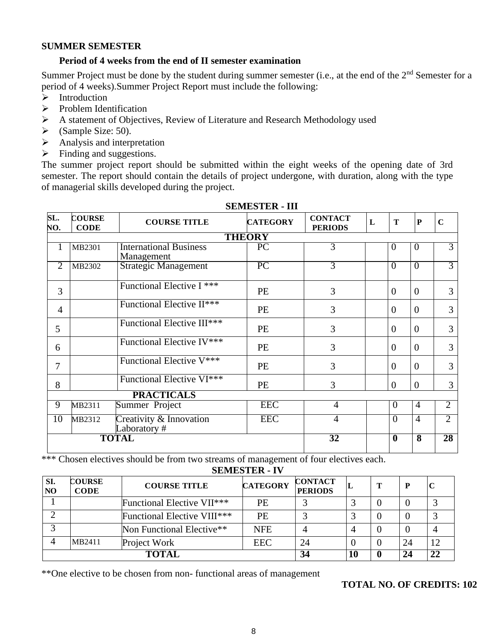#### **SUMMER SEMESTER**

#### **Period of 4 weeks from the end of II semester examination**

Summer Project must be done by the student during summer semester (i.e., at the end of the 2<sup>nd</sup> Semester for a period of 4 weeks).Summer Project Report must include the following:

- ➢ Introduction
- ➢ Problem Identification
- ➢ A statement of Objectives, Review of Literature and Research Methodology used
- $\blacktriangleright$  (Sample Size: 50).
- ➢ Analysis and interpretation
- $\triangleright$  Finding and suggestions.

The summer project report should be submitted within the eight weeks of the opening date of 3rd semester. The report should contain the details of project undergone, with duration, along with the type of managerial skills developed during the project.

| SL.<br>NO.     | <b>COURSE</b><br><b>CODE</b> | <b>COURSE TITLE</b>                         | <b>CATEGORY</b> | <b>CONTACT</b><br><b>PERIODS</b> | L | T                | $\mathbf{P}$            | $\overline{C}$  |
|----------------|------------------------------|---------------------------------------------|-----------------|----------------------------------|---|------------------|-------------------------|-----------------|
|                |                              |                                             | <b>THEORY</b>   |                                  |   |                  |                         |                 |
|                | MB2301                       | <b>International Business</b><br>Management | $\overline{PC}$ | 3                                |   | 0                | $\theta$                | 3               |
| $\overline{2}$ | MB2302                       | <b>Strategic Management</b>                 | $\overline{PC}$ | 3                                |   | $\theta$         | $\theta$                | $\overline{3}$  |
| 3              |                              | Functional Elective I ***                   | <b>PE</b>       | 3                                |   | $\Omega$         | $\Omega$                | 3               |
| $\overline{4}$ |                              | Functional Elective II***                   | <b>PE</b>       | 3                                |   | $\Omega$         | $\overline{0}$          | 3               |
| 5              |                              | Functional Elective III***                  | PE              | 3                                |   | $\overline{0}$   | $\overline{0}$          | 3               |
| 6              |                              | Functional Elective IV***                   | <b>PE</b>       | 3                                |   | $\overline{0}$   | $\overline{0}$          | 3               |
| 7              |                              | Functional Elective V***                    | PE              | 3                                |   | $\Omega$         | $\overline{0}$          | 3               |
| 8              |                              | Functional Elective VI***                   | <b>PE</b>       | 3                                |   | $\overline{0}$   | $\overline{0}$          | 3               |
|                |                              | <b>PRACTICALS</b>                           |                 |                                  |   |                  |                         |                 |
| 9              | MB2311                       | Summer Project                              | <b>EEC</b>      | $\overline{4}$                   |   | $\overline{0}$   | $\overline{4}$          | $\overline{2}$  |
| 10             | MB2312                       | Creativity & Innovation<br>Laboratory#      | <b>EEC</b>      | 4                                |   | $\overline{0}$   | $\overline{4}$          | $\overline{2}$  |
|                |                              | <b>TOTAL</b>                                |                 | $\overline{32}$                  |   | $\boldsymbol{0}$ | $\overline{\mathbf{8}}$ | $\overline{28}$ |

#### **SEMESTER - III**

\*\*\* Chosen electives should be from two streams of management of four electives each.

**SEMESTER - IV**

| SI.<br>N <sub>O</sub> | <b>COURSE</b><br><b>CODE</b> | <b>COURSE TITLE</b>                 | <b>CATEGORY</b> | <b>CONTACT</b><br><b>PERIODS</b> |  | $\mathbf P$ |    |
|-----------------------|------------------------------|-------------------------------------|-----------------|----------------------------------|--|-------------|----|
|                       |                              | <b>Functional Elective VII***</b>   | PE              |                                  |  |             |    |
|                       |                              | <b>Functional Elective VIII</b> *** | PE              |                                  |  |             |    |
|                       |                              | Non Functional Elective**           | <b>NFE</b>      |                                  |  |             |    |
|                       | MB2411                       | Project Work                        | <b>EEC</b>      | 24                               |  | 24          | 12 |
|                       |                              | TOTAI                               |                 | 34                               |  | 24          | 22 |

\*\*One elective to be chosen from non- functional areas of management

#### **TOTAL NO. OF CREDITS: 102**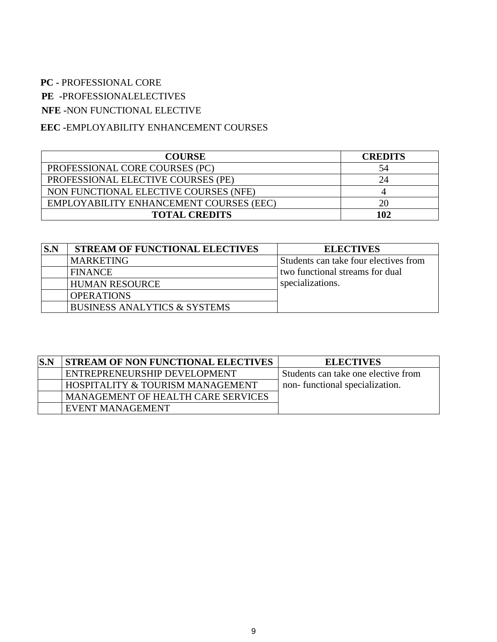## **PC -** PROFESSIONAL CORE

**PE -**PROFESSIONALELECTIVES

**NFE -**NON FUNCTIONAL ELECTIVE

# **EEC -**EMPLOYABILITY ENHANCEMENT COURSES

| <b>COURSE</b>                           | <b>CREDITS</b> |
|-----------------------------------------|----------------|
| PROFESSIONAL CORE COURSES (PC)          | 54             |
| PROFESSIONAL ELECTIVE COURSES (PE)      | 24             |
| NON FUNCTIONAL ELECTIVE COURSES (NFE)   |                |
| EMPLOYABILITY ENHANCEMENT COURSES (EEC) | 20             |
| <b>TOTAL CREDITS</b>                    | 102            |

| S.N | <b>STREAM OF FUNCTIONAL ELECTIVES</b>   | <b>ELECTIVES</b>                      |
|-----|-----------------------------------------|---------------------------------------|
|     | <b>MARKETING</b>                        | Students can take four electives from |
|     | <b>FINANCE</b>                          | two functional streams for dual       |
|     | <b>HUMAN RESOURCE</b>                   | specializations.                      |
|     | <b>OPERATIONS</b>                       |                                       |
|     | <b>BUSINESS ANALYTICS &amp; SYSTEMS</b> |                                       |

| S.N | <b>STREAM OF NON FUNCTIONAL ELECTIVES</b> | <b>ELECTIVES</b>                    |
|-----|-------------------------------------------|-------------------------------------|
|     | ENTREPRENEURSHIP DEVELOPMENT              | Students can take one elective from |
|     | HOSPITALITY & TOURISM MANAGEMENT          | non-functional specialization.      |
|     | <b>MANAGEMENT OF HEALTH CARE SERVICES</b> |                                     |
|     | EVENT MANAGEMENT                          |                                     |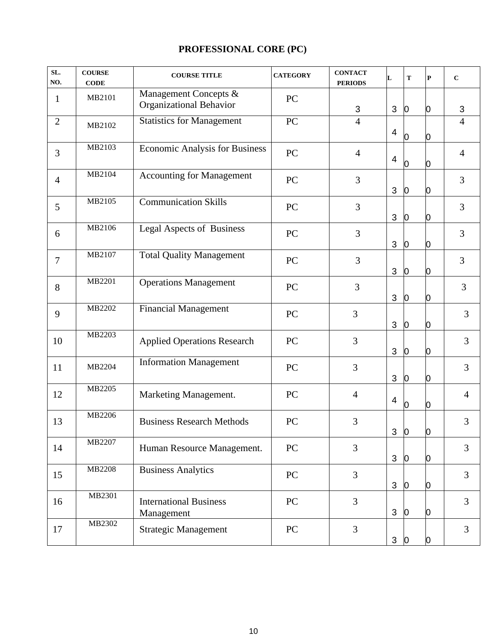# **PROFESSIONAL CORE (PC)**

| SL.<br>NO.     | <b>COURSE</b><br><b>CODE</b> | <b>COURSE TITLE</b>                              | <b>CATEGORY</b> | <b>CONTACT</b><br><b>PERIODS</b> | L              | T              | $\mathbf{P}$ | $\mathbf C$    |
|----------------|------------------------------|--------------------------------------------------|-----------------|----------------------------------|----------------|----------------|--------------|----------------|
| $\mathbf{1}$   | MB2101                       | Management Concepts &<br>Organizational Behavior | PC              | $\mathfrak{S}$                   | 3              | $\overline{0}$ | 0            | $\mathfrak{B}$ |
| $\overline{2}$ | MB2102                       | <b>Statistics for Management</b>                 | PC              | $\overline{4}$                   | 4              | 0              | 0            | $\overline{4}$ |
| 3              | MB2103                       | <b>Economic Analysis for Business</b>            | PC              | $\overline{4}$                   | 4              | $\overline{0}$ | 0            | $\overline{4}$ |
| $\overline{4}$ | MB2104                       | <b>Accounting for Management</b>                 | PC              | 3                                | 3              | $\overline{0}$ | 0            | $\overline{3}$ |
| 5              | MB2105                       | <b>Communication Skills</b>                      | PC              | 3                                | 3              | $\overline{0}$ | 0            | 3              |
| 6              | MB2106                       | Legal Aspects of Business                        | PC              | 3                                | 3              | $\overline{0}$ | 0            | 3              |
| $\overline{7}$ | MB2107                       | <b>Total Quality Management</b>                  | PC              | 3                                | 3              | $\overline{0}$ | 0            | 3              |
| 8              | MB2201                       | <b>Operations Management</b>                     | PC              | 3                                | 3              | $\overline{0}$ | 0            | $\overline{3}$ |
| 9              | MB2202                       | Financial Management                             | PC              | 3                                | 3              | $\overline{0}$ | 0            | 3              |
| 10             | MB2203                       | <b>Applied Operations Research</b>               | PC              | 3                                | 3              | $\overline{0}$ | 0            | 3              |
| 11             | MB2204                       | <b>Information Management</b>                    | PC              | 3                                | 3              | $\overline{0}$ | O.           | 3              |
| 12             | MB2205                       | Marketing Management.                            | PC              | $\overline{4}$                   | 4              | $\overline{0}$ | 0            | $\overline{4}$ |
| 13             | MB2206                       | <b>Business Research Methods</b>                 | PC              | 3                                | 3              | O              | Ю            | 3              |
| 14             | MB2207                       | Human Resource Management.                       | PC              | 3                                | 3              | $\overline{0}$ | O            | 3              |
| 15             | MB2208                       | <b>Business Analytics</b>                        | PC              | $\overline{3}$                   | 3              | $\overline{0}$ | O.           | 3              |
| 16             | MB2301                       | <b>International Business</b><br>Management      | PC              | $\overline{3}$                   | 3 <sup>1</sup> | $\overline{0}$ | 0            | 3              |
| 17             | MB2302                       | <b>Strategic Management</b>                      | PC              | $\overline{3}$                   | $\mathbf{3}$   | $\overline{0}$ | 0            | $\overline{3}$ |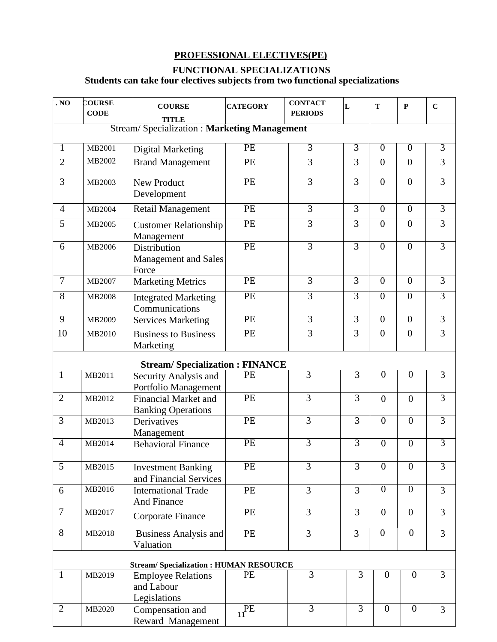# **PROFESSIONAL ELECTIVES(PE)**

# **FUNCTIONAL SPECIALIZATIONS**

# **Students can take four electives subjects from two functional specializations**

| . No            | COURSE<br><b>CODE</b>                              | <b>COURSE</b><br>TITLE                                  | <b>CATEGORY</b>      | <b>CONTACT</b><br><b>PERIODS</b> | L              | T                | $\mathbf{P}$     | $\mathbf C$    |  |  |  |
|-----------------|----------------------------------------------------|---------------------------------------------------------|----------------------|----------------------------------|----------------|------------------|------------------|----------------|--|--|--|
|                 | <b>Stream/Specialization: Marketing Management</b> |                                                         |                      |                                  |                |                  |                  |                |  |  |  |
| 1               | MB2001                                             | Digital Marketing                                       | PE                   | $\overline{3}$                   | $\overline{3}$ | $\overline{0}$   | $\overline{0}$   | $\overline{3}$ |  |  |  |
| $\overline{2}$  | MB2002                                             | <b>Brand Management</b>                                 | PE                   | 3                                | 3              | $\overline{0}$   | $\overline{0}$   | 3              |  |  |  |
| $\overline{3}$  | MB2003                                             | <b>New Product</b><br>Development                       | <b>PE</b>            | $\overline{3}$                   | $\overline{3}$ | $\overline{0}$   | $\overline{0}$   | $\overline{3}$ |  |  |  |
| $\overline{4}$  | MB2004                                             | <b>Retail Management</b>                                | PE                   | $\overline{3}$                   | $\overline{3}$ | $\overline{0}$   | $\overline{0}$   | $\overline{3}$ |  |  |  |
| 5               | MB2005                                             | <b>Customer Relationship</b><br>Management              | PE                   | $\overline{3}$                   | $\overline{3}$ | $\overline{0}$   | $\overline{0}$   | $\overline{3}$ |  |  |  |
| 6               | MB2006                                             | Distribution<br>Management and Sales<br>Force           | PE                   | $\overline{3}$                   | $\overline{3}$ | $\overline{0}$   | $\overline{0}$   | $\overline{3}$ |  |  |  |
| $\overline{7}$  | MB2007                                             | <b>Marketing Metrics</b>                                | PE                   | $\overline{3}$                   | $\overline{3}$ | $\overline{0}$   | $\overline{0}$   | $\overline{3}$ |  |  |  |
| $\overline{8}$  | <b>MB2008</b>                                      | <b>Integrated Marketing</b><br>Communications           | PE                   | $\overline{3}$                   | $\overline{3}$ | $\overline{0}$   | $\overline{0}$   | $\overline{3}$ |  |  |  |
| $\overline{9}$  | MB2009                                             | <b>Services Marketing</b>                               | PE                   | $\overline{3}$                   | $\overline{3}$ | $\overline{0}$   | $\overline{0}$   | $\overline{3}$ |  |  |  |
| $\overline{10}$ | MB2010                                             | <b>Business to Business</b><br>Marketing                | PE                   | $\overline{3}$                   | $\overline{3}$ | $\overline{0}$   | $\overline{0}$   | $\overline{3}$ |  |  |  |
|                 |                                                    | <b>Stream/Specialization: FINANCE</b>                   |                      |                                  |                |                  |                  |                |  |  |  |
| $\mathbf{1}$    | MB2011                                             | Security Analysis and<br>Portfolio Management           | PE                   | $\overline{3}$                   | 3              | $\overline{0}$   | $\overline{0}$   | $\overline{3}$ |  |  |  |
| $\overline{2}$  | MB2012                                             | Financial Market and<br><b>Banking Operations</b>       | PE                   | $\overline{3}$                   | 3              | $\overline{0}$   | $\overline{0}$   | $\overline{3}$ |  |  |  |
| $\overline{3}$  | MB2013                                             | Derivatives<br>Management                               | $\overline{PE}$      | $\overline{3}$                   | $\overline{3}$ | $\theta$         | $\theta$         | $\overline{3}$ |  |  |  |
| $\overline{4}$  | MB2014                                             | <b>Behavioral Finance</b>                               | PE                   | $\overline{3}$                   | $\overline{3}$ | $\overline{0}$   | $\overline{0}$   | $\overline{3}$ |  |  |  |
| 5               | MB2015                                             | <b>Investment Banking</b><br>and Financial Services     | PE                   | $\overline{3}$                   | $\overline{3}$ | $\overline{0}$   | $\overline{0}$   | $\overline{3}$ |  |  |  |
| 6               | MB2016                                             | <b>International Trade</b><br>And Finance               | PE                   | $\overline{3}$                   | $\overline{3}$ | $\boldsymbol{0}$ | $\boldsymbol{0}$ | 3              |  |  |  |
| $\overline{7}$  | MB2017                                             | Corporate Finance                                       | PE                   | $\overline{3}$                   | 3              | $\boldsymbol{0}$ | $\boldsymbol{0}$ | $\overline{3}$ |  |  |  |
| $\overline{8}$  | MB2018                                             | <b>Business Analysis and</b><br>Valuation               | PE                   | $\overline{3}$                   | $\overline{3}$ | $\overline{0}$   | $\overline{0}$   | 3              |  |  |  |
|                 |                                                    | <b>Stream/Specialization: HUMAN RESOURCE</b>            |                      |                                  |                |                  |                  |                |  |  |  |
| $\mathbf{1}$    | MB2019                                             | <b>Employee Relations</b><br>and Labour<br>Legislations | PE                   | 3                                | 3              | $\overline{0}$   | $\boldsymbol{0}$ | 3              |  |  |  |
| $\overline{2}$  | MB2020                                             | Compensation and<br>Reward Management                   | $\overline{P}$<br>11 | $\overline{3}$                   | $\overline{3}$ | $\overline{0}$   | $\boldsymbol{0}$ | 3              |  |  |  |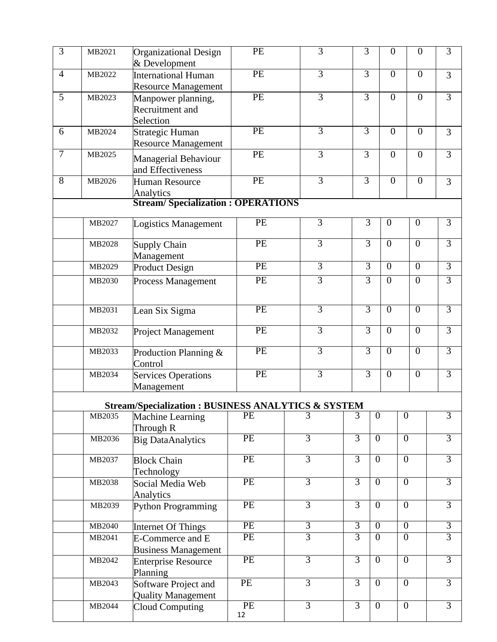| $\overline{3}$ | MB2021 | Organizational Design<br>& Development                        | PE       | $\overline{3}$ | $\overline{3}$ | $\overline{0}$ | $\overline{0}$ | $\overline{3}$ |
|----------------|--------|---------------------------------------------------------------|----------|----------------|----------------|----------------|----------------|----------------|
| $\overline{4}$ | MB2022 | <b>International Human</b><br><b>Resource Management</b>      | PE       | $\overline{3}$ | $\overline{3}$ | $\overline{0}$ | $\overline{0}$ | $\overline{3}$ |
| $\overline{5}$ | MB2023 | Manpower planning,<br>Recruitment and<br>Selection            | PE       | $\overline{3}$ | $\overline{3}$ | $\overline{0}$ | $\overline{0}$ | $\overline{3}$ |
| 6              | MB2024 | <b>Strategic Human</b><br><b>Resource Management</b>          | PE       | $\overline{3}$ | $\overline{3}$ | $\overline{0}$ | $\overline{0}$ | 3              |
| $\tau$         | MB2025 | Managerial Behaviour<br>and Effectiveness                     | PE       | $\overline{3}$ | $\overline{3}$ | $\overline{0}$ | $\overline{0}$ | $\overline{3}$ |
| 8              | MB2026 | Human Resource<br>Analytics                                   | PE       | $\overline{3}$ | $\overline{3}$ | $\overline{0}$ | $\overline{0}$ | 3              |
|                |        | <b>Stream/Specialization: OPERATIONS</b>                      |          |                |                |                |                |                |
|                | MB2027 | Logistics Management                                          | PE       | $\overline{3}$ | $\overline{3}$ | $\overline{0}$ | $\overline{0}$ | $\overline{3}$ |
|                | MB2028 | <b>Supply Chain</b><br>Management                             | PE       | 3              | $\overline{3}$ | $\overline{0}$ | $\overline{0}$ | $\overline{3}$ |
|                | MB2029 | <b>Product Design</b>                                         | PE       | $\overline{3}$ | $\overline{3}$ | $\overline{0}$ | $\overline{0}$ | $\overline{3}$ |
|                | MB2030 | Process Management                                            | PE       | $\overline{3}$ | $\overline{3}$ | $\overline{0}$ | $\overline{0}$ | $\overline{3}$ |
|                | MB2031 | Lean Six Sigma                                                | PE       | $\overline{3}$ | $\overline{3}$ | $\overline{0}$ | $\overline{0}$ | $\overline{3}$ |
|                | MB2032 | Project Management                                            | PE       | $\overline{3}$ | $\overline{3}$ | $\overline{0}$ | $\overline{0}$ | $\overline{3}$ |
|                | MB2033 | Production Planning &<br>Control                              | PE       | $\overline{3}$ | $\overline{3}$ | $\overline{0}$ | $\overline{0}$ | $\overline{3}$ |
|                | MB2034 | <b>Services Operations</b><br>Management                      | PE       | $\overline{3}$ | $\overline{3}$ | $\overline{0}$ | $\overline{0}$ | $\overline{3}$ |
|                |        | <b>Stream/Specialization: BUSINESS ANALYTICS &amp; SYSTEM</b> |          |                |                |                |                |                |
|                | MB2035 | Machine Learning                                              | PE       | $\overline{3}$ | $\overline{3}$ | $\overline{0}$ | $\theta$       | $\overline{3}$ |
|                | MB2036 | Through R<br><b>Big DataAnalytics</b>                         | PE       | $\overline{3}$ | $\overline{3}$ | $\overline{0}$ | $\overline{0}$ | $\overline{3}$ |
|                | MB2037 | <b>Block Chain</b><br>Technology                              | PE       | $\overline{3}$ | $\overline{3}$ | $\overline{0}$ | $\overline{0}$ | $\overline{3}$ |
|                | MB2038 | Social Media Web<br>Analytics                                 | PE       | $\overline{3}$ | $\overline{3}$ | $\overline{0}$ | $\overline{0}$ | $\overline{3}$ |
|                | MB2039 | <b>Python Programming</b>                                     | PE       | $\overline{3}$ | $\overline{3}$ | $\overline{0}$ | $\overline{0}$ | $\overline{3}$ |
|                | MB2040 | Internet Of Things                                            | PE       | $\overline{3}$ | $\overline{3}$ | $\overline{0}$ | $\overline{0}$ | $\overline{3}$ |
|                | MB2041 | E-Commerce and E<br><b>Business Management</b>                | PE       | $\overline{3}$ | $\overline{3}$ | $\overline{0}$ | $\overline{0}$ | $\overline{3}$ |
|                | MB2042 | <b>Enterprise Resource</b><br>Planning                        | PE       | $\overline{3}$ | $\overline{3}$ | $\overline{0}$ | $\overline{0}$ | $\overline{3}$ |
|                | MB2043 | Software Project and<br><b>Quality Management</b>             | PE       | $\overline{3}$ | $\overline{3}$ | $\overline{0}$ | $\overline{0}$ | $\overline{3}$ |
|                | MB2044 | <b>Cloud Computing</b>                                        | PE<br>12 | $\overline{3}$ | $\overline{3}$ | $\overline{0}$ | $\overline{0}$ | $\overline{3}$ |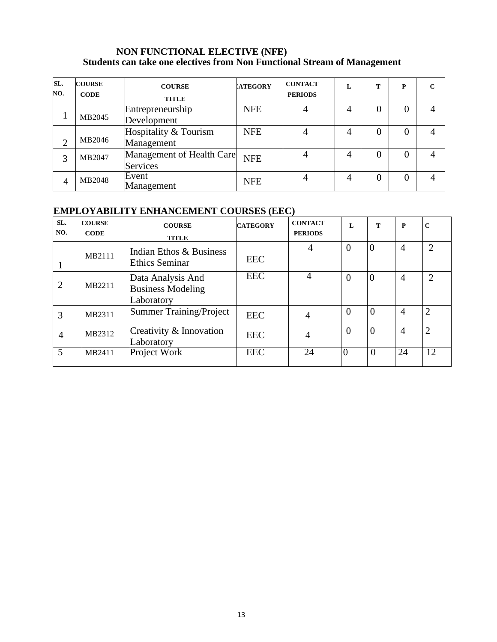#### **NON FUNCTIONAL ELECTIVE (NFE) Students can take one electives from Non Functional Stream of Management**

| SL.<br>NO.     | <b>COURSE</b><br><b>CODE</b> | <b>COURSE</b><br><b>TITLE</b>         | <b>ATEGORY</b> | <b>CONTACT</b><br><b>PERIODS</b> | L | т | P | $\mathbf C$ |
|----------------|------------------------------|---------------------------------------|----------------|----------------------------------|---|---|---|-------------|
|                | MB2045                       | Entrepreneurship<br>Development       | <b>NFE</b>     |                                  | 4 |   |   |             |
| ◠              | MB2046                       | Hospitality & Tourism<br>Management   | <b>NFE</b>     |                                  |   |   |   |             |
| 3              | MB2047                       | Management of Health Care<br>Services | <b>NFE</b>     |                                  |   |   |   |             |
| $\overline{4}$ | MB2048                       | Event<br>Management                   | <b>NFE</b>     |                                  | 4 |   |   |             |

# **EMPLOYABILITY ENHANCEMENT COURSES (EEC)**

| SL.<br>NO.     | <b>COURSE</b><br><b>CODE</b> | <b>COURSE</b><br><b>TITLE</b>                               | <b>CATEGORY</b> | <b>CONTACT</b><br><b>PERIODS</b> | L        | T                | P              | $\mathbf C$    |
|----------------|------------------------------|-------------------------------------------------------------|-----------------|----------------------------------|----------|------------------|----------------|----------------|
|                | MB2111                       | Indian Ethos & Business<br><b>Ethics Seminar</b>            | <b>EEC</b>      | 4                                | $\Omega$ | $\boldsymbol{0}$ | $\overline{4}$ | C              |
| 2              | MB2211                       | Data Analysis And<br><b>Business Modeling</b><br>Laboratory | <b>EEC</b>      | 4                                | $\Omega$ | $\overline{0}$   | $\overline{4}$ | $\overline{2}$ |
| 3              | MB2311                       | <b>Summer Training/Project</b>                              | <b>EEC</b>      | 4                                | $\theta$ | $\overline{0}$   | $\overline{4}$ | $\overline{2}$ |
| $\overline{4}$ | MB2312                       | Creativity & Innovation<br>Laboratory                       | <b>EEC</b>      | $\overline{4}$                   | $\Omega$ | $\overline{0}$   | $\overline{4}$ | $\overline{2}$ |
| 5              | MB2411                       | Project Work                                                | <b>EEC</b>      | 24                               |          | $\overline{0}$   | 24             | 12             |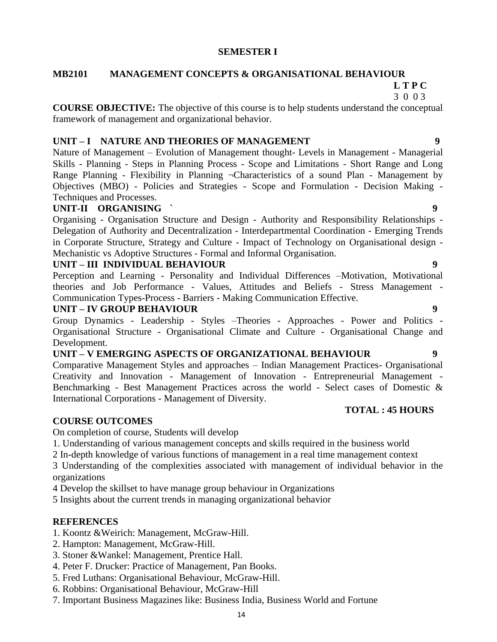#### **SEMESTER I**

# **MB2101 MANAGEMENT CONCEPTS & ORGANISATIONAL BEHAVIOUR**

# **L T P C**

 3 0 0 3 **COURSE OBJECTIVE:** The objective of this course is to help students understand the conceptual

framework of management and organizational behavior.

#### **UNIT – I NATURE AND THEORIES OF MANAGEMENT 9**

Nature of Management – Evolution of Management thought- Levels in Management - Managerial Skills - Planning - Steps in Planning Process - Scope and Limitations - Short Range and Long Range Planning - Flexibility in Planning ¬Characteristics of a sound Plan - Management by Objectives (MBO) - Policies and Strategies - Scope and Formulation - Decision Making - Techniques and Processes.

### **UNIT-II ORGANISING ` 9**

Organising - Organisation Structure and Design - Authority and Responsibility Relationships - Delegation of Authority and Decentralization - Interdepartmental Coordination - Emerging Trends in Corporate Structure, Strategy and Culture - Impact of Technology on Organisational design - Mechanistic vs Adoptive Structures - Formal and Informal Organisation.

#### **UNIT – III INDIVIDUAL BEHAVIOUR 9**

Perception and Learning - Personality and Individual Differences –Motivation, Motivational theories and Job Performance - Values, Attitudes and Beliefs - Stress Management - Communication Types-Process - Barriers - Making Communication Effective.

#### **UNIT – IV GROUP BEHAVIOUR 9**

Group Dynamics - Leadership - Styles –Theories - Approaches - Power and Politics - Organisational Structure - Organisational Climate and Culture - Organisational Change and Development.

# **UNIT – V EMERGING ASPECTS OF ORGANIZATIONAL BEHAVIOUR 9**

Comparative Management Styles and approaches – Indian Management Practices- Organisational Creativity and Innovation - Management of Innovation - Entrepreneurial Management - Benchmarking - Best Management Practices across the world - Select cases of Domestic & International Corporations - Management of Diversity.

#### **TOTAL : 45 HOURS**

# **COURSE OUTCOMES**

On completion of course, Students will develop

- 1. Understanding of various management concepts and skills required in the business world
- 2 In-depth knowledge of various functions of management in a real time management context

3 Understanding of the complexities associated with management of individual behavior in the organizations

4 Develop the skillset to have manage group behaviour in Organizations

5 Insights about the current trends in managing organizational behavior

### **REFERENCES**

- 1. Koontz &Weirich: Management, McGraw-Hill.
- 2. Hampton: Management, McGraw-Hill.
- 3. Stoner &Wankel: Management, Prentice Hall.
- 4. Peter F. Drucker: Practice of Management, Pan Books.
- 5. Fred Luthans: Organisational Behaviour, McGraw-Hill.
- 6. Robbins: Organisational Behaviour, McGraw-Hill
- 7. Important Business Magazines like: Business India, Business World and Fortune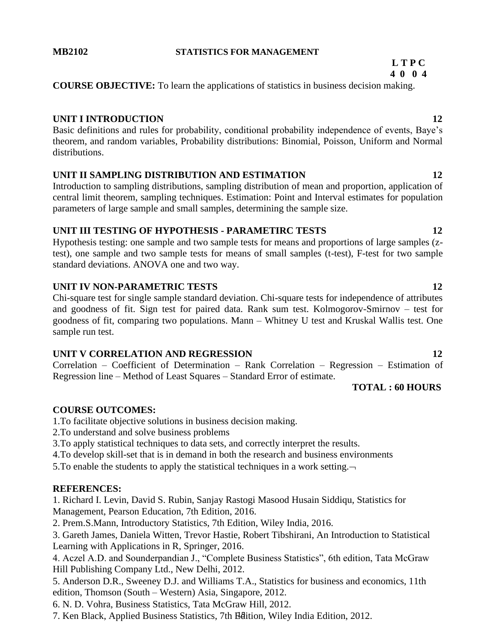#### **MB2102 STATISTICS FOR MANAGEMENT**

#### **L T P C 4 0 0 4**

**COURSE OBJECTIVE:** To learn the applications of statistics in business decision making.

### **UNIT I INTRODUCTION 12**

Basic definitions and rules for probability, conditional probability independence of events, Baye's theorem, and random variables, Probability distributions: Binomial, Poisson, Uniform and Normal distributions.

# **UNIT II SAMPLING DISTRIBUTION AND ESTIMATION 12**

Introduction to sampling distributions, sampling distribution of mean and proportion, application of central limit theorem, sampling techniques. Estimation: Point and Interval estimates for population parameters of large sample and small samples, determining the sample size.

### **UNIT III TESTING OF HYPOTHESIS - PARAMETIRC TESTS 12**

Hypothesis testing: one sample and two sample tests for means and proportions of large samples (ztest), one sample and two sample tests for means of small samples (t-test), F-test for two sample standard deviations. ANOVA one and two way.

### **UNIT IV NON-PARAMETRIC TESTS 12**

Chi-square test for single sample standard deviation. Chi-square tests for independence of attributes and goodness of fit. Sign test for paired data. Rank sum test. Kolmogorov-Smirnov – test for goodness of fit, comparing two populations. Mann – Whitney U test and Kruskal Wallis test. One sample run test.

### **UNIT V CORRELATION AND REGRESSION 12**

Correlation – Coefficient of Determination – Rank Correlation – Regression – Estimation of Regression line – Method of Least Squares – Standard Error of estimate.

# **TOTAL : 60 HOURS**

# **COURSE OUTCOMES:**

1.To facilitate objective solutions in business decision making.

2.To understand and solve business problems

3.To apply statistical techniques to data sets, and correctly interpret the results.

4.To develop skill-set that is in demand in both the research and business environments

5. To enable the students to apply the statistical techniques in a work setting.  $\neg$ 

# **REFERENCES:**

1. Richard I. Levin, David S. Rubin, Sanjay Rastogi Masood Husain Siddiqu, Statistics for Management, Pearson Education, 7th Edition, 2016.

2. Prem.S.Mann, Introductory Statistics, 7th Edition, Wiley India, 2016.

3. Gareth James, Daniela Witten, Trevor Hastie, Robert Tibshirani, An Introduction to Statistical Learning with Applications in R, Springer, 2016.

4. Aczel A.D. and Sounderpandian J., "Complete Business Statistics", 6th edition, Tata McGraw Hill Publishing Company Ltd., New Delhi, 2012.

5. Anderson D.R., Sweeney D.J. and Williams T.A., Statistics for business and economics, 11th edition, Thomson (South – Western) Asia, Singapore, 2012.

6. N. D. Vohra, Business Statistics, Tata McGraw Hill, 2012.

7. Ken Black, Applied Business Statistics, 7th Edition, Wiley India Edition, 2012.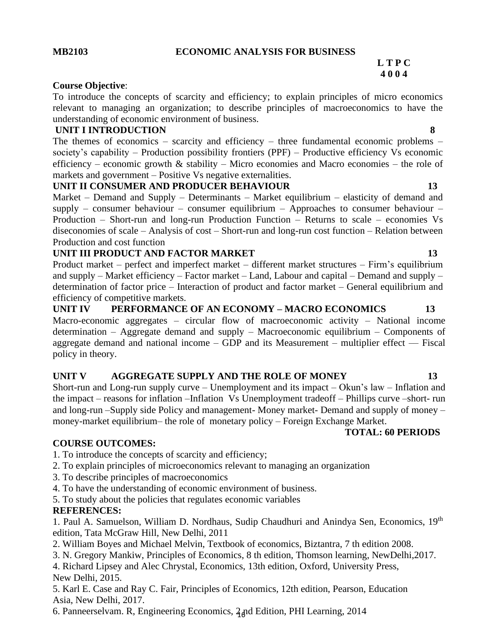#### **MB2103 ECONOMIC ANALYSIS FOR BUSINESS**

#### **L T P C 4 0 0 4**

#### **Course Objective**:

To introduce the concepts of scarcity and efficiency; to explain principles of micro economics relevant to managing an organization; to describe principles of macroeconomics to have the understanding of economic environment of business.

#### **UNIT I INTRODUCTION 8**

The themes of economics – scarcity and efficiency – three fundamental economic problems – society's capability – Production possibility frontiers (PPF) – Productive efficiency Vs economic efficiency – economic growth  $\&$  stability – Micro economies and Macro economies – the role of markets and government – Positive Vs negative externalities.

### UNIT II CONSUMER AND PRODUCER BEHAVIOUR 13

Market – Demand and Supply – Determinants – Market equilibrium – elasticity of demand and supply – consumer behaviour – consumer equilibrium – Approaches to consumer behaviour – Production – Short-run and long-run Production Function – Returns to scale – economies Vs diseconomies of scale – Analysis of cost – Short-run and long-run cost function – Relation between Production and cost function

#### **UNIT III PRODUCT AND FACTOR MARKET 13**

Product market – perfect and imperfect market – different market structures – Firm's equilibrium and supply – Market efficiency – Factor market – Land, Labour and capital – Demand and supply – determination of factor price – Interaction of product and factor market – General equilibrium and efficiency of competitive markets.

**UNIT IV PERFORMANCE OF AN ECONOMY – MACRO ECONOMICS 13** Macro-economic aggregates – circular flow of macroeconomic activity – National income determination – Aggregate demand and supply – Macroeconomic equilibrium – Components of aggregate demand and national income  $-$  GDP and its Measurement  $-$  multiplier effect  $-$  Fiscal policy in theory.

### **UNIT V AGGREGATE SUPPLY AND THE ROLE OF MONEY 13**

Short-run and Long-run supply curve – Unemployment and its impact – Okun's law – Inflation and the impact – reasons for inflation –Inflation Vs Unemployment tradeoff – Phillips curve –short- run and long-run –Supply side Policy and management- Money market- Demand and supply of money – money-market equilibrium– the role of monetary policy – Foreign Exchange Market.

#### **TOTAL: 60 PERIODS**

### **COURSE OUTCOMES:**

1. To introduce the concepts of scarcity and efficiency;

- 2. To explain principles of microeconomics relevant to managing an organization
- 3. To describe principles of macroeconomics
- 4. To have the understanding of economic environment of business.

5. To study about the policies that regulates economic variables

### **REFERENCES:**

1. Paul A. Samuelson, William D. Nordhaus, Sudip Chaudhuri and Anindya Sen, Economics, 19th edition, Tata McGraw Hill, New Delhi, 2011

2. William Boyes and Michael Melvin, Textbook of economics, Biztantra, 7 th edition 2008.

3. N. Gregory Mankiw, Principles of Economics, 8 th edition, Thomson learning, NewDelhi,2017.

4. Richard Lipsey and Alec Chrystal, Economics, 13th edition, Oxford, University Press, New Delhi, 2015.

5. Karl E. Case and Ray C. Fair, Principles of Economics, 12th edition, Pearson, Education Asia, New Delhi, 2017.

16 6. Panneerselvam. R, Engineering Economics, 2 nd Edition, PHI Learning, 2014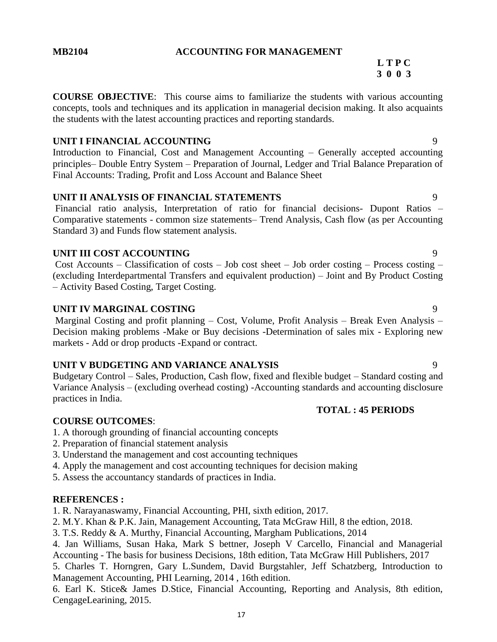#### **MB2104 ACCOUNTING FOR MANAGEMENT**

# **L T P C 3 0 0 3**

**COURSE OBJECTIVE**: This course aims to familiarize the students with various accounting concepts, tools and techniques and its application in managerial decision making. It also acquaints the students with the latest accounting practices and reporting standards.

#### **UNIT I FINANCIAL ACCOUNTING** 9

Introduction to Financial, Cost and Management Accounting – Generally accepted accounting principles– Double Entry System – Preparation of Journal, Ledger and Trial Balance Preparation of Final Accounts: Trading, Profit and Loss Account and Balance Sheet

# **UNIT II ANALYSIS OF FINANCIAL STATEMENTS** 9

Financial ratio analysis, Interpretation of ratio for financial decisions- Dupont Ratios – Comparative statements - common size statements– Trend Analysis, Cash flow (as per Accounting Standard 3) and Funds flow statement analysis.

#### **UNIT III COST ACCOUNTING** 9

Cost Accounts – Classification of costs – Job cost sheet – Job order costing – Process costing – (excluding Interdepartmental Transfers and equivalent production) – Joint and By Product Costing – Activity Based Costing, Target Costing.

#### **UNIT IV MARGINAL COSTING** 9

Marginal Costing and profit planning – Cost, Volume, Profit Analysis – Break Even Analysis – Decision making problems -Make or Buy decisions -Determination of sales mix - Exploring new markets - Add or drop products -Expand or contract.

#### **UNIT V BUDGETING AND VARIANCE ANALYSIS** 9

Budgetary Control – Sales, Production, Cash flow, fixed and flexible budget – Standard costing and Variance Analysis – (excluding overhead costing) -Accounting standards and accounting disclosure practices in India.

#### **TOTAL : 45 PERIODS**

#### **COURSE OUTCOMES**:

- 1. A thorough grounding of financial accounting concepts
- 2. Preparation of financial statement analysis
- 3. Understand the management and cost accounting techniques
- 4. Apply the management and cost accounting techniques for decision making
- 5. Assess the accountancy standards of practices in India.

### **REFERENCES :**

1. R. Narayanaswamy, Financial Accounting, PHI, sixth edition, 2017.

- 2. M.Y. Khan & P.K. Jain, Management Accounting, Tata McGraw Hill, 8 the edtion, 2018.
- 3. T.S. Reddy & A. Murthy, Financial Accounting, Margham Publications, 2014

4. Jan Williams, Susan Haka, Mark S bettner, Joseph V Carcello, Financial and Managerial Accounting - The basis for business Decisions, 18th edition, Tata McGraw Hill Publishers, 2017

5. Charles T. Horngren, Gary L.Sundem, David Burgstahler, Jeff Schatzberg, Introduction to Management Accounting, PHI Learning, 2014 , 16th edition.

6. Earl K. Stice& James D.Stice, Financial Accounting, Reporting and Analysis, 8th edition, CengageLearining, 2015.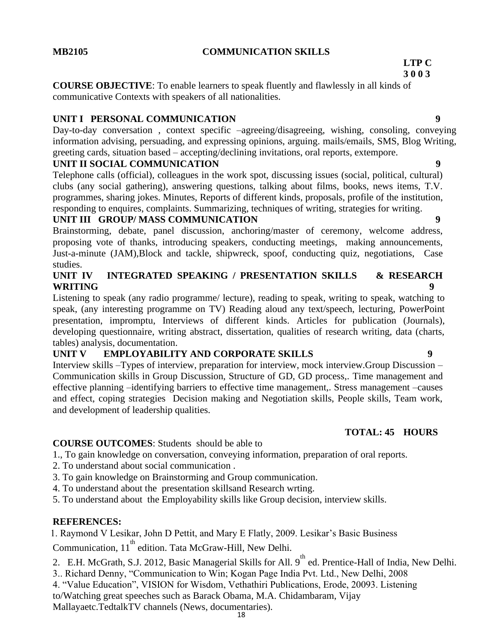#### **MB2105 COMMUNICATION SKILLS**

#### **LTP C 3 0 0 3**

**COURSE OBJECTIVE**: To enable learners to speak fluently and flawlessly in all kinds of communicative Contexts with speakers of all nationalities.

### **UNIT I PERSONAL COMMUNICATION 9**

Day-to-day conversation , context specific –agreeing/disagreeing, wishing, consoling, conveying information advising, persuading, and expressing opinions, arguing. mails/emails, SMS, Blog Writing, greeting cards, situation based – accepting/declining invitations, oral reports, extempore.

### **UNIT II SOCIAL COMMUNICATION 9**

Telephone calls (official), colleagues in the work spot, discussing issues (social, political, cultural) clubs (any social gathering), answering questions, talking about films, books, news items, T.V. programmes, sharing jokes. Minutes, Reports of different kinds, proposals, profile of the institution, responding to enquires, complaints. Summarizing, techniques of writing, strategies for writing.

### **UNIT III GROUP/ MASS COMMUNICATION 9**

Brainstorming, debate, panel discussion, anchoring/master of ceremony, welcome address, proposing vote of thanks, introducing speakers, conducting meetings, making announcements, Just-a-minute (JAM),Block and tackle, shipwreck, spoof, conducting quiz, negotiations, Case studies.

#### **UNIT IV INTEGRATED SPEAKING / PRESENTATION SKILLS & RESEARCH WRITING 9**

Listening to speak (any radio programme/ lecture), reading to speak, writing to speak, watching to speak, (any interesting programme on TV) Reading aloud any text/speech, lecturing, PowerPoint presentation, impromptu, Interviews of different kinds. Articles for publication (Journals), developing questionnaire, writing abstract, dissertation, qualities of research writing, data (charts, tables) analysis, documentation.

# **UNIT V EMPLOYABILITY AND CORPORATE SKILLS 9**

Interview skills –Types of interview, preparation for interview, mock interview.Group Discussion – Communication skills in Group Discussion, Structure of GD, GD process,. Time management and effective planning –identifying barriers to effective time management,. Stress management –causes and effect, coping strategies Decision making and Negotiation skills, People skills, Team work, and development of leadership qualities.

# **TOTAL: 45 HOURS**

# **COURSE OUTCOMES**: Students should be able to

- 1., To gain knowledge on conversation, conveying information, preparation of oral reports.
- 2. To understand about social communication .
- 3. To gain knowledge on Brainstorming and Group communication.
- 4. To understand about the presentation skillsand Research wrting.
- 5. To understand about the Employability skills like Group decision, interview skills.

# **REFERENCES:**

1. Raymond V Lesikar, John D Pettit, and Mary E Flatly, 2009. Lesikar's Basic Business

Communication, 11<sup>th</sup> edition. Tata McGraw-Hill, New Delhi.

- 2. E.H. McGrath, S.J. 2012, Basic Managerial Skills for All. 9<sup>th</sup> ed. Prentice-Hall of India, New Delhi.
- 3.. Richard Denny, "Communication to Win; Kogan Page India Pvt. Ltd., New Delhi, 2008
- 4. "Value Education", VISION for Wisdom, Vethathiri Publications, Erode, 20093. Listening

to/Watching great speeches such as Barack Obama, M.A. Chidambaram, Vijay

Mallayaetc.TedtalkTV channels (News, documentaries).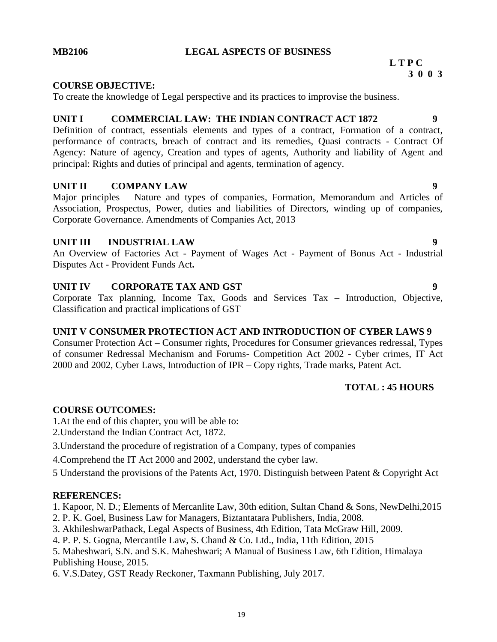#### **MB2106 LEGAL ASPECTS OF BUSINESS**

#### **L T P C 3 0 0 3**

#### **COURSE OBJECTIVE:**

To create the knowledge of Legal perspective and its practices to improvise the business.

#### **UNIT I COMMERCIAL LAW: THE INDIAN CONTRACT ACT 1872 9**

Definition of contract, essentials elements and types of a contract, Formation of a contract, performance of contracts, breach of contract and its remedies, Quasi contracts - Contract Of Agency: Nature of agency, Creation and types of agents, Authority and liability of Agent and principal: Rights and duties of principal and agents, termination of agency.

#### **UNIT II COMPANY LAW 9**

Major principles – Nature and types of companies, Formation, Memorandum and Articles of Association, Prospectus, Power, duties and liabilities of Directors, winding up of companies, Corporate Governance. Amendments of Companies Act, 2013

#### **UNIT III INDUSTRIAL LAW 9**

An Overview of Factories Act - Payment of Wages Act - Payment of Bonus Act - Industrial Disputes Act - Provident Funds Act**.**

#### **UNIT IV CORPORATE TAX AND GST 9**

Corporate Tax planning, Income Tax, Goods and Services Tax – Introduction, Objective, Classification and practical implications of GST

### **UNIT V CONSUMER PROTECTION ACT AND INTRODUCTION OF CYBER LAWS 9**

Consumer Protection Act – Consumer rights, Procedures for Consumer grievances redressal, Types of consumer Redressal Mechanism and Forums- Competition Act 2002 - Cyber crimes, IT Act 2000 and 2002, Cyber Laws, Introduction of IPR – Copy rights, Trade marks, Patent Act.

#### **TOTAL : 45 HOURS**

### **COURSE OUTCOMES:**

1.At the end of this chapter, you will be able to:

- 2.Understand the Indian Contract Act, 1872.
- 3.Understand the procedure of registration of a Company, types of companies

4.Comprehend the IT Act 2000 and 2002, understand the cyber law.

5 Understand the provisions of the Patents Act, 1970. Distinguish between Patent & Copyright Act

#### **REFERENCES:**

- 1. Kapoor, N. D.; Elements of Mercanlite Law, 30th edition, Sultan Chand & Sons, NewDelhi,2015
- 2. P. K. Goel, Business Law for Managers, Biztantatara Publishers, India, 2008.
- 3. AkhileshwarPathack, Legal Aspects of Business, 4th Edition, Tata McGraw Hill, 2009.

4. P. P. S. Gogna, Mercantile Law, S. Chand & Co. Ltd., India, 11th Edition, 2015

5. Maheshwari, S.N. and S.K. Maheshwari; A Manual of Business Law, 6th Edition, Himalaya Publishing House, 2015.

6. V.S.Datey, GST Ready Reckoner, Taxmann Publishing, July 2017.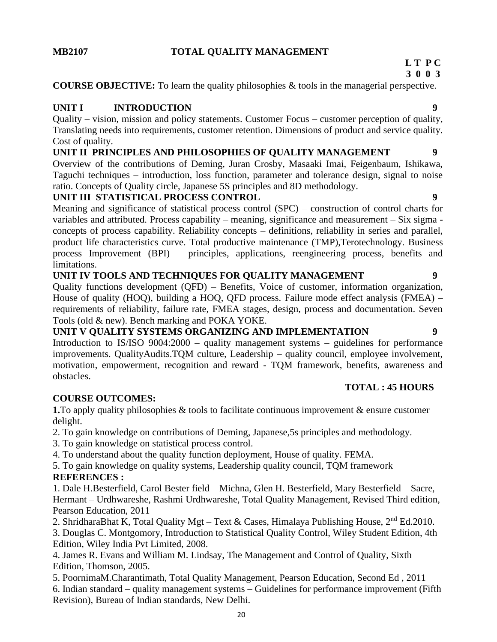# **MB2107 TOTAL QUALITY MANAGEMENT**

# **L T P C**

**3 0 0 3**

**COURSE OBJECTIVE:** To learn the quality philosophies & tools in the managerial perspective.

# **UNIT I INTRODUCTION 9**

Quality – vision, mission and policy statements. Customer Focus – customer perception of quality, Translating needs into requirements, customer retention. Dimensions of product and service quality. Cost of quality.

# **UNIT II PRINCIPLES AND PHILOSOPHIES OF QUALITY MANAGEMENT 9**

Overview of the contributions of Deming, Juran Crosby, Masaaki Imai, Feigenbaum, Ishikawa, Taguchi techniques – introduction, loss function, parameter and tolerance design, signal to noise ratio. Concepts of Quality circle, Japanese 5S principles and 8D methodology.

# **UNIT III STATISTICAL PROCESS CONTROL 9**

Meaning and significance of statistical process control (SPC) – construction of control charts for variables and attributed. Process capability – meaning, significance and measurement – Six sigma concepts of process capability. Reliability concepts – definitions, reliability in series and parallel, product life characteristics curve. Total productive maintenance (TMP),Terotechnology. Business process Improvement (BPI) – principles, applications, reengineering process, benefits and limitations.

### **UNIT IV TOOLS AND TECHNIQUES FOR QUALITY MANAGEMENT 9**

Quality functions development (QFD) – Benefits, Voice of customer, information organization, House of quality (HOQ), building a HOQ, QFD process. Failure mode effect analysis (FMEA) – requirements of reliability, failure rate, FMEA stages, design, process and documentation. Seven Tools (old & new). Bench marking and POKA YOKE.

# **UNIT V QUALITY SYSTEMS ORGANIZING AND IMPLEMENTATION 9**

Introduction to IS/ISO 9004:2000 – quality management systems – guidelines for performance improvements. QualityAudits.TQM culture, Leadership – quality council, employee involvement, motivation, empowerment, recognition and reward - TQM framework, benefits, awareness and obstacles.

### **COURSE OUTCOMES:**

**1.** To apply quality philosophies & tools to facilitate continuous improvement & ensure customer delight.

2. To gain knowledge on contributions of Deming, Japanese,5s principles and methodology.

3. To gain knowledge on statistical process control.

4. To understand about the quality function deployment, House of quality. FEMA.

5. To gain knowledge on quality systems, Leadership quality council, TQM framework

# **REFERENCES :**

1. Dale H.Besterfield, Carol Bester field – Michna, Glen H. Besterfield, Mary Besterfield – Sacre, Hermant – Urdhwareshe, Rashmi Urdhwareshe, Total Quality Management, Revised Third edition, Pearson Education, 2011

2. ShridharaBhat K, Total Quality Mgt – Text & Cases, Himalaya Publishing House,  $2<sup>nd</sup> Ed.2010$ .

3. Douglas C. Montgomory, Introduction to Statistical Quality Control, Wiley Student Edition, 4th Edition, Wiley India Pvt Limited, 2008.

4. James R. Evans and William M. Lindsay, The Management and Control of Quality, Sixth Edition, Thomson, 2005.

5. PoornimaM.Charantimath, Total Quality Management, Pearson Education, Second Ed , 2011 6. Indian standard – quality management systems – Guidelines for performance improvement (Fifth Revision), Bureau of Indian standards, New Delhi.

**TOTAL : 45 HOURS**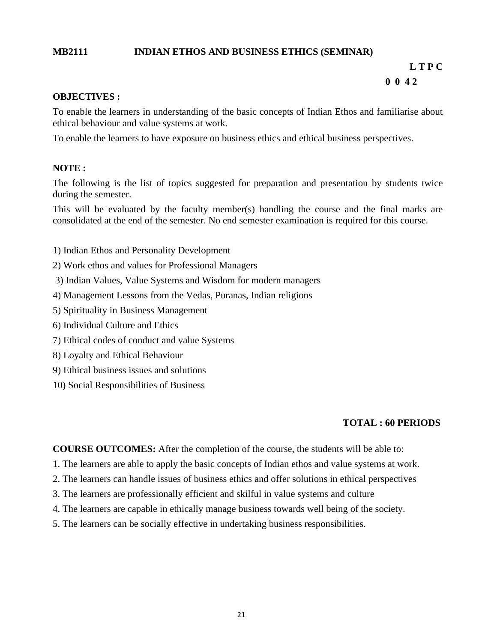#### **MB2111 INDIAN ETHOS AND BUSINESS ETHICS (SEMINAR)**

# **L T P C**

#### **0 0 4 2**

#### **OBJECTIVES :**

To enable the learners in understanding of the basic concepts of Indian Ethos and familiarise about ethical behaviour and value systems at work.

To enable the learners to have exposure on business ethics and ethical business perspectives.

#### **NOTE :**

The following is the list of topics suggested for preparation and presentation by students twice during the semester.

This will be evaluated by the faculty member(s) handling the course and the final marks are consolidated at the end of the semester. No end semester examination is required for this course.

- 1) Indian Ethos and Personality Development
- 2) Work ethos and values for Professional Managers
- 3) Indian Values, Value Systems and Wisdom for modern managers
- 4) Management Lessons from the Vedas, Puranas, Indian religions
- 5) Spirituality in Business Management
- 6) Individual Culture and Ethics
- 7) Ethical codes of conduct and value Systems
- 8) Loyalty and Ethical Behaviour
- 9) Ethical business issues and solutions
- 10) Social Responsibilities of Business

#### **TOTAL : 60 PERIODS**

**COURSE OUTCOMES:** After the completion of the course, the students will be able to:

- 1. The learners are able to apply the basic concepts of Indian ethos and value systems at work.
- 2. The learners can handle issues of business ethics and offer solutions in ethical perspectives
- 3. The learners are professionally efficient and skilful in value systems and culture
- 4. The learners are capable in ethically manage business towards well being of the society.
- 5. The learners can be socially effective in undertaking business responsibilities.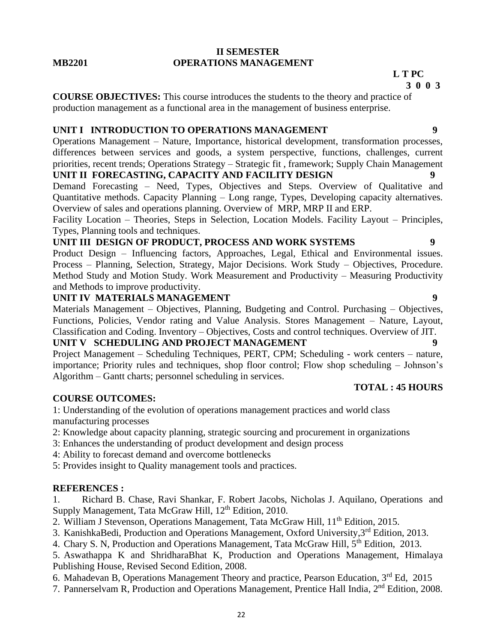#### **II SEMESTER MB2201 OPERATIONS MANAGEMENT**

## **L T PC**

#### **3 0 0 3**

**COURSE OBJECTIVES:** This course introduces the students to the theory and practice of production management as a functional area in the management of business enterprise.

# **UNIT I INTRODUCTION TO OPERATIONS MANAGEMENT 9**

Operations Management – Nature, Importance, historical development, transformation processes, differences between services and goods, a system perspective, functions, challenges, current priorities, recent trends; Operations Strategy – Strategic fit , framework; Supply Chain Management **UNIT II FORECASTING, CAPACITY AND FACILITY DESIGN** 

Demand Forecasting – Need, Types, Objectives and Steps. Overview of Qualitative and Quantitative methods. Capacity Planning – Long range, Types, Developing capacity alternatives. Overview of sales and operations planning. Overview of MRP, MRP II and ERP.

Facility Location – Theories, Steps in Selection, Location Models. Facility Layout – Principles, Types, Planning tools and techniques.

## **UNIT III DESIGN OF PRODUCT, PROCESS AND WORK SYSTEMS 9**

Product Design – Influencing factors, Approaches, Legal, Ethical and Environmental issues. Process – Planning, Selection, Strategy, Major Decisions. Work Study – Objectives, Procedure. Method Study and Motion Study. Work Measurement and Productivity – Measuring Productivity and Methods to improve productivity.

#### **UNIT IV MATERIALS MANAGEMENT** 9

Materials Management – Objectives, Planning, Budgeting and Control. Purchasing – Objectives, Functions, Policies, Vendor rating and Value Analysis. Stores Management – Nature, Layout, Classification and Coding. Inventory – Objectives, Costs and control techniques. Overview of JIT.

### **UNIT V SCHEDULING AND PROJECT MANAGEMENT**

Project Management – Scheduling Techniques, PERT, CPM; Scheduling - work centers – nature, importance; Priority rules and techniques, shop floor control; Flow shop scheduling – Johnson's Algorithm – Gantt charts; personnel scheduling in services.

### **COURSE OUTCOMES:**

1: Understanding of the evolution of operations management practices and world class manufacturing processes

- 2: Knowledge about capacity planning, strategic sourcing and procurement in organizations
- 3: Enhances the understanding of product development and design process
- 4: Ability to forecast demand and overcome bottlenecks

5: Provides insight to Quality management tools and practices.

### **REFERENCES :**

1. Richard B. Chase, Ravi Shankar, F. Robert Jacobs, Nicholas J. Aquilano, Operations and Supply Management, Tata McGraw Hill, 12<sup>th</sup> Edition, 2010.

2. William J Stevenson, Operations Management, Tata McGraw Hill, 11<sup>th</sup> Edition, 2015.

3. KanishkaBedi, Production and Operations Management, Oxford University,3rd Edition, 2013.

4. Chary S. N, Production and Operations Management, Tata McGraw Hill, 5<sup>th</sup> Edition, 2013.

5. Aswathappa K and ShridharaBhat K, Production and Operations Management, Himalaya Publishing House, Revised Second Edition, 2008.

6. Mahadevan B, Operations Management Theory and practice, Pearson Education, 3rd Ed, 2015

7. Pannerselvam R, Production and Operations Management, Prentice Hall India, 2<sup>nd</sup> Edition, 2008.

**TOTAL : 45 HOURS**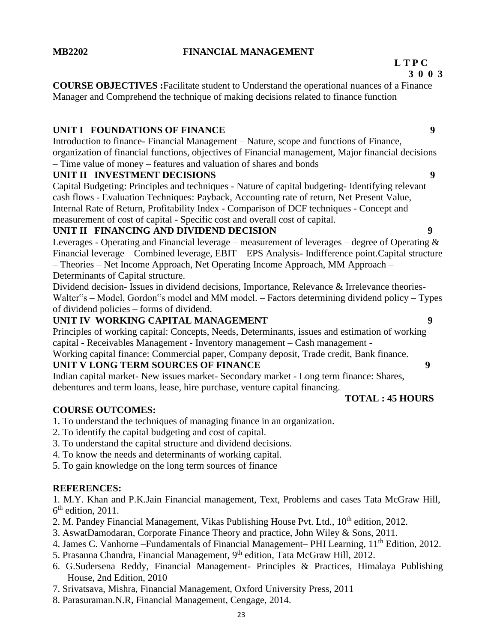### **MB2202 FINANCIAL MANAGEMENT**

#### **L T P C 3 0 0 3**

**COURSE OBJECTIVES :**Facilitate student to Understand the operational nuances of a Finance Manager and Comprehend the technique of making decisions related to finance function

# **UNIT I FOUNDATIONS OF FINANCE** 9

Introduction to finance- Financial Management – Nature, scope and functions of Finance, organization of financial functions, objectives of Financial management, Major financial decisions – Time value of money – features and valuation of shares and bonds

# **UNIT II INVESTMENT DECISIONS 9**

Capital Budgeting: Principles and techniques - Nature of capital budgeting- Identifying relevant cash flows - Evaluation Techniques: Payback, Accounting rate of return, Net Present Value, Internal Rate of Return, Profitability Index - Comparison of DCF techniques - Concept and measurement of cost of capital - Specific cost and overall cost of capital.

# **UNIT II FINANCING AND DIVIDEND DECISION 9**

Leverages - Operating and Financial leverage – measurement of leverages – degree of Operating & Financial leverage – Combined leverage, EBIT – EPS Analysis- Indifference point.Capital structure – Theories – Net Income Approach, Net Operating Income Approach, MM Approach – Determinants of Capital structure.

Dividend decision- Issues in dividend decisions, Importance, Relevance & Irrelevance theories-Walter"s – Model, Gordon"s model and MM model. – Factors determining dividend policy – Types of dividend policies – forms of dividend.

# **UNIT IV WORKING CAPITAL MANAGEMENT 9**

Principles of working capital: Concepts, Needs, Determinants, issues and estimation of working capital - Receivables Management - Inventory management – Cash management -

Working capital finance: Commercial paper, Company deposit, Trade credit, Bank finance.

### **UNIT V LONG TERM SOURCES OF FINANCE 9**

Indian capital market- New issues market- Secondary market - Long term finance: Shares, debentures and term loans, lease, hire purchase, venture capital financing. **TOTAL : 45 HOURS**

### **COURSE OUTCOMES:**

- 1. To understand the techniques of managing finance in an organization.
- 2. To identify the capital budgeting and cost of capital.
- 3. To understand the capital structure and dividend decisions.
- 4. To know the needs and determinants of working capital.
- 5. To gain knowledge on the long term sources of finance

### **REFERENCES:**

1. M.Y. Khan and P.K.Jain Financial management, Text, Problems and cases Tata McGraw Hill,  $6<sup>th</sup>$  edition, 2011.

- 2. M. Pandey Financial Management, Vikas Publishing House Pvt. Ltd., 10<sup>th</sup> edition. 2012.
- 3. AswatDamodaran, Corporate Finance Theory and practice, John Wiley & Sons, 2011.
- 4. James C. Vanhorne –Fundamentals of Financial Management– PHI Learning, 11<sup>th</sup> Edition, 2012.
- 5. Prasanna Chandra, Financial Management, 9<sup>th</sup> edition, Tata McGraw Hill, 2012.
- 6. G.Sudersena Reddy, Financial Management- Principles & Practices, Himalaya Publishing House, 2nd Edition, 2010
- 7. Srivatsava, Mishra, Financial Management, Oxford University Press, 2011
- 8. Parasuraman.N.R, Financial Management, Cengage, 2014.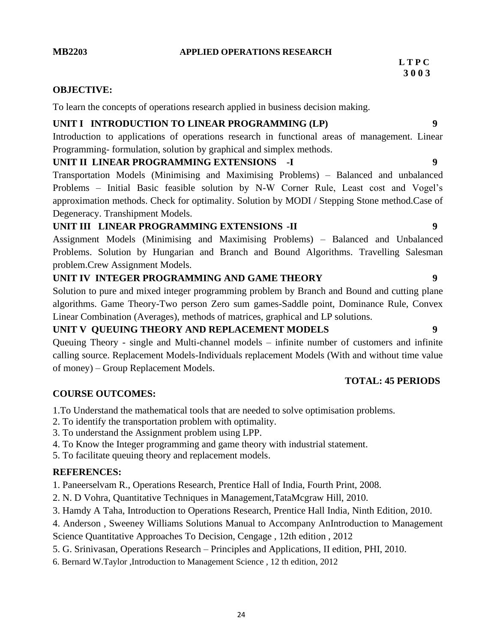#### **MB2203 APPLIED OPERATIONS RESEARCH**

# **OBJECTIVE:**

To learn the concepts of operations research applied in business decision making.

# **UNIT I INTRODUCTION TO LINEAR PROGRAMMING (LP) 9**

Introduction to applications of operations research in functional areas of management. Linear Programming- formulation, solution by graphical and simplex methods.

# **UNIT II LINEAR PROGRAMMING EXTENSIONS -I 9**

Transportation Models (Minimising and Maximising Problems) – Balanced and unbalanced Problems – Initial Basic feasible solution by N-W Corner Rule, Least cost and Vogel's approximation methods. Check for optimality. Solution by MODI / Stepping Stone method.Case of Degeneracy. Transhipment Models.

# **UNIT III LINEAR PROGRAMMING EXTENSIONS -II 9**

Assignment Models (Minimising and Maximising Problems) – Balanced and Unbalanced Problems. Solution by Hungarian and Branch and Bound Algorithms. Travelling Salesman problem.Crew Assignment Models.

# **UNIT IV INTEGER PROGRAMMING AND GAME THEORY 9**

Solution to pure and mixed integer programming problem by Branch and Bound and cutting plane algorithms. Game Theory-Two person Zero sum games-Saddle point, Dominance Rule, Convex Linear Combination (Averages), methods of matrices, graphical and LP solutions.

# **UNIT V QUEUING THEORY AND REPLACEMENT MODELS 9**

Queuing Theory - single and Multi-channel models – infinite number of customers and infinite calling source. Replacement Models-Individuals replacement Models (With and without time value of money) – Group Replacement Models.

# **TOTAL: 45 PERIODS**

# **COURSE OUTCOMES:**

1.To Understand the mathematical tools that are needed to solve optimisation problems.

- 2. To identify the transportation problem with optimality.
- 3. To understand the Assignment problem using LPP.
- 4. To Know the Integer programming and game theory with industrial statement.
- 5. To facilitate queuing theory and replacement models.

# **REFERENCES:**

1. Paneerselvam R., Operations Research, Prentice Hall of India, Fourth Print, 2008.

- 2. N. D Vohra, Quantitative Techniques in Management,TataMcgraw Hill, 2010.
- 3. Hamdy A Taha, Introduction to Operations Research, Prentice Hall India, Ninth Edition, 2010.
- 4. Anderson , Sweeney Williams Solutions Manual to Accompany AnIntroduction to Management

Science Quantitative Approaches To Decision, Cengage , 12th edition , 2012

- 5. G. Srinivasan, Operations Research Principles and Applications, II edition, PHI, 2010.
- 6. Bernard W.Taylor ,Introduction to Management Science , 12 th edition, 2012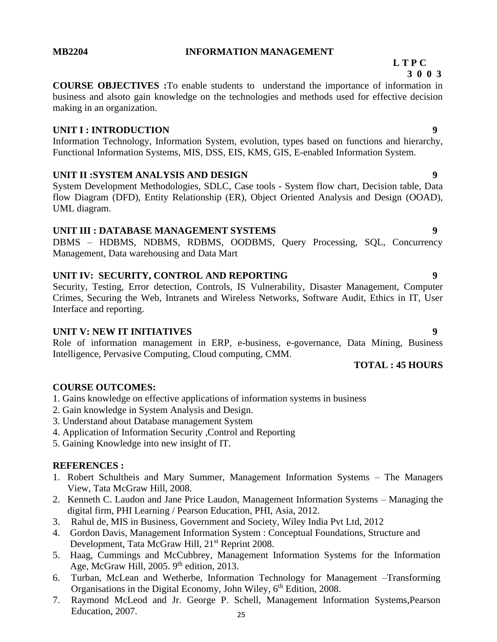#### **MB2204 INFORMATION MANAGEMENT**

 **L T P C 3 0 0 3**

# **COURSE OBJECTIVES :**To enable students to understand the importance of information in business and alsoto gain knowledge on the technologies and methods used for effective decision making in an organization.

### **UNIT I : INTRODUCTION** 9

Information Technology, Information System, evolution, types based on functions and hierarchy, Functional Information Systems, MIS, DSS, EIS, KMS, GIS, E-enabled Information System.

### **UNIT II :SYSTEM ANALYSIS AND DESIGN 9**

System Development Methodologies, SDLC, Case tools - System flow chart, Decision table, Data flow Diagram (DFD), Entity Relationship (ER), Object Oriented Analysis and Design (OOAD), UML diagram.

#### **UNIT III : DATABASE MANAGEMENT SYSTEMS 9**

DBMS – HDBMS, NDBMS, RDBMS, OODBMS, Query Processing, SQL, Concurrency Management, Data warehousing and Data Mart

### **UNIT IV: SECURITY, CONTROL AND REPORTING 9**

Security, Testing, Error detection, Controls, IS Vulnerability, Disaster Management, Computer Crimes, Securing the Web, Intranets and Wireless Networks, Software Audit, Ethics in IT, User Interface and reporting.

# **UNIT V: NEW IT INITIATIVES 9**

Role of information management in ERP, e-business, e-governance, Data Mining, Business Intelligence, Pervasive Computing, Cloud computing, CMM.

#### **TOTAL : 45 HOURS**

### **COURSE OUTCOMES:**

- 1. Gains knowledge on effective applications of information systems in business
- 2. Gain knowledge in System Analysis and Design.
- 3. Understand about Database management System
- 4. Application of Information Security ,Control and Reporting
- 5. Gaining Knowledge into new insight of IT.

### **REFERENCES :**

- 1. Robert Schultheis and Mary Summer, Management Information Systems The Managers View, Tata McGraw Hill, 2008.
- 2. Kenneth C. Laudon and Jane Price Laudon, Management Information Systems Managing the digital firm, PHI Learning / Pearson Education, PHI, Asia, 2012.
- 3. Rahul de, MIS in Business, Government and Society, Wiley India Pvt Ltd, 2012
- 4. Gordon Davis, Management Information System : Conceptual Foundations, Structure and Development, Tata McGraw Hill, 21<sup>st</sup> Reprint 2008.
- 5. Haag, Cummings and McCubbrey, Management Information Systems for the Information Age, McGraw Hill, 2005.  $9<sup>th</sup>$  edition, 2013.
- 6. Turban, McLean and Wetherbe, Information Technology for Management –Transforming Organisations in the Digital Economy, John Wiley, 6<sup>th</sup> Edition, 2008.
- 25 7. Raymond McLeod and Jr. George P. Schell, Management Information Systems,Pearson Education, 2007.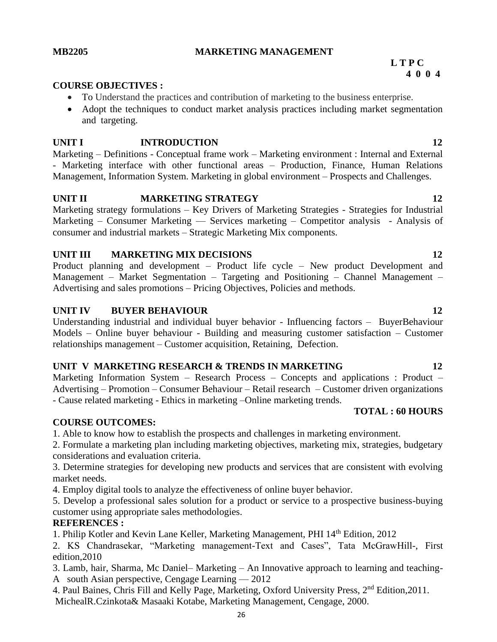# **MB2205 MARKETING MANAGEMENT**

#### **COURSE OBJECTIVES :**

- To Understand the practices and contribution of marketing to the business enterprise.
- Adopt the techniques to conduct market analysis practices including market segmentation and targeting.

#### **UNIT I INTRODUCTION 12**

Marketing – Definitions - Conceptual frame work – Marketing environment : Internal and External - Marketing interface with other functional areas – Production, Finance, Human Relations Management, Information System. Marketing in global environment – Prospects and Challenges.

### **UNIT II MARKETING STRATEGY 12**

Marketing strategy formulations – Key Drivers of Marketing Strategies - Strategies for Industrial Marketing – Consumer Marketing — Services marketing – Competitor analysis - Analysis of consumer and industrial markets – Strategic Marketing Mix components.

#### **UNIT III MARKETING MIX DECISIONS 12**

Product planning and development – Product life cycle – New product Development and Management – Market Segmentation – Targeting and Positioning – Channel Management – Advertising and sales promotions – Pricing Objectives, Policies and methods.

#### **UNIT IV BUYER BEHAVIOUR 12**

Understanding industrial and individual buyer behavior - Influencing factors – BuyerBehaviour Models – Online buyer behaviour - Building and measuring customer satisfaction – Customer relationships management – Customer acquisition, Retaining, Defection.

#### **UNIT V MARKETING RESEARCH & TRENDS IN MARKETING 12**

Marketing Information System – Research Process – Concepts and applications : Product – Advertising – Promotion – Consumer Behaviour – Retail research – Customer driven organizations - Cause related marketing - Ethics in marketing –Online marketing trends.

#### **COURSE OUTCOMES:**

1. Able to know how to establish the prospects and challenges in marketing environment.

2. Formulate a marketing plan including marketing objectives, marketing mix, strategies, budgetary considerations and evaluation criteria.

3. Determine strategies for developing new products and services that are consistent with evolving market needs.

4. Employ digital tools to analyze the effectiveness of online buyer behavior.

5. Develop a professional sales solution for a product or service to a prospective business-buying customer using appropriate sales methodologies.

#### **REFERENCES :**

1. Philip Kotler and Kevin Lane Keller, Marketing Management, PHI 14th Edition, 2012

2. KS Chandrasekar, "Marketing management-Text and Cases", Tata McGrawHill-, First edition,2010

3. Lamb, hair, Sharma, Mc Daniel– Marketing – An Innovative approach to learning and teaching-A south Asian perspective, Cengage Learning  $-2012$ 

4. Paul Baines, Chris Fill and Kelly Page, Marketing, Oxford University Press, 2<sup>nd</sup> Edition, 2011. MichealR.Czinkota& Masaaki Kotabe, Marketing Management, Cengage, 2000.

#### **L T P C 4 0 0 4**

**TOTAL : 60 HOURS**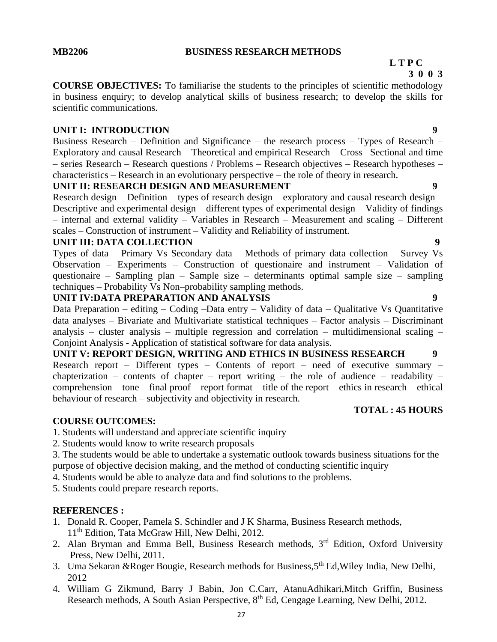# **L T P C**

 **3 0 0 3**

**COURSE OBJECTIVES:** To familiarise the students to the principles of scientific methodology in business enquiry; to develop analytical skills of business research; to develop the skills for scientific communications.

# **UNIT I: INTRODUCTION** 9

Business Research – Definition and Significance – the research process – Types of Research – Exploratory and causal Research – Theoretical and empirical Research – Cross –Sectional and time – series Research – Research questions / Problems – Research objectives – Research hypotheses – characteristics – Research in an evolutionary perspective – the role of theory in research.

### **UNIT II: RESEARCH DESIGN AND MEASUREMENT 9**

Research design – Definition – types of research design – exploratory and causal research design – Descriptive and experimental design – different types of experimental design – Validity of findings – internal and external validity – Variables in Research – Measurement and scaling – Different scales – Construction of instrument – Validity and Reliability of instrument.

#### **UNIT III: DATA COLLECTION 9**

Types of data – Primary Vs Secondary data – Methods of primary data collection – Survey Vs Observation – Experiments – Construction of questionaire and instrument – Validation of questionaire – Sampling plan – Sample size – determinants optimal sample size – sampling techniques – Probability Vs Non–probability sampling methods.

#### **UNIT IV:DATA PREPARATION AND ANALYSIS 9**

Data Preparation – editing – Coding –Data entry – Validity of data – Qualitative Vs Quantitative data analyses – Bivariate and Multivariate statistical techniques – Factor analysis – Discriminant analysis – cluster analysis – multiple regression and correlation – multidimensional scaling – Conjoint Analysis - Application of statistical software for data analysis.

**UNIT V: REPORT DESIGN, WRITING AND ETHICS IN BUSINESS RESEARCH 9** Research report – Different types – Contents of report – need of executive summary – chapterization – contents of chapter – report writing – the role of audience – readability – comprehension – tone – final proof – report format – title of the report – ethics in research – ethical behaviour of research – subjectivity and objectivity in research.

### **TOTAL : 45 HOURS**

### **COURSE OUTCOMES:**

1. Students will understand and appreciate scientific inquiry

2. Students would know to write research proposals

3. The students would be able to undertake a systematic outlook towards business situations for the purpose of objective decision making, and the method of conducting scientific inquiry

4. Students would be able to analyze data and find solutions to the problems.

5. Students could prepare research reports.

### **REFERENCES :**

- 1. Donald R. Cooper, Pamela S. Schindler and J K Sharma, Business Research methods, 11<sup>th</sup> Edition, Tata McGraw Hill, New Delhi, 2012.
- 2. Alan Bryman and Emma Bell, Business Research methods, 3<sup>rd</sup> Edition, Oxford University Press, New Delhi, 2011.
- 3. Uma Sekaran &Roger Bougie, Research methods for Business, 5<sup>th</sup> Ed, Wiley India, New Delhi, 2012
- 4. William G Zikmund, Barry J Babin, Jon C.Carr, AtanuAdhikari,Mitch Griffin, Business Research methods, A South Asian Perspective, 8<sup>th</sup> Ed, Cengage Learning, New Delhi, 2012.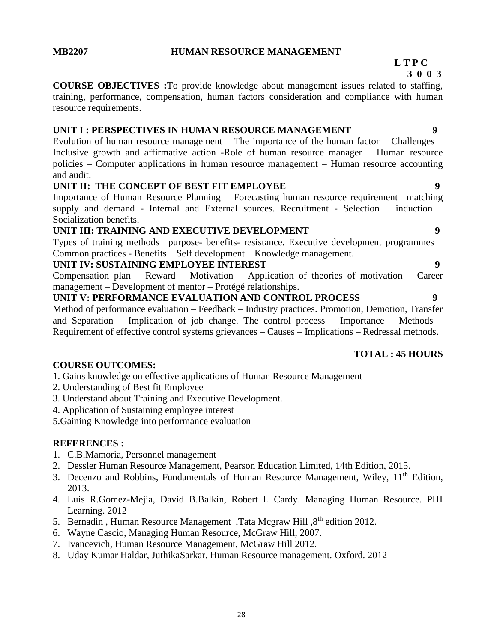#### **MB2207 HUMAN RESOURCE MANAGEMENT**

# **L T P C**

 **3 0 0 3**

**COURSE OBJECTIVES :**To provide knowledge about management issues related to staffing, training, performance, compensation, human factors consideration and compliance with human resource requirements.

# **UNIT I : PERSPECTIVES IN HUMAN RESOURCE MANAGEMENT 9**

Evolution of human resource management – The importance of the human factor – Challenges – Inclusive growth and affirmative action -Role of human resource manager – Human resource policies – Computer applications in human resource management – Human resource accounting and audit.

### **UNIT II: THE CONCEPT OF BEST FIT EMPLOYEE 9**

Importance of Human Resource Planning – Forecasting human resource requirement –matching supply and demand - Internal and External sources. Recruitment - Selection – induction – Socialization benefits.

### **UNIT III: TRAINING AND EXECUTIVE DEVELOPMENT 9**

Types of training methods –purpose- benefits- resistance. Executive development programmes – Common practices - Benefits – Self development – Knowledge management.

#### **UNIT IV: SUSTAINING EMPLOYEE INTEREST 9**

Compensation plan – Reward – Motivation – Application of theories of motivation – Career management – Development of mentor – Protégé relationships.

**UNIT V: PERFORMANCE EVALUATION AND CONTROL PROCESS 9** Method of performance evaluation – Feedback – Industry practices. Promotion, Demotion, Transfer and Separation – Implication of job change. The control process – Importance – Methods – Requirement of effective control systems grievances – Causes – Implications – Redressal methods.

#### **TOTAL : 45 HOURS**

### **COURSE OUTCOMES:**

1. Gains knowledge on effective applications of Human Resource Management

- 2. Understanding of Best fit Employee
- 3. Understand about Training and Executive Development.
- 4. Application of Sustaining employee interest

5.Gaining Knowledge into performance evaluation

#### **REFERENCES :**

- 1. C.B.Mamoria, Personnel management
- 2. Dessler Human Resource Management, Pearson Education Limited, 14th Edition, 2015.
- 3. Decenzo and Robbins, Fundamentals of Human Resource Management, Wiley, 11<sup>th</sup> Edition, 2013.
- 4. Luis R.Gomez-Mejia, David B.Balkin, Robert L Cardy. Managing Human Resource. PHI Learning. 2012
- 5. Bernadin, Human Resource Management, Tata Mcgraw Hill,  $8<sup>th</sup>$  edition 2012.
- 6. Wayne Cascio, Managing Human Resource, McGraw Hill, 2007.
- 7. Ivancevich, Human Resource Management, McGraw Hill 2012.
- 8. Uday Kumar Haldar, JuthikaSarkar. Human Resource management. Oxford. 2012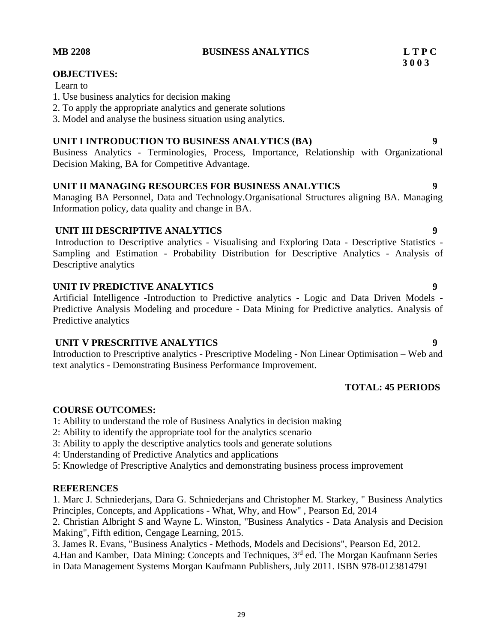#### **MB 2208 BUSINESS ANALYTICS L T P C**

#### Learn to

- 1. Use business analytics for decision making
- 2. To apply the appropriate analytics and generate solutions
- 3. Model and analyse the business situation using analytics.

#### **UNIT I INTRODUCTION TO BUSINESS ANALYTICS (BA) 9**

Business Analytics - Terminologies, Process, Importance, Relationship with Organizational Decision Making, BA for Competitive Advantage.

### **UNIT II MANAGING RESOURCES FOR BUSINESS ANALYTICS 9**

Managing BA Personnel, Data and Technology.Organisational Structures aligning BA. Managing Information policy, data quality and change in BA.

#### **UNIT III DESCRIPTIVE ANALYTICS 9**

Introduction to Descriptive analytics - Visualising and Exploring Data - Descriptive Statistics - Sampling and Estimation - Probability Distribution for Descriptive Analytics - Analysis of Descriptive analytics

#### **UNIT IV PREDICTIVE ANALYTICS 9**

Artificial Intelligence -Introduction to Predictive analytics - Logic and Data Driven Models - Predictive Analysis Modeling and procedure - Data Mining for Predictive analytics. Analysis of Predictive analytics

#### **UNIT V PRESCRITIVE ANALYTICS 9**

Introduction to Prescriptive analytics - Prescriptive Modeling - Non Linear Optimisation – Web and text analytics - Demonstrating Business Performance Improvement.

# **TOTAL: 45 PERIODS**

#### **COURSE OUTCOMES:**

1: Ability to understand the role of Business Analytics in decision making

- 2: Ability to identify the appropriate tool for the analytics scenario
- 3: Ability to apply the descriptive analytics tools and generate solutions
- 4: Understanding of Predictive Analytics and applications

5: Knowledge of Prescriptive Analytics and demonstrating business process improvement

#### **REFERENCES**

1. Marc J. Schniederjans, Dara G. Schniederjans and Christopher M. Starkey, " Business Analytics Principles, Concepts, and Applications - What, Why, and How" , Pearson Ed, 2014

2. Christian Albright S and Wayne L. Winston, "Business Analytics - Data Analysis and Decision Making", Fifth edition, Cengage Learning, 2015.

3. James R. Evans, "Business Analytics - Methods, Models and Decisions", Pearson Ed, 2012.

4.Han and Kamber, Data Mining: Concepts and Techniques, 3<sup>rd</sup> ed. The Morgan Kaufmann Series in Data Management Systems Morgan Kaufmann Publishers, July 2011. ISBN 978-0123814791

**OBJECTIVES:**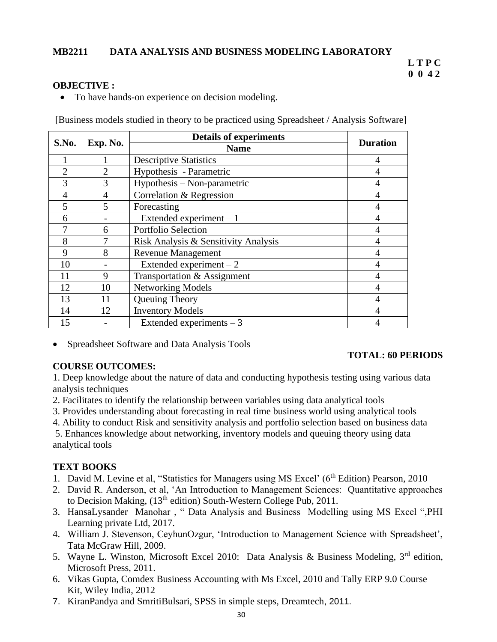#### **MB2211 DATA ANALYSIS AND BUSINESS MODELING LABORATORY**

#### **L T P C 0 0 4 2**

#### **OBJECTIVE :**

• To have hands-on experience on decision modeling.

[Business models studied in theory to be practiced using Spreadsheet / Analysis Software]

| S.No.          |                | <b>Details of experiments</b>        |                 |
|----------------|----------------|--------------------------------------|-----------------|
|                | Exp. No.       | <b>Name</b>                          | <b>Duration</b> |
|                |                | <b>Descriptive Statistics</b>        | 4               |
| $\overline{2}$ | $\overline{2}$ | Hypothesis - Parametric              | 4               |
| 3              | 3              | Hypothesis – Non-parametric          | 4               |
| 4              | $\overline{4}$ | Correlation & Regression             | $\overline{4}$  |
| 5              | 5              | Forecasting                          | $\overline{4}$  |
| 6              |                | Extended experiment $-1$             | $\overline{4}$  |
|                | 6              | Portfolio Selection                  | 4               |
| 8              |                | Risk Analysis & Sensitivity Analysis | 4               |
| 9              | 8              | <b>Revenue Management</b>            | 4               |
| 10             |                | Extended experiment $-2$             | 4               |
| 11             | 9              | Transportation & Assignment          | $\overline{4}$  |
| 12             | 10             | <b>Networking Models</b>             | $\overline{4}$  |
| 13             | 11             | Queuing Theory                       | 4               |
| 14             | 12             | <b>Inventory Models</b>              | $\overline{4}$  |
| 15             |                | Extended experiments $-3$            | 4               |

• Spreadsheet Software and Data Analysis Tools

#### **COURSE OUTCOMES:**

#### **TOTAL: 60 PERIODS**

1. Deep knowledge about the nature of data and conducting hypothesis testing using various data analysis techniques

- 2. Facilitates to identify the relationship between variables using data analytical tools
- 3. Provides understanding about forecasting in real time business world using analytical tools
- 4. Ability to conduct Risk and sensitivity analysis and portfolio selection based on business data

5. Enhances knowledge about networking, inventory models and queuing theory using data analytical tools

#### **TEXT BOOKS**

- 1. David M. Levine et al, "Statistics for Managers using MS Excel' (6<sup>th</sup> Edition) Pearson, 2010
- 2. David R. Anderson, et al, 'An Introduction to Management Sciences: Quantitative approaches to Decision Making,  $(13<sup>th</sup>$  edition) South-Western College Pub, 2011.
- 3. HansaLysander Manohar , " Data Analysis and Business Modelling using MS Excel ",PHI Learning private Ltd, 2017.
- 4. William J. Stevenson, CeyhunOzgur, 'Introduction to Management Science with Spreadsheet', Tata McGraw Hill, 2009.
- 5. Wayne L. Winston, Microsoft Excel 2010: Data Analysis & Business Modeling, 3<sup>rd</sup> edition, Microsoft Press, 2011.
- 6. Vikas Gupta, Comdex Business Accounting with Ms Excel, 2010 and Tally ERP 9.0 Course Kit, Wiley India, 2012
- 7. KiranPandya and SmritiBulsari, SPSS in simple steps, Dreamtech, 2011.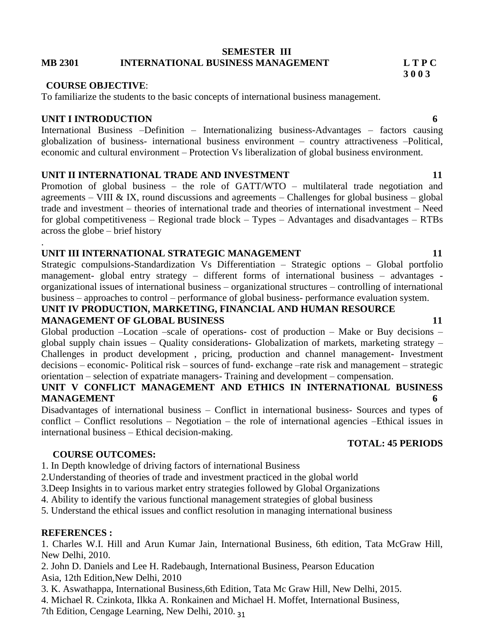#### **SEMESTER III MB 2301 INTERNATIONAL BUSINESS MANAGEMENT L T P C**

#### **COURSE OBJECTIVE**:

To familiarize the students to the basic concepts of international business management.

#### **UNIT I INTRODUCTION 6**

.

International Business –Definition – Internationalizing business-Advantages – factors causing globalization of business- international business environment – country attractiveness –Political, economic and cultural environment – Protection Vs liberalization of global business environment.

#### **UNIT II INTERNATIONAL TRADE AND INVESTMENT 11 11**

Promotion of global business – the role of GATT/WTO – multilateral trade negotiation and agreements – VIII & IX, round discussions and agreements – Challenges for global business – global trade and investment – theories of international trade and theories of international investment – Need for global competitiveness – Regional trade block – Types – Advantages and disadvantages – RTBs across the globe – brief history

#### **UNIT III INTERNATIONAL STRATEGIC MANAGEMENT 11 11**

Strategic compulsions-Standardization Vs Differentiation – Strategic options – Global portfolio management- global entry strategy – different forms of international business – advantages organizational issues of international business – organizational structures – controlling of international business – approaches to control – performance of global business- performance evaluation system.

**UNIT IV PRODUCTION, MARKETING, FINANCIAL AND HUMAN RESOURCE MANAGEMENT OF GLOBAL BUSINESS** 11

Global production –Location –scale of operations- cost of production – Make or Buy decisions – global supply chain issues – Quality considerations- Globalization of markets, marketing strategy – Challenges in product development , pricing, production and channel management- Investment decisions – economic- Political risk – sources of fund- exchange –rate risk and management – strategic orientation – selection of expatriate managers- Training and development – compensation.

#### **UNIT V CONFLICT MANAGEMENT AND ETHICS IN INTERNATIONAL BUSINESS MANAGEMENT 6**

Disadvantages of international business – Conflict in international business- Sources and types of conflict – Conflict resolutions – Negotiation – the role of international agencies –Ethical issues in international business – Ethical decision-making.

#### **TOTAL: 45 PERIODS**

### **COURSE OUTCOMES:**

1. In Depth knowledge of driving factors of international Business

2.Understanding of theories of trade and investment practiced in the global world

3.Deep Insights in to various market entry strategies followed by Global Organizations

4. Ability to identify the various functional management strategies of global business

5. Understand the ethical issues and conflict resolution in managing international business

### **REFERENCES :**

1. Charles W.I. Hill and Arun Kumar Jain, International Business, 6th edition, Tata McGraw Hill, New Delhi, 2010.

2. John D. Daniels and Lee H. Radebaugh, International Business, Pearson Education Asia, 12th Edition,New Delhi, 2010

3. K. Aswathappa, International Business,6th Edition, Tata Mc Graw Hill, New Delhi, 2015.

4. Michael R. Czinkota, Ilkka A. Ronkainen and Michael H. Moffet, International Business,

7th Edition, Cengage Learning, New Delhi, 2010. 31

**3 0 0 3**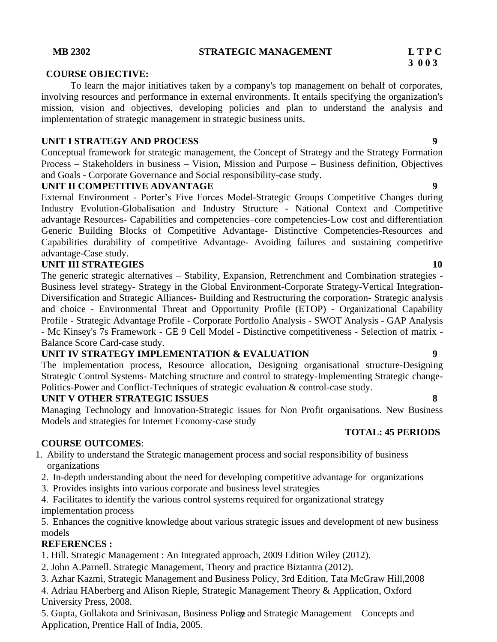#### **MB 2302 STRATEGIC MANAGEMENT L T P C**

#### **COURSE OBJECTIVE:**

To learn the major initiatives taken by a company's top management on behalf of corporates, involving resources and performance in external environments. It entails specifying the organization's mission, vision and objectives, developing policies and plan to understand the analysis and implementation of strategic management in strategic business units.

#### **UNIT I STRATEGY AND PROCESS 9**

Conceptual framework for strategic management, the Concept of Strategy and the Strategy Formation Process – Stakeholders in business – Vision, Mission and Purpose – Business definition, Objectives and Goals - Corporate Governance and Social responsibility-case study.

#### **UNIT II COMPETITIVE ADVANTAGE 9**

External Environment - Porter's Five Forces Model-Strategic Groups Competitive Changes during Industry Evolution-Globalisation and Industry Structure - National Context and Competitive advantage Resources- Capabilities and competencies–core competencies-Low cost and differentiation Generic Building Blocks of Competitive Advantage- Distinctive Competencies-Resources and Capabilities durability of competitive Advantage- Avoiding failures and sustaining competitive advantage-Case study.

#### **UNIT III STRATEGIES** 10

The generic strategic alternatives – Stability, Expansion, Retrenchment and Combination strategies - Business level strategy- Strategy in the Global Environment-Corporate Strategy-Vertical Integration-Diversification and Strategic Alliances- Building and Restructuring the corporation- Strategic analysis and choice - Environmental Threat and Opportunity Profile (ETOP) - Organizational Capability Profile - Strategic Advantage Profile - Corporate Portfolio Analysis - SWOT Analysis - GAP Analysis - Mc Kinsey's 7s Framework - GE 9 Cell Model - Distinctive competitiveness - Selection of matrix - Balance Score Card-case study.

### **UNIT IV STRATEGY IMPLEMENTATION & EVALUATION 9**

The implementation process, Resource allocation, Designing organisational structure-Designing Strategic Control Systems- Matching structure and control to strategy-Implementing Strategic change-Politics-Power and Conflict-Techniques of strategic evaluation & control-case study.

### **UNIT V OTHER STRATEGIC ISSUES 8**

Managing Technology and Innovation-Strategic issues for Non Profit organisations. New Business Models and strategies for Internet Economy-case study

#### **COURSE OUTCOMES**:

1. Ability to understand the Strategic management process and social responsibility of business organizations

- 2. In-depth understanding about the need for developing competitive advantage for organizations
- 3. Provides insights into various corporate and business level strategies

4. Facilitates to identify the various control systems required for organizational strategy implementation process

5. Enhances the cognitive knowledge about various strategic issues and development of new business models

# **REFERENCES :**

1. Hill. Strategic Management : An Integrated approach, 2009 Edition Wiley (2012).

2. John A.Parnell. Strategic Management, Theory and practice Biztantra (2012).

3. Azhar Kazmi, Strategic Management and Business Policy, 3rd Edition, Tata McGraw Hill,2008

4. Adriau HAberberg and Alison Rieple, Strategic Management Theory & Application, Oxford University Press, 2008.

5. Gupta, Gollakota and Srinivasan, Business Policy and Strategic Management - Concepts and Application, Prentice Hall of India, 2005.

#### **TOTAL: 45 PERIODS**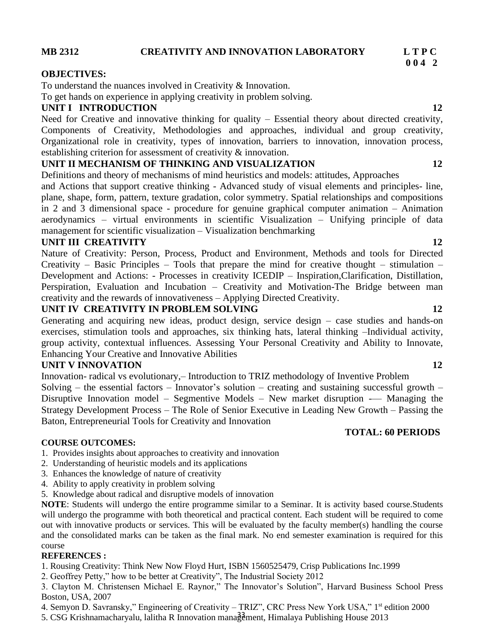#### **MB 2312 CREATIVITY AND INNOVATION LABORATORY L T P C**

#### **OBJECTIVES:**

To understand the nuances involved in Creativity & Innovation.

To get hands on experience in applying creativity in problem solving.

#### **UNIT I INTRODUCTION** 12

Need for Creative and innovative thinking for quality – Essential theory about directed creativity, Components of Creativity, Methodologies and approaches, individual and group creativity, Organizational role in creativity, types of innovation, barriers to innovation, innovation process, establishing criterion for assessment of creativity & innovation.

#### **UNIT II MECHANISM OF THINKING AND VISUALIZATION 12**

Definitions and theory of mechanisms of mind heuristics and models: attitudes, Approaches

and Actions that support creative thinking - Advanced study of visual elements and principles- line, plane, shape, form, pattern, texture gradation, color symmetry. Spatial relationships and compositions in 2 and 3 dimensional space - procedure for genuine graphical computer animation – Animation aerodynamics – virtual environments in scientific Visualization – Unifying principle of data management for scientific visualization – Visualization benchmarking

# **UNIT III CREATIVITY** 12

Nature of Creativity: Person, Process, Product and Environment, Methods and tools for Directed Creativity – Basic Principles – Tools that prepare the mind for creative thought – stimulation – Development and Actions: - Processes in creativity ICEDIP – Inspiration,Clarification, Distillation, Perspiration, Evaluation and Incubation – Creativity and Motivation-The Bridge between man creativity and the rewards of innovativeness – Applying Directed Creativity.

#### **UNIT IV CREATIVITY IN PROBLEM SOLVING 12**

Generating and acquiring new ideas, product design, service design – case studies and hands-on exercises, stimulation tools and approaches, six thinking hats, lateral thinking –Individual activity, group activity, contextual influences. Assessing Your Personal Creativity and Ability to Innovate, Enhancing Your Creative and Innovative Abilities

### **UNIT V INNOVATION 12**

Innovation- radical vs evolutionary,– Introduction to TRIZ methodology of Inventive Problem Solving – the essential factors – Innovator's solution – creating and sustaining successful growth – Disruptive Innovation model – Segmentive Models – New market disruption -— Managing the Strategy Development Process – The Role of Senior Executive in Leading New Growth – Passing the Baton, Entrepreneurial Tools for Creativity and Innovation

#### **COURSE OUTCOMES:**

- 1. Provides insights about approaches to creativity and innovation
- 2. Understanding of heuristic models and its applications
- 3. Enhances the knowledge of nature of creativity
- 4. Ability to apply creativity in problem solving
- 5. Knowledge about radical and disruptive models of innovation

**NOTE**: Students will undergo the entire programme similar to a Seminar. It is activity based course.Students will undergo the programme with both theoretical and practical content. Each student will be required to come out with innovative products or services. This will be evaluated by the faculty member(s) handling the course and the consolidated marks can be taken as the final mark. No end semester examination is required for this course

#### **REFERENCES :**

1. Rousing Creativity: Think New Now Floyd Hurt, ISBN 1560525479, Crisp Publications Inc.1999

2. Geoffrey Petty," how to be better at Creativity", The Industrial Society 2012

3. Clayton M. Christensen Michael E. Raynor," The Innovator's Solution", Harvard Business School Press Boston, USA, 2007

4. Semyon D. Savransky," Engineering of Creativity - TRIZ", CRC Press New York USA," 1st edition 2000

5. CSG Krishnamacharyalu, lalitha R Innovation management, Himalaya Publishing House 2013

### **TOTAL: 60 PERIODS**

# **0 0 4 2**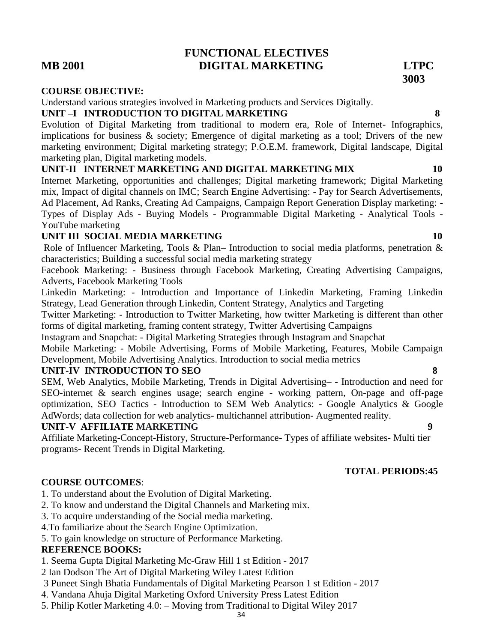5. Philip Kotler Marketing 4.0: – Moving from Traditional to Digital Wiley 2017

# **MB 2001 DIGITAL MARKETING LTPC**

#### **COURSE OBJECTIVE:**

### Understand various strategies involved in Marketing products and Services Digitally.

# **UNIT –I INTRODUCTION TO DIGITAL MARKETING 8**

Evolution of Digital Marketing from traditional to modern era, Role of Internet- Infographics, implications for business & society; Emergence of digital marketing as a tool; Drivers of the new marketing environment; Digital marketing strategy; P.O.E.M. framework, Digital landscape, Digital marketing plan, Digital marketing models.

**FUNCTIONAL ELECTIVES**

#### **UNIT-II INTERNET MARKETING AND DIGITAL MARKETING MIX 10**

Internet Marketing, opportunities and challenges; Digital marketing framework; Digital Marketing mix, Impact of digital channels on IMC; Search Engine Advertising: - Pay for Search Advertisements, Ad Placement, Ad Ranks, Creating Ad Campaigns, Campaign Report Generation Display marketing: - Types of Display Ads - Buying Models - Programmable Digital Marketing - Analytical Tools - YouTube marketing

# **UNIT III SOCIAL MEDIA MARKETING 10**

Role of Influencer Marketing, Tools & Plan– Introduction to social media platforms, penetration & characteristics; Building a successful social media marketing strategy

Facebook Marketing: - Business through Facebook Marketing, Creating Advertising Campaigns, Adverts, Facebook Marketing Tools

Linkedin Marketing: - Introduction and Importance of Linkedin Marketing, Framing Linkedin Strategy, Lead Generation through Linkedin, Content Strategy, Analytics and Targeting

Twitter Marketing: - Introduction to Twitter Marketing, how twitter Marketing is different than other forms of digital marketing, framing content strategy, Twitter Advertising Campaigns

Instagram and Snapchat: - Digital Marketing Strategies through Instagram and Snapchat

Mobile Marketing: - Mobile Advertising, Forms of Mobile Marketing, Features, Mobile Campaign Development, Mobile Advertising Analytics. Introduction to social media metrics

### **UNIT-IV INTRODUCTION TO SEO 8**

SEM, Web Analytics, Mobile Marketing, Trends in Digital Advertising– - Introduction and need for SEO-internet & search engines usage; search engine - working pattern, On-page and off-page optimization, SEO Tactics - Introduction to SEM Web Analytics: - Google Analytics & Google AdWords; data collection for web analytics- multichannel attribution- Augmented reality.

### **UNIT-V AFFILIATE MARKETING 9**

Affiliate Marketing-Concept-History, Structure-Performance- Types of affiliate websites- Multi tier programs- Recent Trends in Digital Marketing.

### **COURSE OUTCOMES**:

- 1. To understand about the Evolution of Digital Marketing.
- 2. To know and understand the Digital Channels and Marketing mix.
- 3. To acquire understanding of the Social media marketing.
- 4.To familiarize about the Search Engine Optimization.
- 5. To gain knowledge on structure of Performance Marketing.

### **REFERENCE BOOKS:**

1. Seema Gupta Digital Marketing Mc-Graw Hill 1 st Edition - 2017

2 Ian Dodson The Art of Digital Marketing Wiley Latest Edition

- 3 Puneet Singh Bhatia Fundamentals of Digital Marketing Pearson 1 st Edition 2017
- 4. Vandana Ahuja Digital Marketing Oxford University Press Latest Edition
	-

**3003**

### **TOTAL PERIODS:45**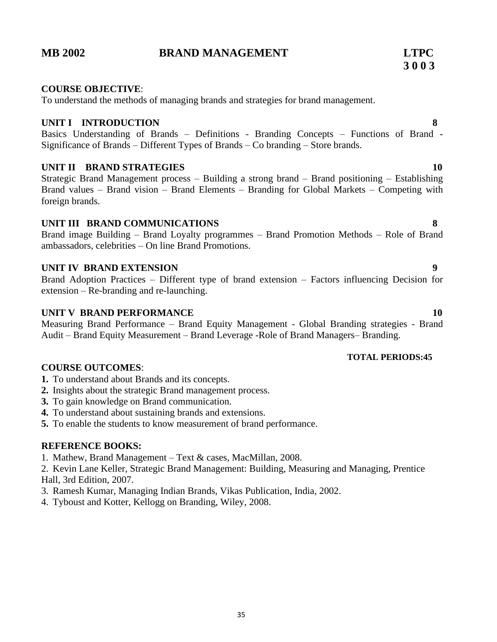# **MB 2002 BRAND MANAGEMENT LTPC**

#### **COURSE OBJECTIVE**:

To understand the methods of managing brands and strategies for brand management.

#### **UNIT I INTRODUCTION 8**

Basics Understanding of Brands – Definitions - Branding Concepts – Functions of Brand - Significance of Brands – Different Types of Brands – Co branding – Store brands.

### **UNIT II BRAND STRATEGIES** 10

Strategic Brand Management process – Building a strong brand – Brand positioning – Establishing Brand values – Brand vision – Brand Elements – Branding for Global Markets – Competing with foreign brands.

### **UNIT III BRAND COMMUNICATIONS 8**

Brand image Building – Brand Loyalty programmes – Brand Promotion Methods – Role of Brand ambassadors, celebrities – On line Brand Promotions.

### **UNIT IV BRAND EXTENSION** 9

Brand Adoption Practices – Different type of brand extension – Factors influencing Decision for extension – Re-branding and re-launching.

### **UNIT V BRAND PERFORMANCE** 10

Measuring Brand Performance – Brand Equity Management - Global Branding strategies - Brand Audit – Brand Equity Measurement – Brand Leverage -Role of Brand Managers– Branding.

#### **TOTAL PERIODS:45**

### **COURSE OUTCOMES**:

- **1.** To understand about Brands and its concepts.
- **2.** Insights about the strategic Brand management process.
- **3.** To gain knowledge on Brand communication.
- **4.** To understand about sustaining brands and extensions.
- **5.** To enable the students to know measurement of brand performance.

### **REFERENCE BOOKS:**

1. Mathew, Brand Management – Text & cases, MacMillan, 2008.

2. Kevin Lane Keller, Strategic Brand Management: Building, Measuring and Managing, Prentice Hall, 3rd Edition, 2007.

- 3. Ramesh Kumar, Managing Indian Brands, Vikas Publication, India, 2002.
- 4. Tyboust and Kotter, Kellogg on Branding, Wiley, 2008.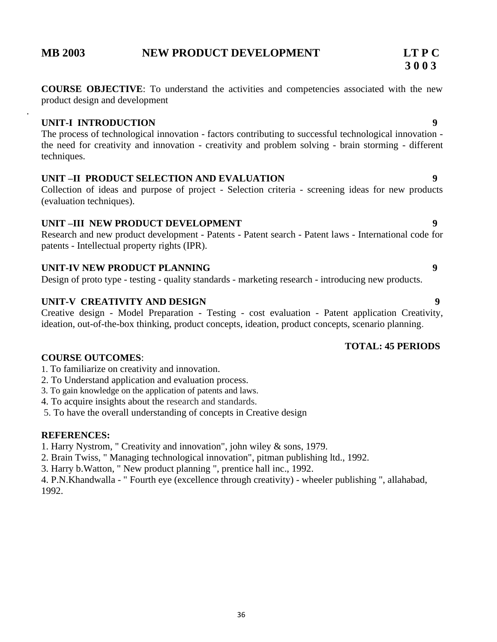.

# **MB 2003 NEW PRODUCT DEVELOPMENT LT P C**

### **UNIT-I INTRODUCTION 9**

The process of technological innovation - factors contributing to successful technological innovation the need for creativity and innovation - creativity and problem solving - brain storming - different techniques.

# **UNIT –II PRODUCT SELECTION AND EVALUATION 9**

Collection of ideas and purpose of project - Selection criteria - screening ideas for new products (evaluation techniques).

# **UNIT –III NEW PRODUCT DEVELOPMENT 9**

Research and new product development - Patents - Patent search - Patent laws - International code for patents - Intellectual property rights (IPR).

# **UNIT-IV NEW PRODUCT PLANNING 9**

Design of proto type - testing - quality standards - marketing research - introducing new products.

# **UNIT-V CREATIVITY AND DESIGN 9**

Creative design - Model Preparation - Testing - cost evaluation - Patent application Creativity, ideation, out-of-the-box thinking, product concepts, ideation, product concepts, scenario planning.

### **TOTAL: 45 PERIODS**

### **COURSE OUTCOMES**:

- 1. To familiarize on creativity and innovation.
- 2. To Understand application and evaluation process.
- 3. To gain knowledge on the application of patents and laws.
- 4. To acquire insights about the research and standards.
- 5. To have the overall understanding of concepts in Creative design

### **REFERENCES:**

1. Harry Nystrom, " Creativity and innovation", john wiley & sons, 1979.

- 2. Brain Twiss, " Managing technological innovation", pitman publishing ltd., 1992.
- 3. Harry b.Watton, " New product planning ", prentice hall inc., 1992.

4. P.N.Khandwalla - " Fourth eye (excellence through creativity) - wheeler publishing ", allahabad, 1992.

**3 0 0 3**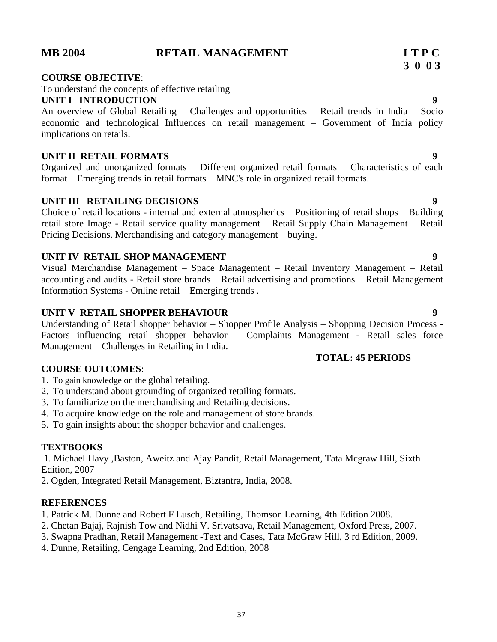# **MB 2004 RETAIL MANAGEMENT LT P C**

# **COURSE OBJECTIVE**:

To understand the concepts of effective retailing

# **UNIT I INTRODUCTION 9**

An overview of Global Retailing – Challenges and opportunities – Retail trends in India – Socio economic and technological Influences on retail management – Government of India policy implications on retails.

### **UNIT II RETAIL FORMATS 9**

Organized and unorganized formats – Different organized retail formats – Characteristics of each format – Emerging trends in retail formats – MNC's role in organized retail formats.

# **UNIT III RETAILING DECISIONS 9**

Choice of retail locations - internal and external atmospherics – Positioning of retail shops – Building retail store Image - Retail service quality management – Retail Supply Chain Management – Retail Pricing Decisions. Merchandising and category management – buying.

### **UNIT IV RETAIL SHOP MANAGEMENT 9**

Visual Merchandise Management – Space Management – Retail Inventory Management – Retail accounting and audits - Retail store brands – Retail advertising and promotions – Retail Management Information Systems - Online retail – Emerging trends .

### **UNIT V RETAIL SHOPPER BEHAVIOUR 9**

Understanding of Retail shopper behavior – Shopper Profile Analysis – Shopping Decision Process - Factors influencing retail shopper behavior – Complaints Management - Retail sales force Management – Challenges in Retailing in India.

#### **COURSE OUTCOMES**:

- 1. To gain knowledge on the global retailing.
- 2. To understand about grounding of organized retailing formats.
- 3. To familiarize on the merchandising and Retailing decisions.
- 4. To acquire knowledge on the role and management of store brands.
- 5. To gain insights about the shopper behavior and challenges.

#### **TEXTBOOKS**

1. Michael Havy ,Baston, Aweitz and Ajay Pandit, Retail Management, Tata Mcgraw Hill, Sixth Edition, 2007

2. Ogden, Integrated Retail Management, Biztantra, India, 2008.

#### **REFERENCES**

- 1. Patrick M. Dunne and Robert F Lusch, Retailing, Thomson Learning, 4th Edition 2008.
- 2. Chetan Bajaj, Rajnish Tow and Nidhi V. Srivatsava, Retail Management, Oxford Press, 2007.
- 3. Swapna Pradhan, Retail Management -Text and Cases, Tata McGraw Hill, 3 rd Edition, 2009.
- 4. Dunne, Retailing, Cengage Learning, 2nd Edition, 2008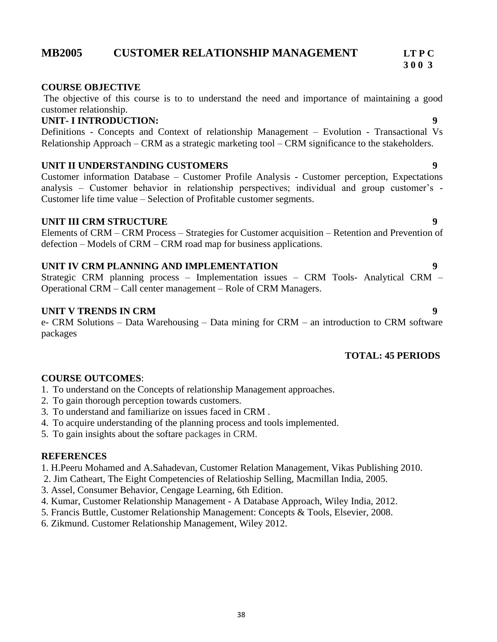# **MB2005 CUSTOMER RELATIONSHIP MANAGEMENT LT P C**

#### **COURSE OBJECTIVE**

The objective of this course is to to understand the need and importance of maintaining a good customer relationship.

#### **UNIT- I INTRODUCTION: 9**

Definitions - Concepts and Context of relationship Management – Evolution - Transactional Vs Relationship Approach – CRM as a strategic marketing tool – CRM significance to the stakeholders.

#### **UNIT II UNDERSTANDING CUSTOMERS 9**

Customer information Database – Customer Profile Analysis - Customer perception, Expectations analysis – Customer behavior in relationship perspectives; individual and group customer's - Customer life time value – Selection of Profitable customer segments.

#### **UNIT III CRM STRUCTURE 9**

Elements of CRM – CRM Process – Strategies for Customer acquisition – Retention and Prevention of defection – Models of CRM – CRM road map for business applications.

#### **UNIT IV CRM PLANNING AND IMPLEMENTATION 9**

Strategic CRM planning process – Implementation issues – CRM Tools- Analytical CRM – Operational CRM – Call center management – Role of CRM Managers.

#### **UNIT V TRENDS IN CRM** 9

e- CRM Solutions – Data Warehousing – Data mining for CRM – an introduction to CRM software packages

#### **TOTAL: 45 PERIODS**

#### **COURSE OUTCOMES**:

- 1. To understand on the Concepts of relationship Management approaches.
- 2. To gain thorough perception towards customers.
- 3. To understand and familiarize on issues faced in CRM .
- 4. To acquire understanding of the planning process and tools implemented.
- 5. To gain insights about the softare packages in CRM.

#### **REFERENCES**

1. H.Peeru Mohamed and A.Sahadevan, Customer Relation Management, Vikas Publishing 2010.

- 2. Jim Catheart, The Eight Competencies of Relatioship Selling, Macmillan India, 2005.
- 3. Assel, Consumer Behavior, Cengage Learning, 6th Edition.
- 4. Kumar, Customer Relationship Management A Database Approach, Wiley India, 2012.
- 5. Francis Buttle, Customer Relationship Management: Concepts & Tools, Elsevier, 2008.
- 6. Zikmund. Customer Relationship Management, Wiley 2012.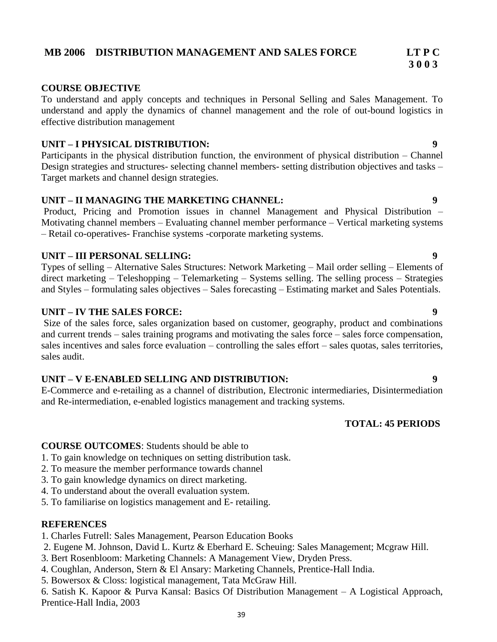#### 39

# **MB 2006 DISTRIBUTION MANAGEMENT AND SALES FORCE LT P C**

#### **COURSE OBJECTIVE**

To understand and apply concepts and techniques in Personal Selling and Sales Management. To understand and apply the dynamics of channel management and the role of out-bound logistics in effective distribution management

#### **UNIT – I PHYSICAL DISTRIBUTION: 9**

Participants in the physical distribution function, the environment of physical distribution – Channel Design strategies and structures- selecting channel members- setting distribution objectives and tasks – Target markets and channel design strategies.

#### **UNIT – II MANAGING THE MARKETING CHANNEL: 9**

Product, Pricing and Promotion issues in channel Management and Physical Distribution – Motivating channel members – Evaluating channel member performance – Vertical marketing systems – Retail co-operatives- Franchise systems -corporate marketing systems.

#### **UNIT – III PERSONAL SELLING: 9**

Types of selling – Alternative Sales Structures: Network Marketing – Mail order selling – Elements of direct marketing – Teleshopping – Telemarketing – Systems selling. The selling process – Strategies and Styles – formulating sales objectives – Sales forecasting – Estimating market and Sales Potentials.

### **UNIT – IV THE SALES FORCE: 9**

Size of the sales force, sales organization based on customer, geography, product and combinations and current trends – sales training programs and motivating the sales force – sales force compensation, sales incentives and sales force evaluation – controlling the sales effort – sales quotas, sales territories, sales audit.

#### **UNIT – V E-ENABLED SELLING AND DISTRIBUTION: 9**

E-Commerce and e-retailing as a channel of distribution, Electronic intermediaries, Disintermediation and Re-intermediation, e-enabled logistics management and tracking systems.

# **TOTAL: 45 PERIODS**

#### **COURSE OUTCOMES**: Students should be able to

- 1. To gain knowledge on techniques on setting distribution task.
- 2. To measure the member performance towards channel
- 3. To gain knowledge dynamics on direct marketing.
- 4. To understand about the overall evaluation system.
- 5. To familiarise on logistics management and E- retailing.

#### **REFERENCES**

1. Charles Futrell: Sales Management, Pearson Education Books

- 2. Eugene M. Johnson, David L. Kurtz & Eberhard E. Scheuing: Sales Management; Mcgraw Hill.
- 3. Bert Rosenbloom: Marketing Channels: A Management View, Dryden Press.
- 4. Coughlan, Anderson, Stern & El Ansary: Marketing Channels, Prentice-Hall India.
- 5. Bowersox & Closs: logistical management, Tata McGraw Hill.

6. Satish K. Kapoor & Purva Kansal: Basics Of Distribution Management – A Logistical Approach, Prentice-Hall India, 2003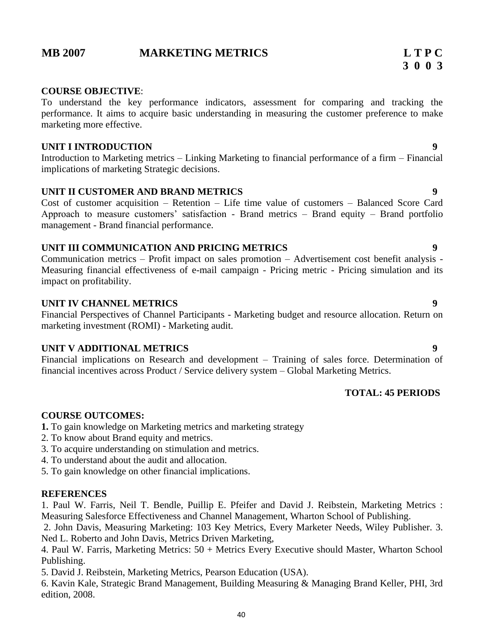# **MB 2007 MARKETING METRICS L T P C**

To understand the key performance indicators, assessment for comparing and tracking the performance. It aims to acquire basic understanding in measuring the customer preference to make marketing more effective.

#### **UNIT I INTRODUCTION** 9

Introduction to Marketing metrics – Linking Marketing to financial performance of a firm – Financial implications of marketing Strategic decisions.

#### **UNIT II CUSTOMER AND BRAND METRICS 9**

Cost of customer acquisition – Retention – Life time value of customers – Balanced Score Card Approach to measure customers' satisfaction - Brand metrics – Brand equity – Brand portfolio management - Brand financial performance.

### **UNIT III COMMUNICATION AND PRICING METRICS 9**

Communication metrics – Profit impact on sales promotion – Advertisement cost benefit analysis - Measuring financial effectiveness of e-mail campaign - Pricing metric - Pricing simulation and its impact on profitability.

#### **UNIT IV CHANNEL METRICS 9**

Financial Perspectives of Channel Participants - Marketing budget and resource allocation. Return on marketing investment (ROMI) - Marketing audit.

### **UNIT V ADDITIONAL METRICS 9**

Financial implications on Research and development – Training of sales force. Determination of financial incentives across Product / Service delivery system – Global Marketing Metrics.

# **TOTAL: 45 PERIODS**

#### **COURSE OUTCOMES:**

- **1.** To gain knowledge on Marketing metrics and marketing strategy
- 2. To know about Brand equity and metrics.
- 3. To acquire understanding on stimulation and metrics.
- 4. To understand about the audit and allocation.
- 5. To gain knowledge on other financial implications.

#### **REFERENCES**

1. Paul W. Farris, Neil T. Bendle, Puillip E. Pfeifer and David J. Reibstein, Marketing Metrics : Measuring Salesforce Effectiveness and Channel Management, Wharton School of Publishing.

2. John Davis, Measuring Marketing: 103 Key Metrics, Every Marketer Needs, Wiley Publisher. 3. Ned L. Roberto and John Davis, Metrics Driven Marketing,

4. Paul W. Farris, Marketing Metrics: 50 + Metrics Every Executive should Master, Wharton School Publishing.

5. David J. Reibstein, Marketing Metrics, Pearson Education (USA).

6. Kavin Kale, Strategic Brand Management, Building Measuring & Managing Brand Keller, PHI, 3rd edition, 2008.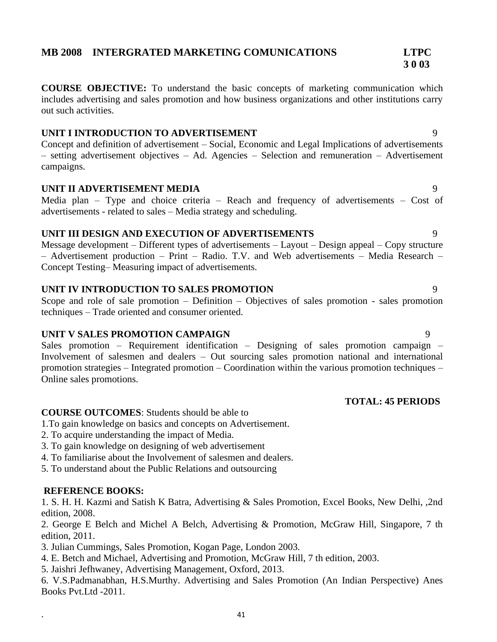# **MB 2008 INTERGRATED MARKETING COMUNICATIONS LTPC**

**COURSE OBJECTIVE:** To understand the basic concepts of marketing communication which includes advertising and sales promotion and how business organizations and other institutions carry out such activities.

#### **UNIT I INTRODUCTION TO ADVERTISEMENT** 9

Concept and definition of advertisement – Social, Economic and Legal Implications of advertisements – setting advertisement objectives – Ad. Agencies – Selection and remuneration – Advertisement campaigns.

#### **UNIT II ADVERTISEMENT MEDIA** 9

Media plan – Type and choice criteria – Reach and frequency of advertisements – Cost of advertisements - related to sales – Media strategy and scheduling.

#### **UNIT III DESIGN AND EXECUTION OF ADVERTISEMENTS** 9

Message development – Different types of advertisements – Layout – Design appeal – Copy structure – Advertisement production – Print – Radio. T.V. and Web advertisements – Media Research – Concept Testing– Measuring impact of advertisements.

#### **UNIT IV INTRODUCTION TO SALES PROMOTION** 9

Scope and role of sale promotion – Definition – Objectives of sales promotion - sales promotion techniques – Trade oriented and consumer oriented.

#### **UNIT V SALES PROMOTION CAMPAIGN** 9

Sales promotion – Requirement identification – Designing of sales promotion campaign – Involvement of salesmen and dealers – Out sourcing sales promotion national and international promotion strategies – Integrated promotion – Coordination within the various promotion techniques – Online sales promotions.

# **TOTAL: 45 PERIODS**

#### **COURSE OUTCOMES**: Students should be able to

1.To gain knowledge on basics and concepts on Advertisement.

- 2. To acquire understanding the impact of Media.
- 3. To gain knowledge on designing of web advertisement
- 4. To familiarise about the Involvement of salesmen and dealers.
- 5. To understand about the Public Relations and outsourcing

#### **REFERENCE BOOKS:**

.

1. S. H. H. Kazmi and Satish K Batra, Advertising & Sales Promotion, Excel Books, New Delhi, ,2nd edition, 2008.

2. George E Belch and Michel A Belch, Advertising & Promotion, McGraw Hill, Singapore, 7 th edition, 2011.

3. Julian Cummings, Sales Promotion, Kogan Page, London 2003.

4. E. Betch and Michael, Advertising and Promotion, McGraw Hill, 7 th edition, 2003.

5. Jaishri Jefhwaney, Advertising Management, Oxford, 2013.

6. V.S.Padmanabhan, H.S.Murthy. Advertising and Sales Promotion (An Indian Perspective) Anes Books Pvt.Ltd -2011.

# **3 0 03**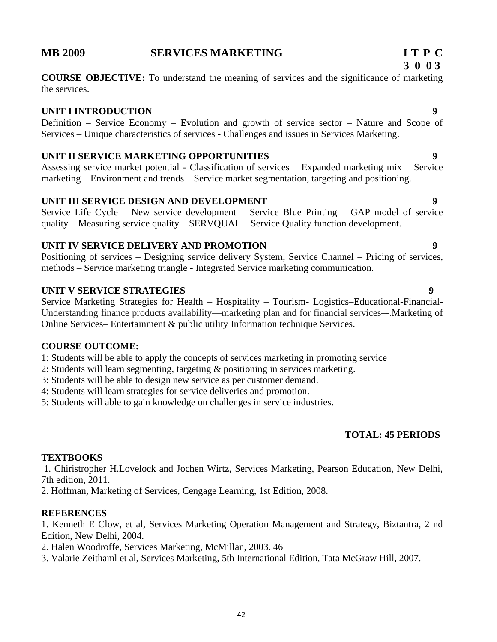# **MB 2009 SERVICES MARKETING LT P C**

**COURSE OBJECTIVE:** To understand the meaning of services and the significance of marketing the services.

### **UNIT I INTRODUCTION 9**

Definition – Service Economy – Evolution and growth of service sector – Nature and Scope of Services – Unique characteristics of services - Challenges and issues in Services Marketing.

### **UNIT II SERVICE MARKETING OPPORTUNITIES 9**

Assessing service market potential - Classification of services – Expanded marketing mix – Service marketing – Environment and trends – Service market segmentation, targeting and positioning.

### **UNIT III SERVICE DESIGN AND DEVELOPMENT 9**

Service Life Cycle – New service development – Service Blue Printing – GAP model of service quality – Measuring service quality – SERVQUAL – Service Quality function development.

### **UNIT IV SERVICE DELIVERY AND PROMOTION 9**

Positioning of services – Designing service delivery System, Service Channel – Pricing of services, methods – Service marketing triangle - Integrated Service marketing communication.

### **UNIT V SERVICE STRATEGIES 9**

Service Marketing Strategies for Health – Hospitality – Tourism- Logistics–Educational-Financial-Understanding finance products availability—marketing plan and for financial services–-.Marketing of Online Services– Entertainment & public utility Information technique Services.

#### **COURSE OUTCOME:**

1: Students will be able to apply the concepts of services marketing in promoting service

- 2: Students will learn segmenting, targeting & positioning in services marketing.
- 3: Students will be able to design new service as per customer demand.
- 4: Students will learn strategies for service deliveries and promotion.
- 5: Students will able to gain knowledge on challenges in service industries.

### **TOTAL: 45 PERIODS**

### **TEXTBOOKS**

1. Chiristropher H.Lovelock and Jochen Wirtz, Services Marketing, Pearson Education, New Delhi, 7th edition, 2011.

2. Hoffman, Marketing of Services, Cengage Learning, 1st Edition, 2008.

#### **REFERENCES**

1. Kenneth E Clow, et al, Services Marketing Operation Management and Strategy, Biztantra, 2 nd Edition, New Delhi, 2004.

- 2. Halen Woodroffe, Services Marketing, McMillan, 2003. 46
- 3. Valarie Zeithaml et al, Services Marketing, 5th International Edition, Tata McGraw Hill, 2007.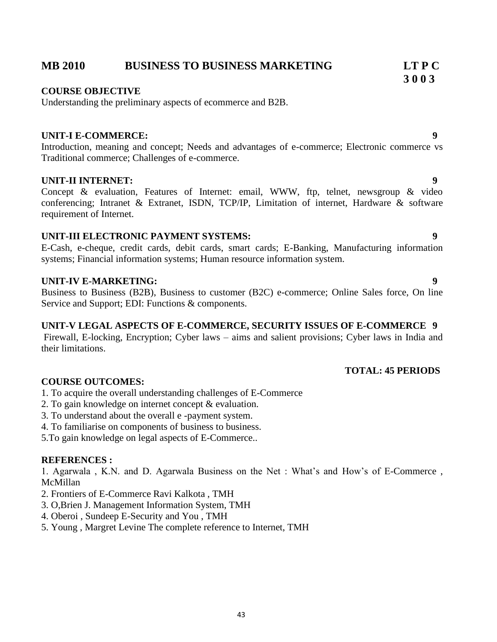# **MB 2010 BUSINESS TO BUSINESS MARKETING LT P C**

#### **COURSE OBJECTIVE**

Understanding the preliminary aspects of ecommerce and B2B.

#### **UNIT-I E-COMMERCE: 9**

Introduction, meaning and concept; Needs and advantages of e-commerce; Electronic commerce vs Traditional commerce; Challenges of e-commerce.

#### **UNIT-II INTERNET: 9**

Concept & evaluation, Features of Internet: email, WWW, ftp, telnet, newsgroup & video conferencing; Intranet & Extranet, ISDN, TCP/IP, Limitation of internet, Hardware & software requirement of Internet.

#### **UNIT-III ELECTRONIC PAYMENT SYSTEMS: 9**

E-Cash, e-cheque, credit cards, debit cards, smart cards; E-Banking, Manufacturing information systems; Financial information systems; Human resource information system.

#### **UNIT-IV E-MARKETING: 9**

Business to Business (B2B), Business to customer (B2C) e-commerce; Online Sales force, On line Service and Support; EDI: Functions & components.

#### **UNIT-V LEGAL ASPECTS OF E-COMMERCE, SECURITY ISSUES OF E-COMMERCE 9**

Firewall, E-locking, Encryption; Cyber laws – aims and salient provisions; Cyber laws in India and their limitations.

#### **COURSE OUTCOMES:**

- 1. To acquire the overall understanding challenges of E-Commerce
- 2. To gain knowledge on internet concept & evaluation.
- 3. To understand about the overall e -payment system.
- 4. To familiarise on components of business to business.
- 5.To gain knowledge on legal aspects of E-Commerce..

#### **REFERENCES :**

1. Agarwala , K.N. and D. Agarwala Business on the Net : What's and How's of E-Commerce , McMillan

- 2. Frontiers of E-Commerce Ravi Kalkota , TMH
- 3. O,Brien J. Management Information System, TMH
- 4. Oberoi , Sundeep E-Security and You , TMH
- 5. Young , Margret Levine The complete reference to Internet, TMH

# **TOTAL: 45 PERIODS**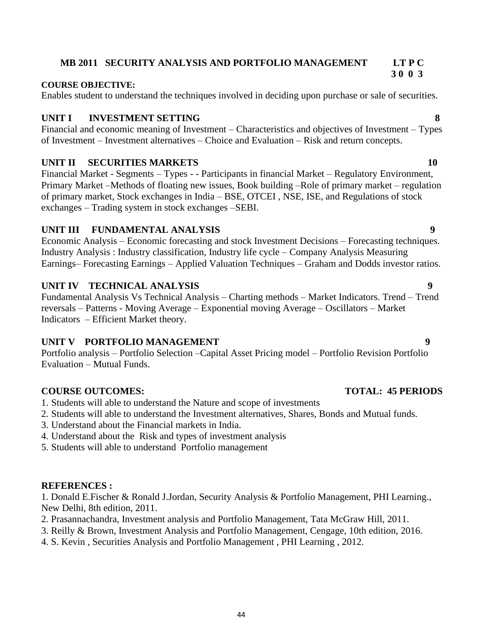# **MB 2011 SECURITY ANALYSIS AND PORTFOLIO MANAGEMENT LT P C**

#### **COURSE OBJECTIVE:**

Enables student to understand the techniques involved in deciding upon purchase or sale of securities.

## **UNIT I INVESTMENT SETTING 8**

Financial and economic meaning of Investment – Characteristics and objectives of Investment – Types of Investment – Investment alternatives – Choice and Evaluation – Risk and return concepts.

### **UNIT II SECURITIES MARKETS** 10

Financial Market - Segments – Types - - Participants in financial Market – Regulatory Environment, Primary Market –Methods of floating new issues, Book building –Role of primary market – regulation of primary market, Stock exchanges in India – BSE, OTCEI , NSE, ISE, and Regulations of stock exchanges – Trading system in stock exchanges –SEBI.

### **UNIT III FUNDAMENTAL ANALYSIS 9**

Economic Analysis – Economic forecasting and stock Investment Decisions – Forecasting techniques. Industry Analysis : Industry classification, Industry life cycle – Company Analysis Measuring Earnings– Forecasting Earnings – Applied Valuation Techniques – Graham and Dodds investor ratios.

### **UNIT IV TECHNICAL ANALYSIS 9**

Fundamental Analysis Vs Technical Analysis – Charting methods – Market Indicators. Trend – Trend reversals – Patterns - Moving Average – Exponential moving Average – Oscillators – Market Indicators – Efficient Market theory.

### **UNIT V PORTFOLIO MANAGEMENT** 9

Portfolio analysis – Portfolio Selection –Capital Asset Pricing model – Portfolio Revision Portfolio Evaluation – Mutual Funds.

#### **COURSE OUTCOMES: TOTAL: 45 PERIODS**

- 1. Students will able to understand the Nature and scope of investments
- 2. Students will able to understand the Investment alternatives, Shares, Bonds and Mutual funds.
- 3. Understand about the Financial markets in India.
- 4. Understand about the Risk and types of investment analysis
- 5. Students will able to understand Portfolio management

#### **REFERENCES :**

1. Donald E.Fischer & Ronald J.Jordan, Security Analysis & Portfolio Management, PHI Learning., New Delhi, 8th edition, 2011.

- 2. Prasannachandra, Investment analysis and Portfolio Management, Tata McGraw Hill, 2011.
- 3. Reilly & Brown, Investment Analysis and Portfolio Management, Cengage, 10th edition, 2016.
- 4. S. Kevin , Securities Analysis and Portfolio Management , PHI Learning , 2012.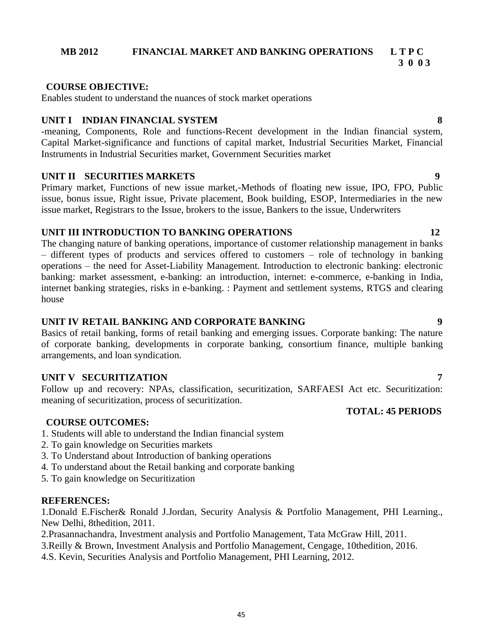### **MB 2012 FINANCIAL MARKET AND BANKING OPERATIONS L T P C**

 **3 0 0 3**

#### **COURSE OBJECTIVE:**

Enables student to understand the nuances of stock market operations

### **UNIT I INDIAN FINANCIAL SYSTEM 8**

-meaning, Components, Role and functions-Recent development in the Indian financial system, Capital Market-significance and functions of capital market, Industrial Securities Market, Financial Instruments in Industrial Securities market, Government Securities market

#### **UNIT II SECURITIES MARKETS 9**

Primary market, Functions of new issue market,-Methods of floating new issue, IPO, FPO, Public issue, bonus issue, Right issue, Private placement, Book building, ESOP, Intermediaries in the new issue market, Registrars to the Issue, brokers to the issue, Bankers to the issue, Underwriters

### **UNIT III INTRODUCTION TO BANKING OPERATIONS 12**

The changing nature of banking operations, importance of customer relationship management in banks – different types of products and services offered to customers – role of technology in banking operations – the need for Asset-Liability Management. Introduction to electronic banking: electronic banking: market assessment, e-banking: an introduction, internet: e-commerce, e-banking in India, internet banking strategies, risks in e-banking. : Payment and settlement systems, RTGS and clearing house

### **UNIT IV RETAIL BANKING AND CORPORATE BANKING 9**

Basics of retail banking, forms of retail banking and emerging issues. Corporate banking: The nature of corporate banking, developments in corporate banking, consortium finance, multiple banking arrangements, and loan syndication.

#### **UNIT V SECURITIZATION 7**

Follow up and recovery: NPAs, classification, securitization, SARFAESI Act etc. Securitization: meaning of securitization, process of securitization.

#### **COURSE OUTCOMES:**

- 1. Students will able to understand the Indian financial system
- 2. To gain knowledge on Securities markets
- 3. To Understand about Introduction of banking operations
- 4. To understand about the Retail banking and corporate banking
- 5. To gain knowledge on Securitization

#### **REFERENCES:**

1.Donald E.Fischer& Ronald J.Jordan, Security Analysis & Portfolio Management, PHI Learning., New Delhi, 8thedition, 2011.

2.Prasannachandra, Investment analysis and Portfolio Management, Tata McGraw Hill, 2011.

- 3.Reilly & Brown, Investment Analysis and Portfolio Management, Cengage, 10thedition, 2016.
- 4.S. Kevin, Securities Analysis and Portfolio Management, PHI Learning, 2012.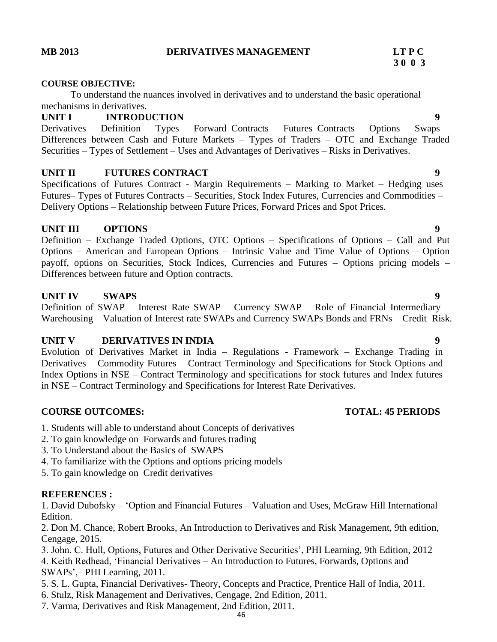#### **MB 2013 DERIVATIVES MANAGEMENT LT P C**

# **3 0 0 3**

#### **COURSE OBJECTIVE:**

To understand the nuances involved in derivatives and to understand the basic operational mechanisms in derivatives.

#### **UNIT I INTRODUCTION 9**

Derivatives – Definition – Types – Forward Contracts – Futures Contracts – Options – Swaps – Differences between Cash and Future Markets – Types of Traders – OTC and Exchange Traded Securities – Types of Settlement – Uses and Advantages of Derivatives – Risks in Derivatives.

#### **UNIT II FUTURES CONTRACT 9**

Specifications of Futures Contract - Margin Requirements – Marking to Market – Hedging uses Futures– Types of Futures Contracts – Securities, Stock Index Futures, Currencies and Commodities – Delivery Options – Relationship between Future Prices, Forward Prices and Spot Prices.

#### **UNIT III OPTIONS 9**

Definition – Exchange Traded Options, OTC Options – Specifications of Options – Call and Put Options – American and European Options – Intrinsic Value and Time Value of Options – Option payoff, options on Securities, Stock Indices, Currencies and Futures – Options pricing models – Differences between future and Option contracts.

#### **UNIT IV SWAPS** 9

Definition of SWAP – Interest Rate SWAP – Currency SWAP – Role of Financial Intermediary – Warehousing – Valuation of Interest rate SWAPs and Currency SWAPs Bonds and FRNs – Credit Risk.

#### **UNIT V DERIVATIVES IN INDIA 9**

Evolution of Derivatives Market in India – Regulations - Framework – Exchange Trading in Derivatives – Commodity Futures – Contract Terminology and Specifications for Stock Options and Index Options in NSE – Contract Terminology and specifications for stock futures and Index futures in NSE – Contract Terminology and Specifications for Interest Rate Derivatives.

#### **COURSE OUTCOMES: TOTAL: 45 PERIODS**

- 1. Students will able to understand about Concepts of derivatives
- 2. To gain knowledge on Forwards and futures trading
- 3. To Understand about the Basics of SWAPS
- 4. To familiarize with the Options and options pricing models
- 5. To gain knowledge on Credit derivatives

#### **REFERENCES :**

1. David Dubofsky – 'Option and Financial Futures – Valuation and Uses, McGraw Hill International Edition.

2. Don M. Chance, Robert Brooks, An Introduction to Derivatives and Risk Management, 9th edition, Cengage, 2015.

3. John. C. Hull, Options, Futures and Other Derivative Securities', PHI Learning, 9th Edition, 2012

4. Keith Redhead, 'Financial Derivatives – An Introduction to Futures, Forwards, Options and SWAPs',– PHI Learning, 2011.

- 5. S. L. Gupta, Financial Derivatives- Theory, Concepts and Practice, Prentice Hall of India, 2011.
- 6. Stulz, Risk Management and Derivatives, Cengage, 2nd Edition, 2011.
- 7. Varma, Derivatives and Risk Management, 2nd Edition, 2011.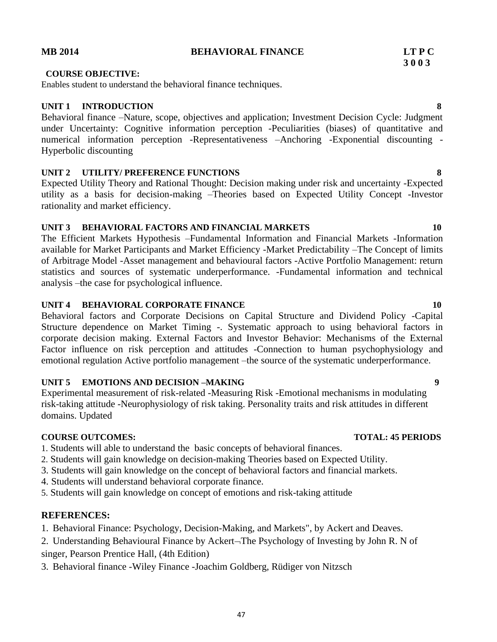47

#### **MB 2014 BEHAVIORAL FINANCE LT P C**

#### **COURSE OBJECTIVE:**

Enables student to understand the behavioral finance techniques.

#### **UNIT 1 INTRODUCTION 8**

Behavioral finance –Nature, scope, objectives and application; Investment Decision Cycle: Judgment under Uncertainty: Cognitive information perception -Peculiarities (biases) of quantitative and numerical information perception -Representativeness –Anchoring -Exponential discounting - Hyperbolic discounting

#### **UNIT 2 UTILITY/ PREFERENCE FUNCTIONS 8**

Expected Utility Theory and Rational Thought: Decision making under risk and uncertainty -Expected utility as a basis for decision-making –Theories based on Expected Utility Concept -Investor rationality and market efficiency.

### **UNIT 3 BEHAVIORAL FACTORS AND FINANCIAL MARKETS 10**

The Efficient Markets Hypothesis –Fundamental Information and Financial Markets -Information available for Market Participants and Market Efficiency -Market Predictability –The Concept of limits of Arbitrage Model -Asset management and behavioural factors -Active Portfolio Management: return statistics and sources of systematic underperformance. -Fundamental information and technical analysis –the case for psychological influence.

#### **UNIT 4 BEHAVIORAL CORPORATE FINANCE** 10

Behavioral factors and Corporate Decisions on Capital Structure and Dividend Policy -Capital Structure dependence on Market Timing -. Systematic approach to using behavioral factors in corporate decision making. External Factors and Investor Behavior: Mechanisms of the External Factor influence on risk perception and attitudes -Connection to human psychophysiology and emotional regulation Active portfolio management –the source of the systematic underperformance.

#### **UNIT 5 EMOTIONS AND DECISION –MAKING 9**

Experimental measurement of risk-related -Measuring Risk -Emotional mechanisms in modulating risk-taking attitude -Neurophysiology of risk taking. Personality traits and risk attitudes in different domains. Updated

#### **COURSE OUTCOMES: TOTAL: 45 PERIODS**

- 1. Students will able to understand the basic concepts of behavioral finances.
- 2. Students will gain knowledge on decision-making Theories based on Expected Utility.
- 3. Students will gain knowledge on the concept of behavioral factors and financial markets.
- 4. Students will understand behavioral corporate finance.
- 5. Students will gain knowledge on concept of emotions and risk-taking attitude

#### **REFERENCES:**

- 1. Behavioral Finance: Psychology, Decision-Making, and Markets", by Ackert and Deaves.
- 2. Understanding Behavioural Finance by Ackert-The Psychology of Investing by John R. N of singer, Pearson Prentice Hall, (4th Edition)
- 3. Behavioral finance -Wiley Finance -Joachim Goldberg, Rüdiger von Nitzsch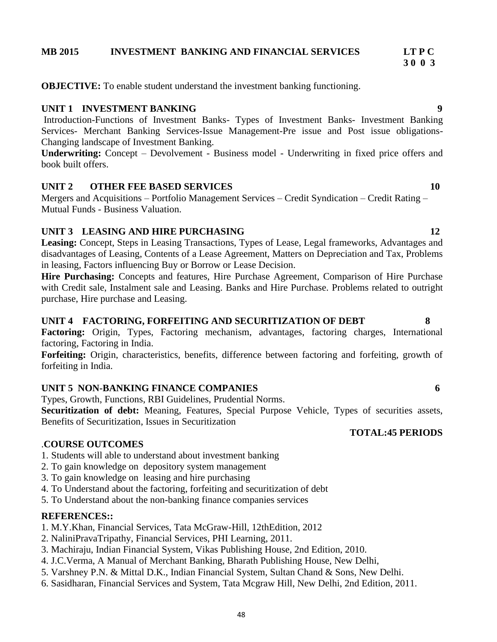6. Sasidharan, Financial Services and System, Tata Mcgraw Hill, New Delhi, 2nd Edition, 2011.

# **3 0 0 3**

**OBJECTIVE:** To enable student understand the investment banking functioning.

### **UNIT 1 INVESTMENT BANKING 9**

Introduction-Functions of Investment Banks- Types of Investment Banks- Investment Banking Services- Merchant Banking Services-Issue Management-Pre issue and Post issue obligations-Changing landscape of Investment Banking.

**Underwriting:** Concept – Devolvement - Business model - Underwriting in fixed price offers and book built offers.

# **UNIT 2 OTHER FEE BASED SERVICES** 10

Mergers and Acquisitions – Portfolio Management Services – Credit Syndication – Credit Rating – Mutual Funds - Business Valuation.

# **UNIT 3 LEASING AND HIRE PURCHASING 12**

**Leasing:** Concept, Steps in Leasing Transactions, Types of Lease, Legal frameworks, Advantages and disadvantages of Leasing, Contents of a Lease Agreement, Matters on Depreciation and Tax, Problems in leasing, Factors influencing Buy or Borrow or Lease Decision.

**Hire Purchasing:** Concepts and features, Hire Purchase Agreement, Comparison of Hire Purchase with Credit sale, Instalment sale and Leasing. Banks and Hire Purchase. Problems related to outright purchase, Hire purchase and Leasing.

# **UNIT 4 FACTORING, FORFEITING AND SECURITIZATION OF DEBT 8**

Factoring: Origin, Types, Factoring mechanism, advantages, factoring charges, International factoring, Factoring in India.

**Forfeiting:** Origin, characteristics, benefits, difference between factoring and forfeiting, growth of forfeiting in India.

# **UNIT 5 NON-BANKING FINANCE COMPANIES 6**

Types, Growth, Functions, RBI Guidelines, Prudential Norms.

**Securitization of debt:** Meaning, Features, Special Purpose Vehicle, Types of securities assets, Benefits of Securitization, Issues in Securitization

### .**COURSE OUTCOMES**

1. Students will able to understand about investment banking

- 2. To gain knowledge on depository system management
- 3. To gain knowledge on leasing and hire purchasing
- 4. To Understand about the factoring, forfeiting and securitization of debt
- 5. To Understand about the non-banking finance companies services

### **REFERENCES::**

- 1. M.Y.Khan, Financial Services, Tata McGraw-Hill, 12thEdition, 2012
- 2. NaliniPravaTripathy, Financial Services, PHI Learning, 2011.
- 3. Machiraju, Indian Financial System, Vikas Publishing House, 2nd Edition, 2010.
- 4. J.C.Verma, A Manual of Merchant Banking, Bharath Publishing House, New Delhi,
- 5. Varshney P.N. & Mittal D.K., Indian Financial System, Sultan Chand & Sons, New Delhi.
-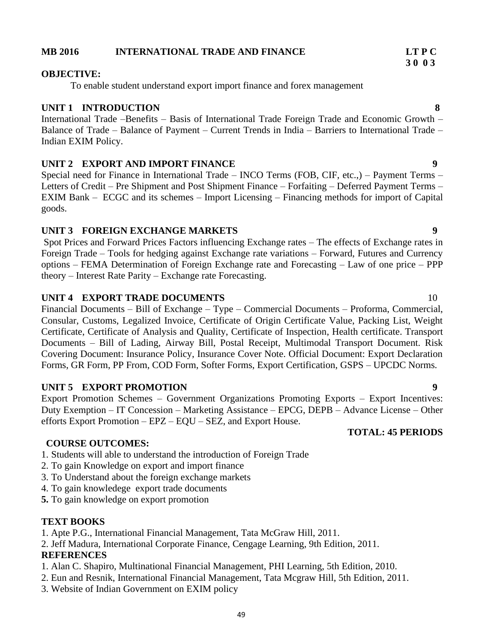# **MB 2016 INTERNATIONAL TRADE AND FINANCE LT P C**

# **OBJECTIVE:**

To enable student understand export import finance and forex management

# **UNIT 1 INTRODUCTION 8**

International Trade –Benefits – Basis of International Trade Foreign Trade and Economic Growth – Balance of Trade – Balance of Payment – Current Trends in India – Barriers to International Trade – Indian EXIM Policy.

# **UNIT 2 EXPORT AND IMPORT FINANCE 9**

Special need for Finance in International Trade – INCO Terms (FOB, CIF, etc.,) – Payment Terms – Letters of Credit – Pre Shipment and Post Shipment Finance – Forfaiting – Deferred Payment Terms – EXIM Bank – ECGC and its schemes – Import Licensing – Financing methods for import of Capital goods.

# **UNIT 3 FOREIGN EXCHANGE MARKETS 9**

Spot Prices and Forward Prices Factors influencing Exchange rates – The effects of Exchange rates in Foreign Trade – Tools for hedging against Exchange rate variations – Forward, Futures and Currency options – FEMA Determination of Foreign Exchange rate and Forecasting – Law of one price – PPP theory – Interest Rate Parity – Exchange rate Forecasting.

# **UNIT 4 EXPORT TRADE DOCUMENTS** 10

Financial Documents – Bill of Exchange – Type – Commercial Documents – Proforma, Commercial, Consular, Customs, Legalized Invoice, Certificate of Origin Certificate Value, Packing List, Weight Certificate, Certificate of Analysis and Quality, Certificate of Inspection, Health certificate. Transport Documents – Bill of Lading, Airway Bill, Postal Receipt, Multimodal Transport Document. Risk Covering Document: Insurance Policy, Insurance Cover Note. Official Document: Export Declaration Forms, GR Form, PP From, COD Form, Softer Forms, Export Certification, GSPS – UPCDC Norms.

# **UNIT 5 EXPORT PROMOTION 9**

Export Promotion Schemes – Government Organizations Promoting Exports – Export Incentives: Duty Exemption – IT Concession – Marketing Assistance – EPCG, DEPB – Advance License – Other efforts Export Promotion – EPZ – EQU – SEZ, and Export House.

# **COURSE OUTCOMES:**

- 1. Students will able to understand the introduction of Foreign Trade
- 2. To gain Knowledge on export and import finance
- 3. To Understand about the foreign exchange markets
- 4. To gain knowledege export trade documents
- **5.** To gain knowledge on export promotion

# **TEXT BOOKS**

1. Apte P.G., International Financial Management, Tata McGraw Hill, 2011.

2. Jeff Madura, International Corporate Finance, Cengage Learning, 9th Edition, 2011.

# **REFERENCES**

- 1. Alan C. Shapiro, Multinational Financial Management, PHI Learning, 5th Edition, 2010.
- 2. Eun and Resnik, International Financial Management, Tata Mcgraw Hill, 5th Edition, 2011.
- 3. Website of Indian Government on EXIM policy

# **TOTAL: 45 PERIODS**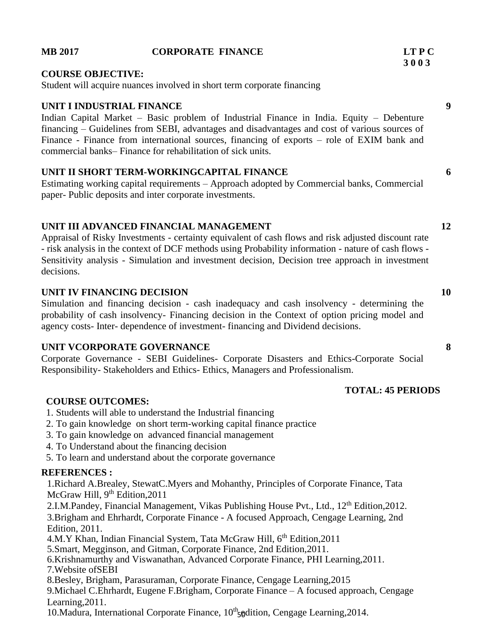### **MB 2017 CORPORATE FINANCE LT P C 3 0 0 3**

#### **COURSE OBJECTIVE:**

Student will acquire nuances involved in short term corporate financing

#### **UNIT I INDUSTRIAL FINANCE 9**

Indian Capital Market – Basic problem of Industrial Finance in India. Equity – Debenture financing – Guidelines from SEBI, advantages and disadvantages and cost of various sources of Finance - Finance from international sources, financing of exports – role of EXIM bank and commercial banks– Finance for rehabilitation of sick units.

#### **UNIT II SHORT TERM-WORKINGCAPITAL FINANCE 6**

Estimating working capital requirements – Approach adopted by Commercial banks, Commercial paper- Public deposits and inter corporate investments.

### **UNIT III ADVANCED FINANCIAL MANAGEMENT 12**

Appraisal of Risky Investments - certainty equivalent of cash flows and risk adjusted discount rate - risk analysis in the context of DCF methods using Probability information - nature of cash flows - Sensitivity analysis - Simulation and investment decision, Decision tree approach in investment decisions.

### **UNIT IV FINANCING DECISION 10**

Simulation and financing decision - cash inadequacy and cash insolvency - determining the probability of cash insolvency- Financing decision in the Context of option pricing model and agency costs- Inter- dependence of investment- financing and Dividend decisions.

#### **UNIT VCORPORATE GOVERNANCE 8**

Corporate Governance - SEBI Guidelines- Corporate Disasters and Ethics-Corporate Social Responsibility- Stakeholders and Ethics- Ethics, Managers and Professionalism.

#### **COURSE OUTCOMES:**

- 1. Students will able to understand the Industrial financing
- 2. To gain knowledge on short term-working capital finance practice
- 3. To gain knowledge on advanced financial management
- 4. To Understand about the financing decision
- 5. To learn and understand about the corporate governance

#### **REFERENCES :**

1.Richard A.Brealey, StewatC.Myers and Mohanthy, Principles of Corporate Finance, Tata McGraw Hill, 9<sup>th</sup> Edition, 2011

2.I.M.Pandey, Financial Management, Vikas Publishing House Pvt., Ltd., 12<sup>th</sup> Edition, 2012.

3.Brigham and Ehrhardt, Corporate Finance - A focused Approach, Cengage Learning, 2nd Edition, 2011.

4.M.Y Khan, Indian Financial System, Tata McGraw Hill, 6<sup>th</sup> Edition, 2011

5.Smart, Megginson, and Gitman, Corporate Finance, 2nd Edition,2011.

6.Krishnamurthy and Viswanathan, Advanced Corporate Finance, PHI Learning,2011. 7.Website ofSEBI

8.Besley, Brigham, Parasuraman, Corporate Finance, Cengage Learning,2015

9.Michael C.Ehrhardt, Eugene F.Brigham, Corporate Finance – A focused approach, Cengage Learning,2011.

10. Madura, International Corporate Finance, 10<sup>th</sup><sub>50</sub> dition, Cengage Learning, 2014.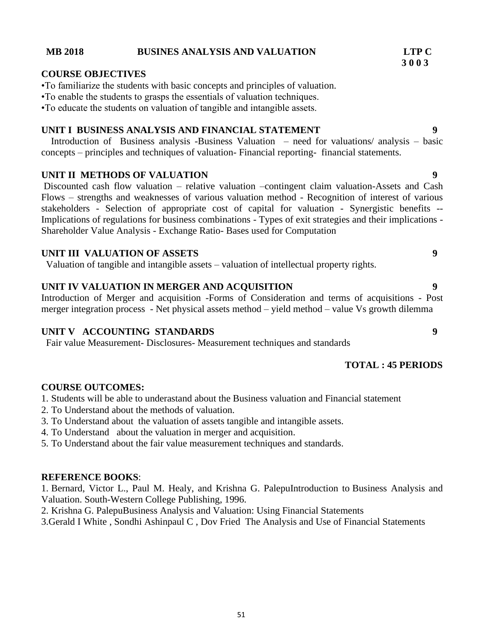#### **MB 2018 BUSINES ANALYSIS AND VALUATION LTP C**

#### **COURSE OBJECTIVES**

•To familiarize the students with basic concepts and principles of valuation.

•To enable the students to grasps the essentials of valuation techniques.

•To educate the students on valuation of tangible and intangible assets.

#### **UNIT I BUSINESS ANALYSIS AND FINANCIAL STATEMENT 9**

Introduction of Business analysis -Business Valuation – need for valuations/ analysis – basic concepts – principles and techniques of valuation- Financial reporting- financial statements.

#### **UNIT II METHODS OF VALUATION 9**

Discounted cash flow valuation – relative valuation –contingent claim valuation-Assets and Cash Flows – strengths and weaknesses of various valuation method - Recognition of interest of various stakeholders - Selection of appropriate cost of capital for valuation - Synergistic benefits -- Implications of regulations for business combinations - Types of exit strategies and their implications - Shareholder Value Analysis - Exchange Ratio- Bases used for Computation

#### **UNIT III VALUATION OF ASSETS 9**

Valuation of tangible and intangible assets – valuation of intellectual property rights.

#### **UNIT IV VALUATION IN MERGER AND ACQUISITION 9**

Introduction of Merger and acquisition -Forms of Consideration and terms of acquisitions - Post merger integration process - Net physical assets method – yield method – value Vs growth dilemma

### **UNIT V ACCOUNTING STANDARDS 9**

Fair value Measurement- Disclosures- Measurement techniques and standards

### **TOTAL : 45 PERIODS**

#### **COURSE OUTCOMES:**

1. Students will be able to underastand about the Business valuation and Financial statement

- 2. To Understand about the methods of valuation.
- 3. To Understand about the valuation of assets tangible and intangible assets.
- 4. To Understand about the valuation in merger and acquisition.
- 5. To Understand about the fair value measurement techniques and standards.

#### **REFERENCE BOOKS**:

1. Bernard, Victor L., Paul M. Healy, and Krishna G. PalepuIntroduction to Business Analysis and Valuation. South-Western College Publishing, 1996.

2. Krishna G. PalepuBusiness Analysis and Valuation: Using Financial Statements

3[.Gerald I White](https://www.amazon.in/s/ref=dp_byline_sr_book_1?ie=UTF8&field-author=Gerald+I+White&search-alias=stripbooks) , [Sondhi Ashinpaul C](https://www.amazon.in/s/ref=dp_byline_sr_book_2?ie=UTF8&field-author=Sondhi+Ashinpaul+C&search-alias=stripbooks) , [Dov Fried](https://www.amazon.in/s/ref=dp_byline_sr_book_3?ie=UTF8&field-author=Dov+Fried&search-alias=stripbooks) The Analysis and Use of Financial Statements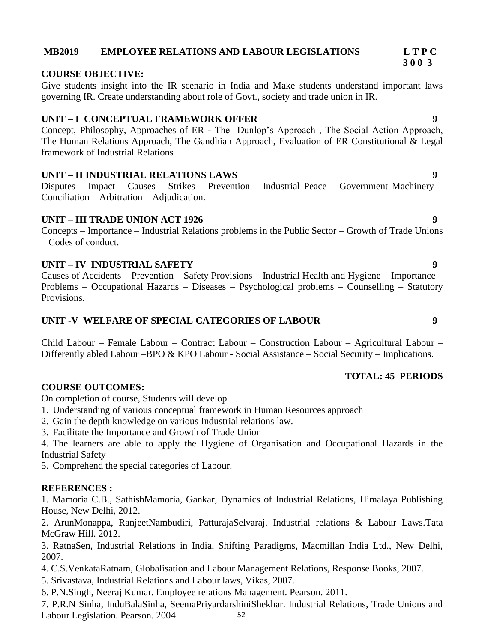### **MB2019 EMPLOYEE RELATIONS AND LABOUR LEGISLATIONS L T P C**

#### **COURSE OBJECTIVE:**

Give students insight into the IR scenario in India and Make students understand important laws governing IR. Create understanding about role of Govt., society and trade union in IR.

#### **UNIT – I CONCEPTUAL FRAMEWORK OFFER 9**

Concept, Philosophy, Approaches of ER - The Dunlop's Approach , The Social Action Approach, The Human Relations Approach, The Gandhian Approach, Evaluation of ER Constitutional & Legal framework of Industrial Relations

#### **UNIT – II INDUSTRIAL RELATIONS LAWS 9**

Disputes – Impact – Causes – Strikes – Prevention – Industrial Peace – Government Machinery – Conciliation – Arbitration – Adjudication.

#### **UNIT – III TRADE UNION ACT 1926 9**

Concepts – Importance – Industrial Relations problems in the Public Sector – Growth of Trade Unions – Codes of conduct.

### **UNIT – IV INDUSTRIAL SAFETY 9**

Causes of Accidents – Prevention – Safety Provisions – Industrial Health and Hygiene – Importance – Problems – Occupational Hazards – Diseases – Psychological problems – Counselling – Statutory Provisions.

#### **UNIT -V WELFARE OF SPECIAL CATEGORIES OF LABOUR 9**

Child Labour – Female Labour – Contract Labour – Construction Labour – Agricultural Labour – Differently abled Labour –BPO & KPO Labour - Social Assistance – Social Security – Implications.

#### **TOTAL: 45 PERIODS**

#### **COURSE OUTCOMES:**

On completion of course, Students will develop

- 1. Understanding of various conceptual framework in Human Resources approach
- 2. Gain the depth knowledge on various Industrial relations law.
- 3. Facilitate the Importance and Growth of Trade Union
- 4. The learners are able to apply the Hygiene of Organisation and Occupational Hazards in the Industrial Safety

5. Comprehend the special categories of Labour.

#### **REFERENCES :**

1. Mamoria C.B., SathishMamoria, Gankar, Dynamics of Industrial Relations, Himalaya Publishing House, New Delhi, 2012.

2. ArunMonappa, RanjeetNambudiri, PatturajaSelvaraj. Industrial relations & Labour Laws.Tata McGraw Hill. 2012.

3. RatnaSen, Industrial Relations in India, Shifting Paradigms, Macmillan India Ltd., New Delhi, 2007.

4. C.S.VenkataRatnam, Globalisation and Labour Management Relations, Response Books, 2007.

5. Srivastava, Industrial Relations and Labour laws, Vikas, 2007.

6. P.N.Singh, Neeraj Kumar. Employee relations Management. Pearson. 2011.

52 7. P.R.N Sinha, InduBalaSinha, SeemaPriyardarshiniShekhar. Industrial Relations, Trade Unions and Labour Legislation. Pearson. 2004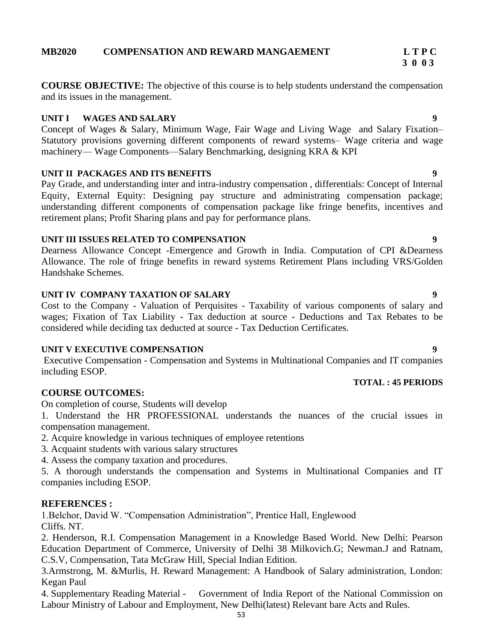**3 0 0 3**

**COURSE OBJECTIVE:** The objective of this course is to help students understand the compensation and its issues in the management.

#### **UNIT I WAGES AND SALARY 9**

Concept of Wages & Salary, Minimum Wage, Fair Wage and Living Wage and Salary Fixation– Statutory provisions governing different components of reward systems– Wage criteria and wage machinery— Wage Components—Salary Benchmarking, designing KRA & KPI

### **UNIT II PACKAGES AND ITS BENEFITS 9**

Pay Grade, and understanding inter and intra-industry compensation , differentials: Concept of Internal Equity, External Equity: Designing pay structure and administrating compensation package; understanding different components of compensation package like fringe benefits, incentives and retirement plans; Profit Sharing plans and pay for performance plans.

### **UNIT III ISSUES RELATED TO COMPENSATION 9**

Dearness Allowance Concept -Emergence and Growth in India. Computation of CPI &Dearness Allowance. The role of fringe benefits in reward systems Retirement Plans including VRS/Golden Handshake Schemes.

### **UNIT IV COMPANY TAXATION OF SALARY 9**

Cost to the Company - Valuation of Perquisites - Taxability of various components of salary and wages; Fixation of Tax Liability - Tax deduction at source - Deductions and Tax Rebates to be considered while deciding tax deducted at source - Tax Deduction Certificates.

### **UNIT V EXECUTIVE COMPENSATION 9**

Executive Compensation - Compensation and Systems in Multinational Companies and IT companies including ESOP.

### **COURSE OUTCOMES:**

On completion of course, Students will develop

1. Understand the HR PROFESSIONAL understands the nuances of the crucial issues in compensation management.

- 2. Acquire knowledge in various techniques of employee retentions
- 3. Acquaint students with various salary structures
- 4. Assess the company taxation and procedures.

5. A thorough understands the compensation and Systems in Multinational Companies and IT companies including ESOP.

# **REFERENCES :**

1.Belchor, David W. "Compensation Administration", Prentice Hall, Englewood Cliffs. NT.

2. Henderson, R.I. Compensation Management in a Knowledge Based World. New Delhi: Pearson Education Department of Commerce, University of Delhi 38 Milkovich.G; Newman.J and Ratnam, C.S.V, Compensation, Tata McGraw Hill, Special Indian Edition.

3.Armstrong, M. &Murlis, H. Reward Management: A Handbook of Salary administration, London: Kegan Paul

4. Supplementary Reading Material - Government of India Report of the National Commission on Labour Ministry of Labour and Employment, New Delhi(latest) Relevant bare Acts and Rules.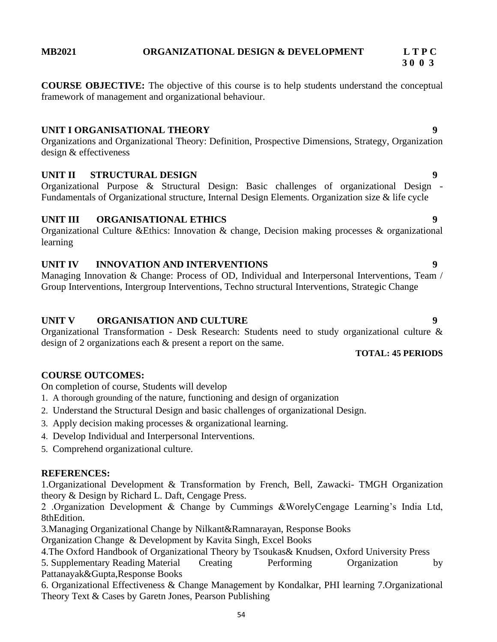**3 0 0 3**

**COURSE OBJECTIVE:** The objective of this course is to help students understand the conceptual framework of management and organizational behaviour.

### **UNIT I ORGANISATIONAL THEORY 9**

Organizations and Organizational Theory: Definition, Prospective Dimensions, Strategy, Organization design & effectiveness

### **UNIT II STRUCTURAL DESIGN 9**

Organizational Purpose & Structural Design: Basic challenges of organizational Design - Fundamentals of Organizational structure, Internal Design Elements. Organization size & life cycle

### **UNIT III ORGANISATIONAL ETHICS 9**

Organizational Culture &Ethics: Innovation & change, Decision making processes & organizational learning

# **UNIT IV INNOVATION AND INTERVENTIONS 9**

Managing Innovation & Change: Process of OD, Individual and Interpersonal Interventions, Team / Group Interventions, Intergroup Interventions, Techno structural Interventions, Strategic Change

### **UNIT V ORGANISATION AND CULTURE 9**

On completion of course, Students will develop

Organizational Transformation - Desk Research: Students need to study organizational culture & design of 2 organizations each & present a report on the same.

#### **TOTAL: 45 PERIODS**

#### 1. A thorough grounding of the nature, functioning and design of organization

**COURSE OUTCOMES:**

- 2. Understand the Structural Design and basic challenges of organizational Design.
- 3. Apply decision making processes & organizational learning.
- 4. Develop Individual and Interpersonal Interventions.
- 5. Comprehend organizational culture.

### **REFERENCES:**

1.Organizational Development & Transformation by French, Bell, Zawacki- TMGH Organization theory & Design by Richard L. Daft, Cengage Press.

2 .Organization Development & Change by Cummings &WorelyCengage Learning's India Ltd, 8thEdition.

3.Managing Organizational Change by Nilkant&Ramnarayan, Response Books

Organization Change & Development by Kavita Singh, Excel Books

4.The Oxford Handbook of Organizational Theory by Tsoukas& Knudsen, Oxford University Press

5. Supplementary Reading Material Creating Performing Organization by Pattanayak&Gupta,Response Books

6. Organizational Effectiveness & Change Management by Kondalkar, PHI learning 7.Organizational Theory Text & Cases by Garetn Jones, Pearson Publishing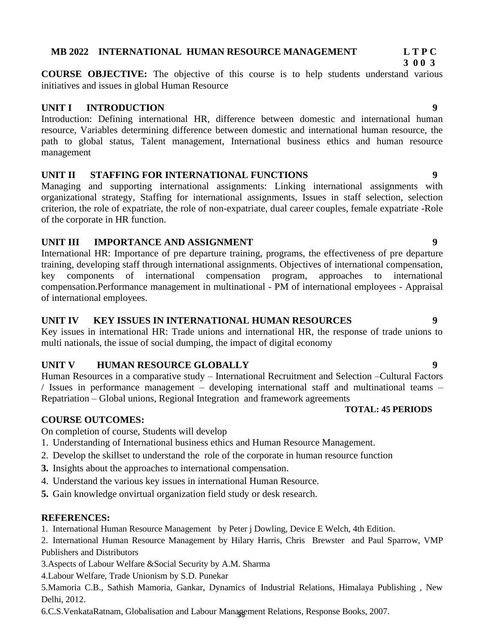**COURSE OBJECTIVE:** The objective of this course is to help students understand various initiatives and issues in global Human Resource

**MB 2022 INTERNATIONAL HUMAN RESOURCE MANAGEMENT L T P C**

# **UNIT I INTRODUCTION 9**

Introduction: Defining international HR, difference between domestic and international human resource, Variables determining difference between domestic and international human resource, the path to global status, Talent management, International business ethics and human resource management

# **UNIT II STAFFING FOR INTERNATIONAL FUNCTIONS 9**

Managing and supporting international assignments: Linking international assignments with organizational strategy, Staffing for international assignments, Issues in staff selection, selection criterion, the role of expatriate, the role of non-expatriate, dual career couples, female expatriate -Role of the corporate in HR function.

# **UNIT III IMPORTANCE AND ASSIGNMENT 9**

International HR: Importance of pre departure training, programs, the effectiveness of pre departure training, developing staff through international assignments. Objectives of international compensation, key components of international compensation program, approaches to international compensation.Performance management in multinational - PM of international employees - Appraisal of international employees.

# **UNIT IV KEY ISSUES IN INTERNATIONAL HUMAN RESOURCES 9**

Key issues in international HR: Trade unions and international HR, the response of trade unions to multi nationals, the issue of social dumping, the impact of digital economy

# **UNIT V HUMAN RESOURCE GLOBALLY 9**

Human Resources in a comparative study – International Recruitment and Selection –Cultural Factors / Issues in performance management – developing international staff and multinational teams – Repatriation – Global unions, Regional Integration and framework agreements

### **TOTAL: 45 PERIODS**

# **COURSE OUTCOMES:**

On completion of course, Students will develop

- 1. Understanding of International business ethics and Human Resource Management.
- 2. Develop the skillset to understand the role of the corporate in human resource function
- **3.** Insights about the approaches to international compensation.
- 4. Understand the various key issues in international Human Resource.
- **5.** Gain knowledge onvirtual organization field study or desk research.

# **REFERENCES:**

- 1. International Human Resource Management by Peter j Dowling, Device E Welch, 4th Edition.
- 2. International Human Resource Management by Hilary Harris, Chris Brewster and Paul Sparrow, VMP Publishers and Distributors
- 3.Aspects of Labour Welfare &Social Security by A.M. Sharma

4.Labour Welfare, Trade Unionism by S.D. Punekar

5.Mamoria C.B., Sathish Mamoria, Gankar, Dynamics of Industrial Relations, Himalaya Publishing , New Delhi, 2012.

55 6.C.S.VenkataRatnam, Globalisation and Labour Management Relations, Response Books, 2007.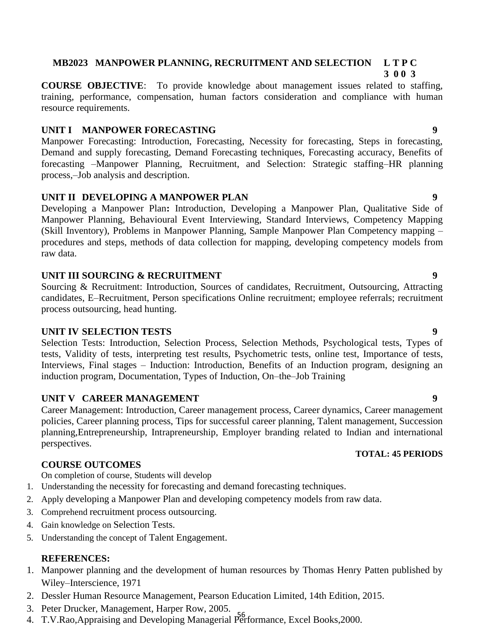# **MB2023 MANPOWER PLANNING, RECRUITMENT AND SELECTION L T P C**

 **3 0 0 3**

**COURSE OBJECTIVE**: To provide knowledge about management issues related to staffing, training, performance, compensation, human factors consideration and compliance with human resource requirements.

# **UNIT I MANPOWER FORECASTING 9**

Manpower Forecasting: Introduction, Forecasting, Necessity for forecasting, Steps in forecasting, Demand and supply forecasting, Demand Forecasting techniques, Forecasting accuracy, Benefits of forecasting –Manpower Planning, Recruitment, and Selection: Strategic staffing–HR planning process,–Job analysis and description.

# **UNIT II DEVELOPING A MANPOWER PLAN 9**

Developing a Manpower Plan**:** Introduction, Developing a Manpower Plan, Qualitative Side of Manpower Planning, Behavioural Event Interviewing, Standard Interviews, Competency Mapping (Skill Inventory), Problems in Manpower Planning, Sample Manpower Plan Competency mapping – procedures and steps, methods of data collection for mapping, developing competency models from raw data.

# **UNIT III SOURCING & RECRUITMENT 9**

Sourcing & Recruitment: Introduction, Sources of candidates, Recruitment, Outsourcing, Attracting candidates, E–Recruitment, Person specifications Online recruitment; employee referrals; recruitment process outsourcing, head hunting.

# **UNIT IV SELECTION TESTS 9**

Selection Tests: Introduction, Selection Process, Selection Methods, Psychological tests, Types of tests, Validity of tests, interpreting test results, Psychometric tests, online test, Importance of tests, Interviews, Final stages – Induction: Introduction, Benefits of an Induction program, designing an induction program, Documentation, Types of Induction, On–the–Job Training

# **UNIT V CAREER MANAGEMENT 9**

Career Management: Introduction, Career management process, Career dynamics, Career management policies, Career planning process, Tips for successful career planning, Talent management, Succession planning,Entrepreneurship, Intrapreneurship, Employer branding related to Indian and international perspectives.

# **COURSE OUTCOMES**

On completion of course, Students will develop

- 1. Understanding the necessity for forecasting and demand forecasting techniques.
- 2. Apply developing a Manpower Plan and developing competency models from raw data.
- 3. Comprehend recruitment process outsourcing.
- 4. Gain knowledge on Selection Tests.
- 5. Understanding the concept of Talent Engagement.

# **REFERENCES:**

- 1. Manpower planning and the development of human resources by Thomas Henry Patten published by Wiley–Interscience, 1971
- 2. Dessler Human Resource Management, Pearson Education Limited, 14th Edition, 2015.
- 3. Peter Drucker, Management, Harper Row, 2005.
- 56 4. T.V.Rao,Appraising and Developing Managerial Performance, Excel Books,2000.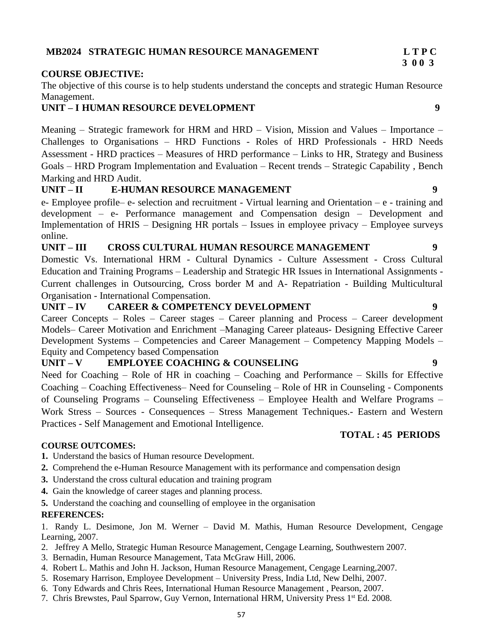## **MB2024 STRATEGIC HUMAN RESOURCE MANAGEMENT L T P C**

#### **COURSE OBJECTIVE:**

The objective of this course is to help students understand the concepts and strategic Human Resource Management.

#### **UNIT – I HUMAN RESOURCE DEVELOPMENT 9**

Meaning – Strategic framework for HRM and HRD – Vision, Mission and Values – Importance – Challenges to Organisations – HRD Functions - Roles of HRD Professionals - HRD Needs Assessment - HRD practices – Measures of HRD performance – Links to HR, Strategy and Business Goals – HRD Program Implementation and Evaluation – Recent trends – Strategic Capability , Bench Marking and HRD Audit.

### **UNIT – II E-HUMAN RESOURCE MANAGEMENT 9**

e- Employee profile– e- selection and recruitment - Virtual learning and Orientation – e - training and development – e- Performance management and Compensation design – Development and Implementation of HRIS – Designing HR portals – Issues in employee privacy – Employee surveys online.

#### **UNIT – III CROSS CULTURAL HUMAN RESOURCE MANAGEMENT 9**

Domestic Vs. International HRM - Cultural Dynamics - Culture Assessment - Cross Cultural Education and Training Programs – Leadership and Strategic HR Issues in International Assignments - Current challenges in Outsourcing, Cross border M and A- Repatriation - Building Multicultural Organisation - International Compensation.

**UNIT – IV CAREER & COMPETENCY DEVELOPMENT 9**

Career Concepts – Roles – Career stages – Career planning and Process – Career development Models– Career Motivation and Enrichment –Managing Career plateaus- Designing Effective Career Development Systems – Competencies and Career Management – Competency Mapping Models – Equity and Competency based Compensation

### **UNIT – V EMPLOYEE COACHING & COUNSELING 9**

Need for Coaching – Role of HR in coaching – Coaching and Performance – Skills for Effective Coaching – Coaching Effectiveness– Need for Counseling – Role of HR in Counseling - Components of Counseling Programs – Counseling Effectiveness – Employee Health and Welfare Programs – Work Stress – Sources - Consequences – Stress Management Techniques.- Eastern and Western Practices - Self Management and Emotional Intelligence.

#### **COURSE OUTCOMES:**

- **1.** Understand the basics of Human resource Development.
- **2.** Comprehend the e-Human Resource Management with its performance and compensation design
- **3.** Understand the cross cultural education and training program
- **4.** Gain the knowledge of career stages and planning process.
- **5.** Understand the coaching and counselling of employee in the organisation

#### **REFERENCES:**

1. Randy L. Desimone, Jon M. Werner – David M. Mathis, Human Resource Development, Cengage Learning, 2007.

- 2. Jeffrey A Mello, Strategic Human Resource Management, Cengage Learning, Southwestern 2007.
- 3. Bernadin, Human Resource Management, Tata McGraw Hill, 2006.
- 4. Robert L. Mathis and John H. Jackson, Human Resource Management, Cengage Learning,2007.
- 5. Rosemary Harrison, Employee Development University Press, India Ltd, New Delhi, 2007.
- 6. Tony Edwards and Chris Rees, International Human Resource Management , Pearson, 2007.
- 7. Chris Brewstes, Paul Sparrow, Guy Vernon, International HRM, University Press 1st Ed. 2008.

### **TOTAL : 45 PERIODS**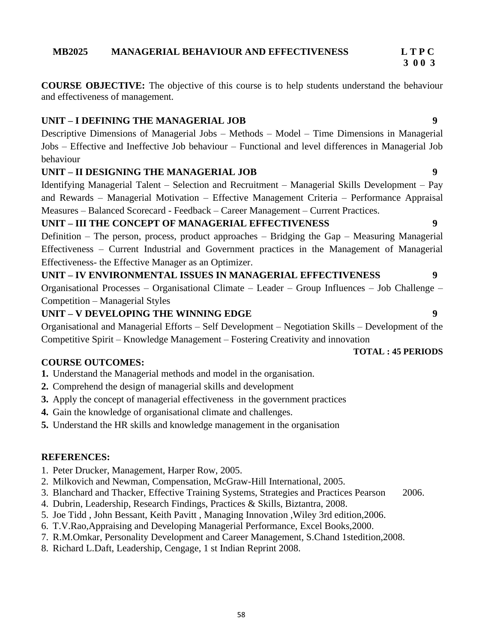**3 0 0 3**

**COURSE OBJECTIVE:** The objective of this course is to help students understand the behaviour and effectiveness of management.

# **UNIT – I DEFINING THE MANAGERIAL JOB 9**

Descriptive Dimensions of Managerial Jobs – Methods – Model – Time Dimensions in Managerial Jobs – Effective and Ineffective Job behaviour – Functional and level differences in Managerial Job behaviour

# **UNIT – II DESIGNING THE MANAGERIAL JOB 9**

Identifying Managerial Talent – Selection and Recruitment – Managerial Skills Development – Pay and Rewards – Managerial Motivation – Effective Management Criteria – Performance Appraisal Measures – Balanced Scorecard - Feedback – Career Management – Current Practices.

# **UNIT – III THE CONCEPT OF MANAGERIAL EFFECTIVENESS 9**

Definition – The person, process, product approaches – Bridging the Gap – Measuring Managerial Effectiveness – Current Industrial and Government practices in the Management of Managerial Effectiveness- the Effective Manager as an Optimizer.

**UNIT – IV ENVIRONMENTAL ISSUES IN MANAGERIAL EFFECTIVENESS 9** Organisational Processes – Organisational Climate – Leader – Group Influences – Job Challenge – Competition – Managerial Styles

# **UNIT – V DEVELOPING THE WINNING EDGE 9**

Organisational and Managerial Efforts – Self Development – Negotiation Skills – Development of the Competitive Spirit – Knowledge Management – Fostering Creativity and innovation

### **COURSE OUTCOMES:**

- **1.** Understand the Managerial methods and model in the organisation.
- **2.** Comprehend the design of managerial skills and development
- **3.** Apply the concept of managerial effectiveness in the government practices
- **4.** Gain the knowledge of organisational climate and challenges.
- **5.** Understand the HR skills and knowledge management in the organisation

### **REFERENCES:**

- 1. Peter Drucker, Management, Harper Row, 2005.
- 2. Milkovich and Newman, Compensation, McGraw-Hill International, 2005.
- 3. Blanchard and Thacker, Effective Training Systems, Strategies and Practices Pearson 2006.
- 4. Dubrin, Leadership, Research Findings, Practices & Skills, Biztantra, 2008.
- 5. Joe Tidd , John Bessant, Keith Pavitt , Managing Innovation ,Wiley 3rd edition,2006.
- 6. T.V.Rao,Appraising and Developing Managerial Performance, Excel Books,2000.
- 7. R.M.Omkar, Personality Development and Career Management, S.Chand 1stedition,2008.
- 8. Richard L.Daft, Leadership, Cengage, 1 st Indian Reprint 2008.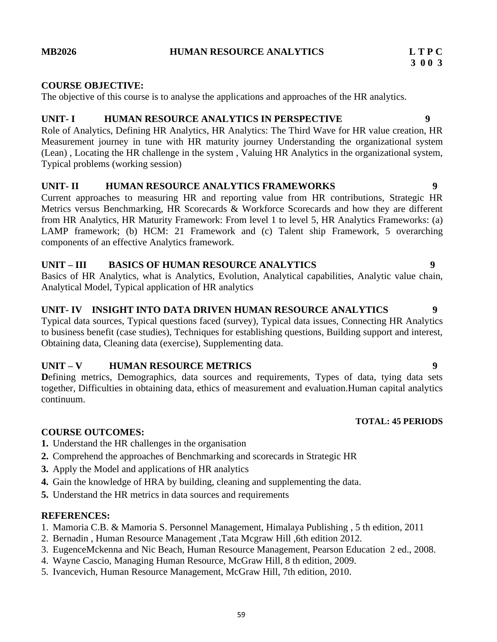### **MB2026 HUMAN RESOURCE ANALYTICS L T P C**

### **COURSE OBJECTIVE:**

The objective of this course is to analyse the applications and approaches of the HR analytics.

# **UNIT- I HUMAN RESOURCE ANALYTICS IN PERSPECTIVE 9**

Role of Analytics, Defining HR Analytics, HR Analytics: The Third Wave for HR value creation, HR Measurement journey in tune with HR maturity journey Understanding the organizational system (Lean) , Locating the HR challenge in the system , Valuing HR Analytics in the organizational system, Typical problems (working session)

### **UNIT- II HUMAN RESOURCE ANALYTICS FRAMEWORKS 9**

Current approaches to measuring HR and reporting value from HR contributions, Strategic HR Metrics versus Benchmarking, HR Scorecards & Workforce Scorecards and how they are different from HR Analytics, HR Maturity Framework: From level 1 to level 5, HR Analytics Frameworks: (a) LAMP framework; (b) HCM: 21 Framework and (c) Talent ship Framework, 5 overarching components of an effective Analytics framework.

### **UNIT – III BASICS OF HUMAN RESOURCE ANALYTICS 9**

Basics of HR Analytics, what is Analytics, Evolution, Analytical capabilities, Analytic value chain, Analytical Model, Typical application of HR analytics

### **UNIT- IV INSIGHT INTO DATA DRIVEN HUMAN RESOURCE ANALYTICS 9**

Typical data sources, Typical questions faced (survey), Typical data issues, Connecting HR Analytics to business benefit (case studies), Techniques for establishing questions, Building support and interest, Obtaining data, Cleaning data (exercise), Supplementing data.

# **UNIT – V HUMAN RESOURCE METRICS 9**

**D**efining metrics, Demographics, data sources and requirements, Types of data, tying data sets together, Difficulties in obtaining data, ethics of measurement and evaluation.Human capital analytics continuum.

#### **TOTAL: 45 PERIODS**

### **COURSE OUTCOMES:**

- **1.** Understand the HR challenges in the organisation
- **2.** Comprehend the approaches of Benchmarking and scorecards in Strategic HR
- **3.** Apply the Model and applications of HR analytics
- **4.** Gain the knowledge of HRA by building, cleaning and supplementing the data.
- **5.** Understand the HR metrics in data sources and requirements

### **REFERENCES:**

- 1. Mamoria C.B. & Mamoria S. Personnel Management, Himalaya Publishing , 5 th edition, 2011
- 2. Bernadin , Human Resource Management ,Tata Mcgraw Hill ,6th edition 2012.
- 3. EugenceMckenna and Nic Beach, Human Resource Management, Pearson Education 2 ed., 2008.
- 4. Wayne Cascio, Managing Human Resource, McGraw Hill, 8 th edition, 2009.
- 5. Ivancevich, Human Resource Management, McGraw Hill, 7th edition, 2010.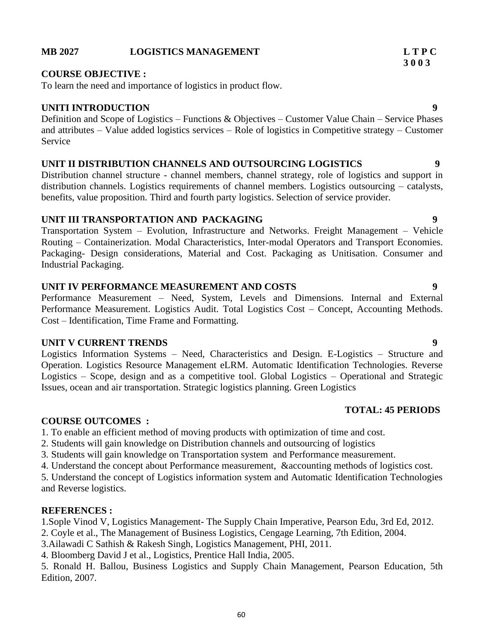#### **MB 2027 LOGISTICS MANAGEMENT L T P C**

#### **COURSE OBJECTIVE :**

To learn the need and importance of logistics in product flow.

#### **UNITI INTRODUCTION 9**

Definition and Scope of Logistics – Functions & Objectives – Customer Value Chain – Service Phases and attributes – Value added logistics services – Role of logistics in Competitive strategy – Customer Service

#### **UNIT II DISTRIBUTION CHANNELS AND OUTSOURCING LOGISTICS 9**

Distribution channel structure - channel members, channel strategy, role of logistics and support in distribution channels. Logistics requirements of channel members. Logistics outsourcing – catalysts, benefits, value proposition. Third and fourth party logistics. Selection of service provider.

### **UNIT III TRANSPORTATION AND PACKAGING 9**

Transportation System – Evolution, Infrastructure and Networks. Freight Management – Vehicle Routing – Containerization. Modal Characteristics, Inter-modal Operators and Transport Economies. Packaging- Design considerations, Material and Cost. Packaging as Unitisation. Consumer and Industrial Packaging.

### **UNIT IV PERFORMANCE MEASUREMENT AND COSTS 9**

Performance Measurement – Need, System, Levels and Dimensions. Internal and External Performance Measurement. Logistics Audit. Total Logistics Cost – Concept, Accounting Methods. Cost – Identification, Time Frame and Formatting.

#### **UNIT V CURRENT TRENDS** 9

Logistics Information Systems – Need, Characteristics and Design. E-Logistics – Structure and Operation. Logistics Resource Management eLRM. Automatic Identification Technologies. Reverse Logistics – Scope, design and as a competitive tool. Global Logistics – Operational and Strategic Issues, ocean and air transportation. Strategic logistics planning. Green Logistics

#### **TOTAL: 45 PERIODS**

#### **COURSE OUTCOMES :**

1. To enable an efficient method of moving products with optimization of time and cost.

- 2. Students will gain knowledge on Distribution channels and outsourcing of logistics
- 3. Students will gain knowledge on Transportation system and Performance measurement.

4. Understand the concept about Performance measurement, &accounting methods of logistics cost.

5. Understand the concept of Logistics information system and Automatic Identification Technologies and Reverse logistics.

#### **REFERENCES :**

1.Sople Vinod V, Logistics Management- The Supply Chain Imperative, Pearson Edu, 3rd Ed, 2012.

2. Coyle et al., The Management of Business Logistics, Cengage Learning, 7th Edition, 2004.

3.Ailawadi C Sathish & Rakesh Singh, Logistics Management, PHI, 2011.

4. Bloomberg David J et al., Logistics, Prentice Hall India, 2005.

5. Ronald H. Ballou, Business Logistics and Supply Chain Management, Pearson Education, 5th Edition, 2007.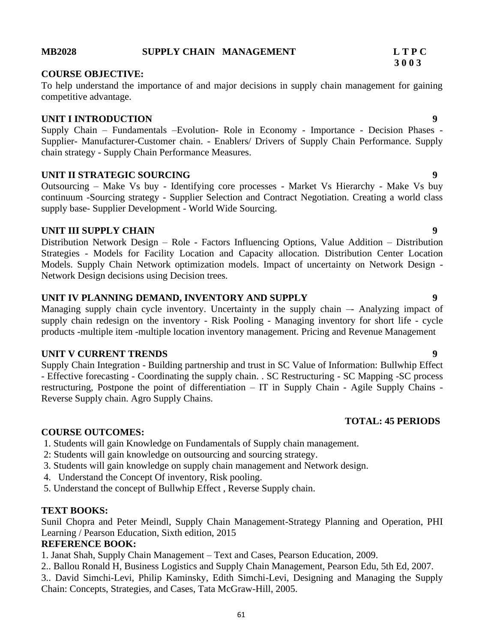#### **MB2028 SUPPLY CHAIN MANAGEMENT L T P C**

#### **COURSE OBJECTIVE:**

To help understand the importance of and major decisions in supply chain management for gaining competitive advantage.

#### **UNIT I INTRODUCTION 9**

Supply Chain – Fundamentals –Evolution- Role in Economy - Importance - Decision Phases - Supplier- Manufacturer-Customer chain. - Enablers/ Drivers of Supply Chain Performance. Supply chain strategy - Supply Chain Performance Measures.

#### **UNIT II STRATEGIC SOURCING 9**

Outsourcing – Make Vs buy - Identifying core processes - Market Vs Hierarchy - Make Vs buy continuum -Sourcing strategy - Supplier Selection and Contract Negotiation. Creating a world class supply base- Supplier Development - World Wide Sourcing.

#### **UNIT III SUPPLY CHAIN** 9

Distribution Network Design – Role - Factors Influencing Options, Value Addition – Distribution Strategies - Models for Facility Location and Capacity allocation. Distribution Center Location Models. Supply Chain Network optimization models. Impact of uncertainty on Network Design - Network Design decisions using Decision trees.

#### **UNIT IV PLANNING DEMAND, INVENTORY AND SUPPLY 9**

Managing supply chain cycle inventory. Uncertainty in the supply chain –- Analyzing impact of supply chain redesign on the inventory - Risk Pooling - Managing inventory for short life - cycle products -multiple item -multiple location inventory management. Pricing and Revenue Management

#### **UNIT V CURRENT TRENDS** 9

Supply Chain Integration - Building partnership and trust in SC Value of Information: Bullwhip Effect - Effective forecasting - Coordinating the supply chain. . SC Restructuring - SC Mapping -SC process restructuring, Postpone the point of differentiation – IT in Supply Chain - Agile Supply Chains - Reverse Supply chain. Agro Supply Chains.

#### **COURSE OUTCOMES:**

- 1. Students will gain Knowledge on Fundamentals of Supply chain management.
- 2: Students will gain knowledge on outsourcing and sourcing strategy.
- 3. Students will gain knowledge on supply chain management and Network design.
- 4. Understand the Concept Of inventory, Risk pooling.
- 5. Understand the concept of Bullwhip Effect , Reverse Supply chain.

#### **TEXT BOOKS:**

Sunil Chopra and Peter Meindl, Supply Chain Management-Strategy Planning and Operation, PHI Learning / Pearson Education, Sixth edition, 2015

### **REFERENCE BOOK:**

1. Janat Shah, Supply Chain Management – Text and Cases, Pearson Education, 2009.

- 2.. Ballou Ronald H, Business Logistics and Supply Chain Management, Pearson Edu, 5th Ed, 2007.
- 3.. David Simchi-Levi, Philip Kaminsky, Edith Simchi-Levi, Designing and Managing the Supply Chain: Concepts, Strategies, and Cases, Tata McGraw-Hill, 2005.

# **3 0 0 3**

$$
f_{\rm{max}}
$$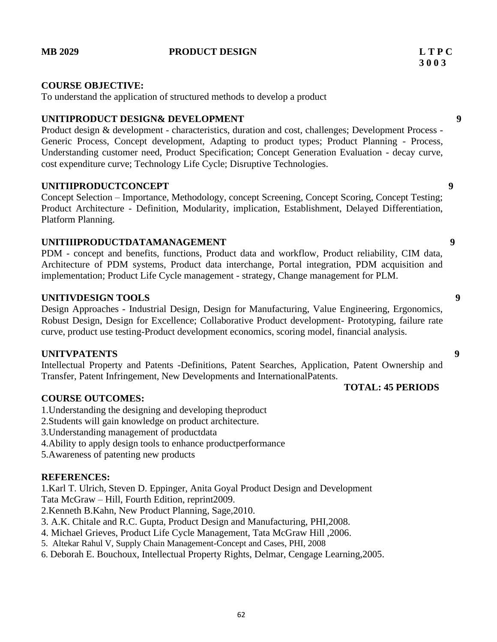#### **MB 2029 PRODUCT DESIGN L T P C**

#### **COURSE OBJECTIVE:**

To understand the application of structured methods to develop a product

#### **UNITIPRODUCT DESIGN& DEVELOPMENT 9**

Product design & development - characteristics, duration and cost, challenges; Development Process -Generic Process, Concept development, Adapting to product types; Product Planning - Process, Understanding customer need, Product Specification; Concept Generation Evaluation - decay curve, cost expenditure curve; Technology Life Cycle; Disruptive Technologies.

#### **UNITIIPRODUCTCONCEPT 9**

Concept Selection – Importance, Methodology, concept Screening, Concept Scoring, Concept Testing; Product Architecture - Definition, Modularity, implication, Establishment, Delayed Differentiation, Platform Planning.

#### **UNITIIIPRODUCTDATAMANAGEMENT 9**

PDM - concept and benefits, functions, Product data and workflow, Product reliability, CIM data, Architecture of PDM systems, Product data interchange, Portal integration, PDM acquisition and implementation; Product Life Cycle management - strategy, Change management for PLM.

#### **UNITIVDESIGN TOOLS 9**

Design Approaches - Industrial Design, Design for Manufacturing, Value Engineering, Ergonomics, Robust Design, Design for Excellence; Collaborative Product development- Prototyping, failure rate curve, product use testing-Product development economics, scoring model, financial analysis.

#### **UNITVPATENTS 9**

Intellectual Property and Patents -Definitions, Patent Searches, Application, Patent Ownership and Transfer, Patent Infringement, New Developments and InternationalPatents.

#### **COURSE OUTCOMES:**

- 1.Understanding the designing and developing theproduct
- 2.Students will gain knowledge on product architecture.
- 3.Understanding management of productdata
- 4.Ability to apply design tools to enhance productperformance
- 5.Awareness of patenting new products

#### **REFERENCES:**

1.Karl T. Ulrich, Steven D. Eppinger, Anita Goyal Product Design and Development Tata McGraw – Hill, Fourth Edition, reprint2009.

2.Kenneth B.Kahn, New Product Planning, Sage,2010.

- 3. A.K. Chitale and R.C. Gupta, Product Design and Manufacturing, PHI,2008.
- 4. Michael Grieves, Product Life Cycle Management, Tata McGraw Hill ,2006.
- 5. Altekar Rahul V, Supply Chain Management-Concept and Cases, PHI, 2008
- 6. Deborah E. Bouchoux, Intellectual Property Rights, Delmar, Cengage Learning,2005.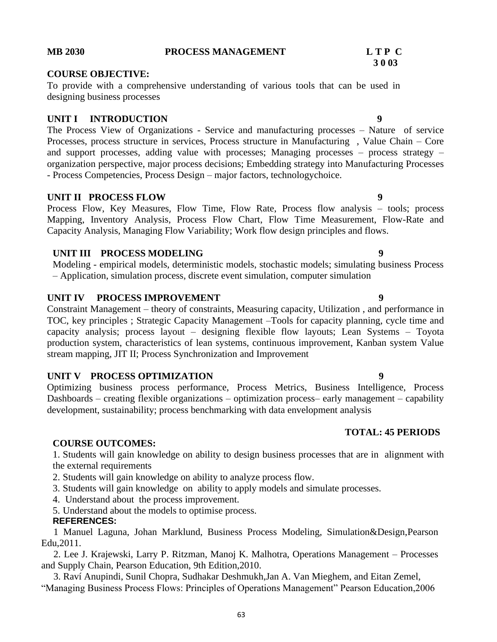#### **COURSE OBJECTIVE:**

To provide with a comprehensive understanding of various tools that can be used in designing business processes

#### **UNIT I** INTRODUCTION 9

The Process View of Organizations - Service and manufacturing processes – Nature of service Processes, process structure in services, Process structure in Manufacturing , Value Chain – Core and support processes, adding value with processes; Managing processes – process strategy – organization perspective, major process decisions; Embedding strategy into Manufacturing Processes - Process Competencies, Process Design – major factors, technologychoice.

#### **UNIT II PROCESS FLOW** 9

Process Flow, Key Measures, Flow Time, Flow Rate, Process flow analysis – tools; process Mapping, Inventory Analysis, Process Flow Chart, Flow Time Measurement, Flow-Rate and Capacity Analysis, Managing Flow Variability; Work flow design principles and flows.

#### **UNIT III PROCESS MODELING**

Modeling - empirical models, deterministic models, stochastic models; simulating business Process – Application, simulation process, discrete event simulation, computer simulation

### **UNIT IV PROCESS IMPROVEMENT** 9

Constraint Management – theory of constraints, Measuring capacity, Utilization , and performance in TOC, key principles ; Strategic Capacity Management –Tools for capacity planning, cycle time and capacity analysis; process layout – designing flexible flow layouts; Lean Systems – Toyota production system, characteristics of lean systems, continuous improvement, Kanban system Value stream mapping, JIT II; Process Synchronization and Improvement

### **UNIT V PROCESS OPTIMIZATION 9**

Optimizing business process performance, Process Metrics, Business Intelligence, Process Dashboards – creating flexible organizations – optimization process– early management – capability development, sustainability; process benchmarking with data envelopment analysis

#### **COURSE OUTCOMES:**

1. Students will gain knowledge on ability to design business processes that are in alignment with the external requirements

2. Students will gain knowledge on ability to analyze process flow.

3. Students will gain knowledge on ability to apply models and simulate processes.

4. Understand about the process improvement.

5. Understand about the models to optimise process.

#### **REFERENCES:**

 1 Manuel Laguna, Johan Marklund, Business Process Modeling, Simulation&Design,Pearson Edu,2011.

 2. Lee J. Krajewski, Larry P. Ritzman, Manoj K. Malhotra, Operations Management – Processes and Supply Chain, Pearson Education, 9th Edition,2010.

 3. Raví Anupindi, Sunil Chopra, Sudhakar Deshmukh,Jan A. Van Mieghem, and Eitan Zemel, "Managing Business Process Flows: Principles of Operations Management" Pearson Education,2006

# **MB 2030 PROCESS MANAGEMENT L T P C**

# **3 0 03**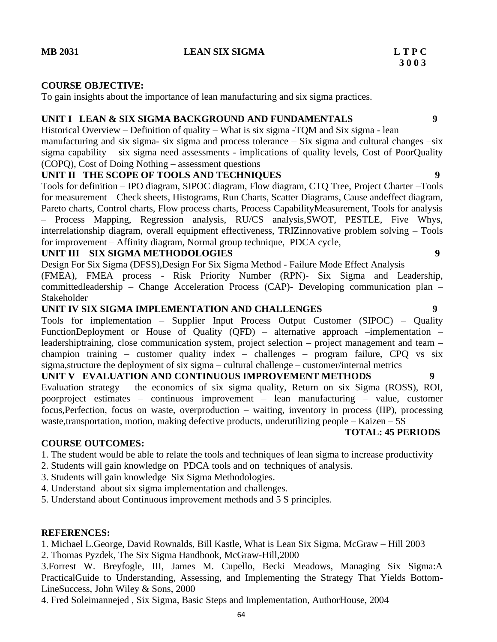## **MB 2031 LEAN SIX SIGMA L T P C**

#### **COURSE OBJECTIVE:**

To gain insights about the importance of lean manufacturing and six sigma practices.

### **UNIT I LEAN & SIX SIGMA BACKGROUND AND FUNDAMENTALS 9**

Historical Overview – Definition of quality – What is six sigma -TQM and Six sigma - lean manufacturing and six sigma- six sigma and process tolerance  $-$  Six sigma and cultural changes  $-\sin$ sigma capability – six sigma need assessments - implications of quality levels, Cost of PoorQuality (COPQ), Cost of Doing Nothing – assessment questions

### **UNIT II THE SCOPE OF TOOLS AND TECHNIQUES 9**

Tools for definition – IPO diagram, SIPOC diagram, Flow diagram, CTQ Tree, Project Charter –Tools for measurement – Check sheets, Histograms, Run Charts, Scatter Diagrams, Cause andeffect diagram, Pareto charts, Control charts, Flow process charts, Process CapabilityMeasurement, Tools for analysis – Process Mapping, Regression analysis, RU/CS analysis,SWOT, PESTLE, Five Whys, interrelationship diagram, overall equipment effectiveness, TRIZinnovative problem solving – Tools for improvement – Affinity diagram, Normal group technique, PDCA cycle,

#### **UNIT III SIX SIGMA METHODOLOGIES 9**

Design For Six Sigma (DFSS),Design For Six Sigma Method - Failure Mode Effect Analysis

(FMEA), FMEA process - Risk Priority Number (RPN)- Six Sigma and Leadership, committedleadership – Change Acceleration Process (CAP)- Developing communication plan – Stakeholder

### **UNIT IV SIX SIGMA IMPLEMENTATION AND CHALLENGES 9**

Tools for implementation – Supplier Input Process Output Customer (SIPOC) – Quality FunctionDeployment or House of Quality (QFD) – alternative approach –implementation – leadershiptraining, close communication system, project selection – project management and team – champion training – customer quality index – challenges – program failure, CPQ vs six sigma,structure the deployment of six sigma – cultural challenge – customer/internal metrics

# **UNIT V EVALUATION AND CONTINUOUS IMPROVEMENT METHODS 9**

Evaluation strategy – the economics of six sigma quality, Return on six Sigma (ROSS), ROI, poorproject estimates – continuous improvement – lean manufacturing – value, customer focus,Perfection, focus on waste, overproduction – waiting, inventory in process (IIP), processing waste,transportation, motion, making defective products, underutilizing people – Kaizen – 5S

#### **TOTAL: 45 PERIODS**

#### **COURSE OUTCOMES:**

- 1. The student would be able to relate the tools and techniques of lean sigma to increase productivity
- 2. Students will gain knowledge on PDCA tools and on techniques of analysis.
- 3. Students will gain knowledge Six Sigma Methodologies.
- 4. Understand about six sigma implementation and challenges.
- 5. Understand about Continuous improvement methods and 5 S principles.

#### **REFERENCES:**

- 1. Michael L.George, David Rownalds, Bill Kastle, What is Lean Six Sigma, McGraw Hill 2003
- 2. Thomas Pyzdek, The Six Sigma Handbook, McGraw-Hill,2000

3.Forrest W. Breyfogle, III, James M. Cupello, Becki Meadows, Managing Six Sigma:A PracticalGuide to Understanding, Assessing, and Implementing the Strategy That Yields Bottom-LineSuccess, John Wiley & Sons, 2000

4. Fred Soleimannejed , Six Sigma, Basic Steps and Implementation, AuthorHouse, 2004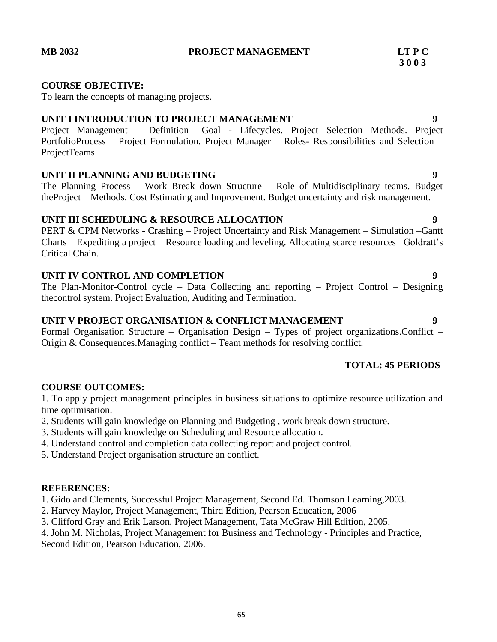#### **MB 2032 PROJECT MANAGEMENT LT P C**

# **3 0 0 3**

#### **COURSE OBJECTIVE:**

To learn the concepts of managing projects.

### **UNIT I INTRODUCTION TO PROJECT MANAGEMENT 9**

Project Management – Definition –Goal - Lifecycles. Project Selection Methods. Project PortfolioProcess – Project Formulation. Project Manager – Roles- Responsibilities and Selection – ProjectTeams.

### **UNIT II PLANNING AND BUDGETING 9**

The Planning Process – Work Break down Structure – Role of Multidisciplinary teams. Budget theProject – Methods. Cost Estimating and Improvement. Budget uncertainty and risk management.

### **UNIT III SCHEDULING & RESOURCE ALLOCATION 9**

PERT & CPM Networks - Crashing – Project Uncertainty and Risk Management – Simulation –Gantt Charts – Expediting a project – Resource loading and leveling. Allocating scarce resources –Goldratt's Critical Chain.

### **UNIT IV CONTROL AND COMPLETION 9**

The Plan-Monitor-Control cycle – Data Collecting and reporting – Project Control – Designing thecontrol system. Project Evaluation, Auditing and Termination.

### **UNIT V PROJECT ORGANISATION & CONFLICT MANAGEMENT 9**

Formal Organisation Structure – Organisation Design – Types of project organizations.Conflict – Origin & Consequences.Managing conflict – Team methods for resolving conflict.

# **TOTAL: 45 PERIODS**

### **COURSE OUTCOMES:**

1. To apply project management principles in business situations to optimize resource utilization and time optimisation.

- 2. Students will gain knowledge on Planning and Budgeting , work break down structure.
- 3. Students will gain knowledge on Scheduling and Resource allocation.
- 4. Understand control and completion data collecting report and project control.
- 5. Understand Project organisation structure an conflict.

#### **REFERENCES:**

1. Gido and Clements, Successful Project Management, Second Ed. Thomson Learning,2003.

- 2. Harvey Maylor, Project Management, Third Edition, Pearson Education, 2006
- 3. Clifford Gray and Erik Larson, Project Management, Tata McGraw Hill Edition, 2005.

4. John M. Nicholas, Project Management for Business and Technology - Principles and Practice, Second Edition, Pearson Education, 2006.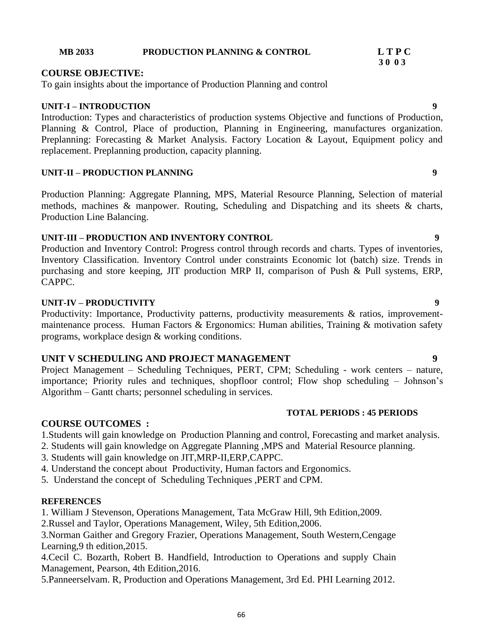#### **MB 2033 PRODUCTION PLANNING & CONTROL L T P C**

### **COURSE OBJECTIVE:**

To gain insights about the importance of Production Planning and control

# **UNIT-I – INTRODUCTION 9**

Introduction: Types and characteristics of production systems Objective and functions of Production, Planning & Control, Place of production, Planning in Engineering, manufactures organization. Preplanning: Forecasting & Market Analysis. Factory Location & Layout, Equipment policy and replacement. Preplanning production, capacity planning.

# **UNIT-II – PRODUCTION PLANNING 9**

Production Planning: Aggregate Planning, MPS, Material Resource Planning, Selection of material methods, machines & manpower. Routing, Scheduling and Dispatching and its sheets & charts, Production Line Balancing.

# **UNIT-III – PRODUCTION AND INVENTORY CONTROL 9**

Production and Inventory Control: Progress control through records and charts. Types of inventories, Inventory Classification. Inventory Control under constraints Economic lot (batch) size. Trends in purchasing and store keeping, JIT production MRP II, comparison of Push & Pull systems, ERP, CAPPC.

# **UNIT-IV – PRODUCTIVITY 9**

Productivity: Importance, Productivity patterns, productivity measurements & ratios, improvementmaintenance process. Human Factors & Ergonomics: Human abilities, Training & motivation safety programs, workplace design & working conditions.

# **UNIT V SCHEDULING AND PROJECT MANAGEMENT 9**

Project Management – Scheduling Techniques, PERT, CPM; Scheduling - work centers – nature, importance; Priority rules and techniques, shopfloor control; Flow shop scheduling – Johnson's Algorithm – Gantt charts; personnel scheduling in services.

# **TOTAL PERIODS : 45 PERIODS**

# **COURSE OUTCOMES :**

1.Students will gain knowledge on Production Planning and control, Forecasting and market analysis.

- 2. Students will gain knowledge on Aggregate Planning ,MPS and Material Resource planning.
- 3. Students will gain knowledge on JIT,MRP-II,ERP,CAPPC.
- 4. Understand the concept about Productivity, Human factors and Ergonomics.

5. Understand the concept of Scheduling Techniques ,PERT and CPM.

# **REFERENCES**

1. William J Stevenson, Operations Management, Tata McGraw Hill, 9th Edition,2009.

2.Russel and Taylor, Operations Management, Wiley, 5th Edition,2006.

3.Norman Gaither and Gregory Frazier, Operations Management, South Western,Cengage Learning,9 th edition,2015.

4.Cecil C. Bozarth, Robert B. Handfield, Introduction to Operations and supply Chain Management, Pearson, 4th Edition,2016.

5.Panneerselvam. R, Production and Operations Management, 3rd Ed. PHI Learning 2012.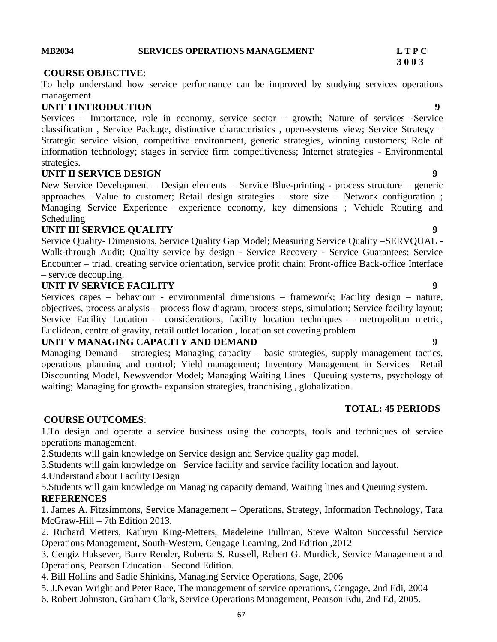#### **MB2034 SERVICES OPERATIONS MANAGEMENT L T P C**

#### **COURSE OBJECTIVE**:

To help understand how service performance can be improved by studying services operations management

### **UNIT I INTRODUCTION 9**

Services – Importance, role in economy, service sector – growth; Nature of services -Service classification , Service Package, distinctive characteristics , open-systems view; Service Strategy – Strategic service vision, competitive environment, generic strategies, winning customers; Role of information technology; stages in service firm competitiveness; Internet strategies - Environmental strategies.

### **UNIT II SERVICE DESIGN 9**

New Service Development – Design elements – Service Blue-printing - process structure – generic approaches –Value to customer; Retail design strategies – store size – Network configuration ; Managing Service Experience –experience economy, key dimensions ; Vehicle Routing and Scheduling

### **UNIT III SERVICE QUALITY 9**

Service Quality- Dimensions, Service Quality Gap Model; Measuring Service Quality –SERVQUAL - Walk-through Audit; Quality service by design - Service Recovery - Service Guarantees; Service Encounter – triad, creating service orientation, service profit chain; Front-office Back-office Interface – service decoupling.

### **UNIT IV SERVICE FACILITY 9**

Services capes – behaviour - environmental dimensions – framework; Facility design – nature, objectives, process analysis – process flow diagram, process steps, simulation; Service facility layout; Service Facility Location – considerations, facility location techniques – metropolitan metric, Euclidean, centre of gravity, retail outlet location , location set covering problem

#### **UNIT V MANAGING CAPACITY AND DEMAND 9**

Managing Demand – strategies; Managing capacity – basic strategies, supply management tactics, operations planning and control; Yield management; Inventory Management in Services– Retail Discounting Model, Newsvendor Model; Managing Waiting Lines –Queuing systems, psychology of waiting; Managing for growth- expansion strategies, franchising , globalization.

#### **TOTAL: 45 PERIODS**

#### **COURSE OUTCOMES**:

1.To design and operate a service business using the concepts, tools and techniques of service operations management.

2.Students will gain knowledge on Service design and Service quality gap model.

3.Students will gain knowledge on Service facility and service facility location and layout.

4.Understand about Facility Design

5.Students will gain knowledge on Managing capacity demand, Waiting lines and Queuing system. **REFERENCES**

1. James A. Fitzsimmons, Service Management – Operations, Strategy, Information Technology, Tata McGraw-Hill – 7th Edition 2013.

2. Richard Metters, Kathryn King-Metters, Madeleine Pullman, Steve Walton Successful Service Operations Management, South-Western, Cengage Learning, 2nd Edition ,2012

3. Cengiz Haksever, Barry Render, Roberta S. Russell, Rebert G. Murdick, Service Management and Operations, Pearson Education – Second Edition.

4. Bill Hollins and Sadie Shinkins, Managing Service Operations, Sage, 2006

5. J.Nevan Wright and Peter Race, The management of service operations, Cengage, 2nd Edi, 2004

6. Robert Johnston, Graham Clark, Service Operations Management, Pearson Edu, 2nd Ed, 2005.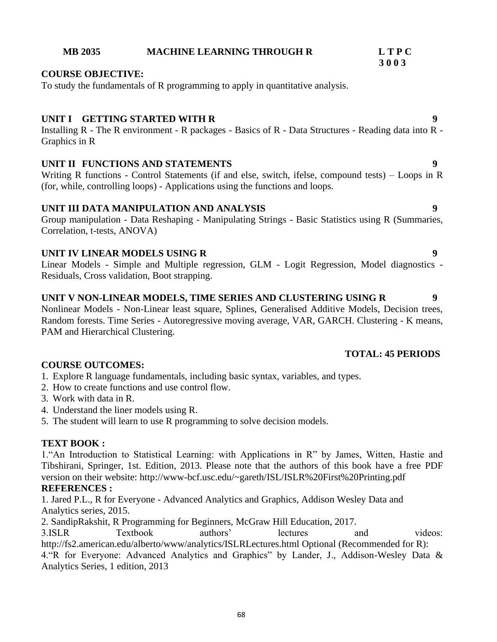### **MB 2035 MACHINE LEARNING THROUGH R L T P C**

### **COURSE OBJECTIVE:**

To study the fundamentals of R programming to apply in quantitative analysis.

### **UNIT I GETTING STARTED WITH R 9**

Installing R - The R environment - R packages - Basics of R - Data Structures - Reading data into R - Graphics in R

### **UNIT II FUNCTIONS AND STATEMENTS 9**

Writing R functions - Control Statements (if and else, switch, ifelse, compound tests) – Loops in R (for, while, controlling loops) - Applications using the functions and loops.

### **UNIT III DATA MANIPULATION AND ANALYSIS 9**

Group manipulation - Data Reshaping - Manipulating Strings - Basic Statistics using R (Summaries, Correlation, t-tests, ANOVA)

### **UNIT IV LINEAR MODELS USING R 9**

Linear Models - Simple and Multiple regression, GLM - Logit Regression, Model diagnostics - Residuals, Cross validation, Boot strapping.

#### **UNIT V NON-LINEAR MODELS, TIME SERIES AND CLUSTERING USING R 9**

Nonlinear Models - Non-Linear least square, Splines, Generalised Additive Models, Decision trees, Random forests. Time Series - Autoregressive moving average, VAR, GARCH. Clustering - K means, PAM and Hierarchical Clustering.

#### **TOTAL: 45 PERIODS**

### **COURSE OUTCOMES:**

1. Explore R language fundamentals, including basic syntax, variables, and types.

- 2. How to create functions and use control flow.
- 3. Work with data in R.
- 4. Understand the liner models using R.
- 5. The student will learn to use R programming to solve decision models.

#### **TEXT BOOK :**

1."An Introduction to Statistical Learning: with Applications in R" by James, Witten, Hastie and Tibshirani, Springer, 1st. Edition, 2013. Please note that the authors of this book have a free PDF version on their website: http://www-bcf.usc.edu/~gareth/ISL/ISLR%20First%20Printing.pdf

# **REFERENCES :**

1. Jared P.L., R for Everyone - Advanced Analytics and Graphics, Addison Wesley Data and Analytics series, 2015.

2. SandipRakshit, R Programming for Beginners, McGraw Hill Education, 2017.

3.ISLR Textbook authors' lectures and videos: http://fs2.american.edu/alberto/www/analytics/ISLRLectures.html Optional (Recommended for R):

4."R for Everyone: Advanced Analytics and Graphics" by Lander, J., Addison-Wesley Data & Analytics Series, 1 edition, 2013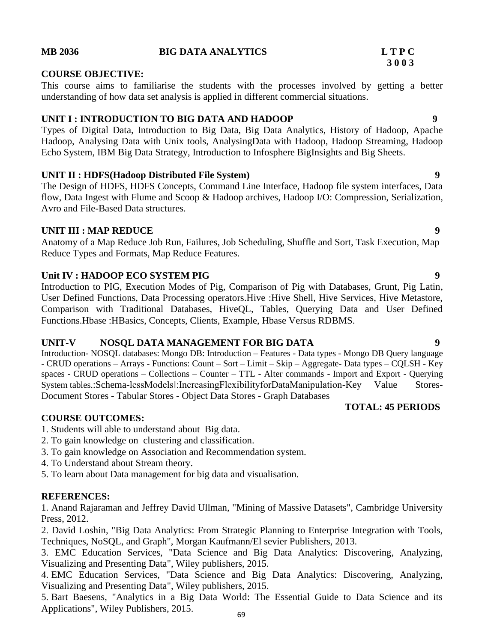### **MB 2036 BIG DATA ANALYTICS L T P C**

#### **COURSE OBJECTIVE:**

This course aims to familiarise the students with the processes involved by getting a better understanding of how data set analysis is applied in different commercial situations.

### **UNIT I : INTRODUCTION TO BIG DATA AND HADOOP 9**

Types of Digital Data, Introduction to Big Data, Big Data Analytics, History of Hadoop, Apache Hadoop, Analysing Data with Unix tools, AnalysingData with Hadoop, Hadoop Streaming, Hadoop Echo System, IBM Big Data Strategy, Introduction to Infosphere BigInsights and Big Sheets.

### **UNIT II : HDFS(Hadoop Distributed File System) 9**

The Design of HDFS, HDFS Concepts, Command Line Interface, Hadoop file system interfaces, Data flow, Data Ingest with Flume and Scoop & Hadoop archives, Hadoop I/O: Compression, Serialization, Avro and File-Based Data structures.

#### **UNIT III : MAP REDUCE** 9

Anatomy of a Map Reduce Job Run, Failures, Job Scheduling, Shuffle and Sort, Task Execution, Map Reduce Types and Formats, Map Reduce Features.

#### **Unit IV : HADOOP ECO SYSTEM PIG 9**

Introduction to PIG, Execution Modes of Pig, Comparison of Pig with Databases, Grunt, Pig Latin, User Defined Functions, Data Processing operators.Hive :Hive Shell, Hive Services, Hive Metastore, Comparison with Traditional Databases, HiveQL, Tables, Querying Data and User Defined Functions.Hbase :HBasics, Concepts, Clients, Example, Hbase Versus RDBMS.

#### **UNIT-V NOSQL DATA MANAGEMENT FOR BIG DATA 9**

Introduction- NOSQL databases: Mongo DB: Introduction – Features - Data types - Mongo DB Query language - CRUD operations – Arrays - Functions: Count – Sort – Limit – Skip – Aggregate- Data types – CQLSH - Key spaces - CRUD operations – Collections – Counter – TTL - Alter commands - Import and Export - Querying System tables.:Schema-lessModelsl:IncreasingFlexibilityforDataManipulation-Key Value Stores-Document Stores - Tabular Stores - Object Data Stores - Graph Databases

#### **COURSE OUTCOMES:**

1. Students will able to understand about Big data.

- 2. To gain knowledge on clustering and classification.
- 3. To gain knowledge on Association and Recommendation system.
- 4. To Understand about Stream theory.
- 5. To learn about Data management for big data and visualisation.

#### **REFERENCES:**

1. Anand Rajaraman and Jeffrey David Ullman, "Mining of Massive Datasets", Cambridge University Press, 2012.

2. David Loshin, "Big Data Analytics: From Strategic Planning to Enterprise Integration with Tools, Techniques, NoSQL, and Graph", Morgan Kaufmann/El sevier Publishers, 2013.

3. EMC Education Services, "Data Science and Big Data Analytics: Discovering, Analyzing, Visualizing and Presenting Data", Wiley publishers, 2015.

4. EMC Education Services, "Data Science and Big Data Analytics: Discovering, Analyzing, Visualizing and Presenting Data", Wiley publishers, 2015.

5. Bart Baesens, "Analytics in a Big Data World: The Essential Guide to Data Science and its Applications", Wiley Publishers, 2015.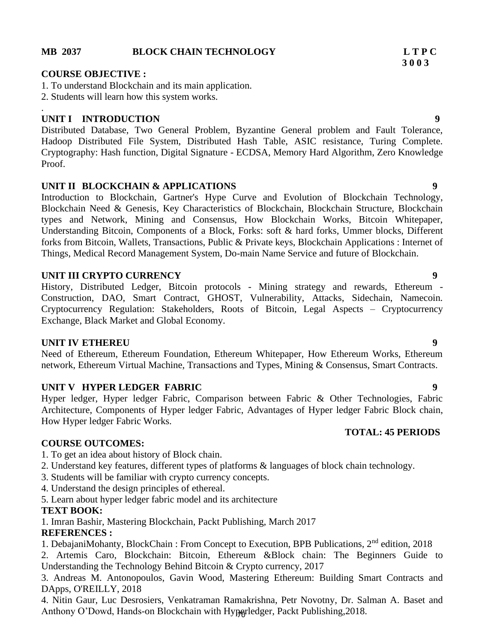#### **MB 2037 BLOCK CHAIN TECHNOLOGY L T P C**

### **COURSE OBJECTIVE :**

1. To understand Blockchain and its main application.

2. Students will learn how this system works.

#### . **UNIT I INTRODUCTION 9**

Distributed Database, Two General Problem, Byzantine General problem and Fault Tolerance, Hadoop Distributed File System, Distributed Hash Table, ASIC resistance, Turing Complete. Cryptography: Hash function, Digital Signature - ECDSA, Memory Hard Algorithm, Zero Knowledge Proof.

### **UNIT II BLOCKCHAIN & APPLICATIONS 9**

Introduction to Blockchain, Gartner's Hype Curve and Evolution of Blockchain Technology, Blockchain Need & Genesis, Key Characteristics of Blockchain, Blockchain Structure, Blockchain types and Network, Mining and Consensus, How Blockchain Works, Bitcoin Whitepaper, Understanding Bitcoin, Components of a Block, Forks: soft & hard forks, Ummer blocks, Different forks from Bitcoin, Wallets, Transactions, Public & Private keys, Blockchain Applications : Internet of Things, Medical Record Management System, Do-main Name Service and future of Blockchain.

### **UNIT III CRYPTO CURRENCY** 9

History, Distributed Ledger, Bitcoin protocols - Mining strategy and rewards, Ethereum - Construction, DAO, Smart Contract, GHOST, Vulnerability, Attacks, Sidechain, Namecoin. Cryptocurrency Regulation: Stakeholders, Roots of Bitcoin, Legal Aspects – Cryptocurrency Exchange, Black Market and Global Economy.

#### **UNIT IV ETHEREU 9**

Need of Ethereum, Ethereum Foundation, Ethereum Whitepaper, How Ethereum Works, Ethereum network, Ethereum Virtual Machine, Transactions and Types, Mining & Consensus, Smart Contracts.

### **UNIT V HYPER LEDGER FABRIC 9**

Hyper ledger, Hyper ledger Fabric, Comparison between Fabric & Other Technologies, Fabric Architecture, Components of Hyper ledger Fabric, Advantages of Hyper ledger Fabric Block chain, How Hyper ledger Fabric Works.

## **TOTAL: 45 PERIODS**

### **COURSE OUTCOMES:**

- 1. To get an idea about history of Block chain.
- 2. Understand key features, different types of platforms & languages of block chain technology.
- 3. Students will be familiar with crypto currency concepts.
- 4. Understand the design principles of ethereal.
- 5. Learn about hyper ledger fabric model and its architecture

### **TEXT BOOK:**

1. Imran Bashir, Mastering Blockchain, Packt Publishing, March 2017

### **REFERENCES :**

- 1. DebajaniMohanty, BlockChain : From Concept to Execution, BPB Publications, 2nd edition, 2018
- 2. Artemis Caro, Blockchain: Bitcoin, Ethereum &Block chain: The Beginners Guide to Understanding the Technology Behind Bitcoin & Crypto currency, 2017

3. Andreas M. Antonopoulos, Gavin Wood, Mastering Ethereum: Building Smart Contracts and DApps, O'REILLY, 2018

Anthony O'Dowd, Hands-on Blockchain with Hyperledger, Packt Publishing, 2018. 4. Nitin Gaur, Luc Desrosiers, Venkatraman Ramakrishna, Petr Novotny, Dr. Salman A. Baset and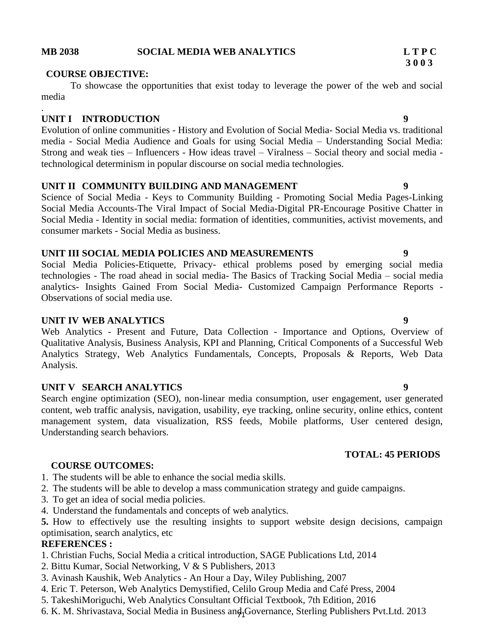#### **MB 2038 SOCIAL MEDIA WEB ANALYTICS L T P C**

#### **COURSE OBJECTIVE:**

To showcase the opportunities that exist today to leverage the power of the web and social media

#### **UNIT I INTRODUCTION 9**

.

Evolution of online communities - History and Evolution of Social Media- Social Media vs. traditional media - Social Media Audience and Goals for using Social Media – Understanding Social Media: Strong and weak ties – Influencers - How ideas travel – Viralness – Social theory and social media technological determinism in popular discourse on social media technologies.

#### **UNIT II COMMUNITY BUILDING AND MANAGEMENT 9**

Science of Social Media - Keys to Community Building - Promoting Social Media Pages-Linking Social Media Accounts-The Viral Impact of Social Media-Digital PR-Encourage Positive Chatter in Social Media - Identity in social media: formation of identities, communities, activist movements, and consumer markets - Social Media as business.

#### **UNIT III SOCIAL MEDIA POLICIES AND MEASUREMENTS 9**

Social Media Policies-Etiquette, Privacy- ethical problems posed by emerging social media technologies - The road ahead in social media- The Basics of Tracking Social Media – social media analytics- Insights Gained From Social Media- Customized Campaign Performance Reports - Observations of social media use.

#### **UNIT IV WEB ANALYTICS 9**

Web Analytics - Present and Future, Data Collection - Importance and Options, Overview of Qualitative Analysis, Business Analysis, KPI and Planning, Critical Components of a Successful Web Analytics Strategy, Web Analytics Fundamentals, Concepts, Proposals & Reports, Web Data Analysis.

### **UNIT V SEARCH ANALYTICS 9**

Search engine optimization (SEO), non-linear media consumption, user engagement, user generated content, web traffic analysis, navigation, usability, eye tracking, online security, online ethics, content management system, data visualization, RSS feeds, Mobile platforms, User centered design, Understanding search behaviors.

#### **COURSE OUTCOMES:**

1. The students will be able to enhance the social media skills.

2. The students will be able to develop a mass communication strategy and guide campaigns.

- 3. To get an idea of social media policies.
- 4. Understand the fundamentals and concepts of web analytics.

**5.** How to effectively use the resulting insights to support website design decisions, campaign optimisation, search analytics, etc

#### **REFERENCES :**

- 1. Christian Fuchs, Social Media a critical introduction, SAGE Publications Ltd, 2014
- 2. Bittu Kumar, Social Networking, V & S Publishers, 2013
- 3. Avinash Kaushik, Web Analytics An Hour a Day, Wiley Publishing, 2007
- 4. Eric T. Peterson, Web Analytics Demystified, Celilo Group Media and Café Press, 2004
- 5. TakeshiMoriguchi, Web Analytics Consultant Official Textbook, 7th Edition, 2016
- 6. K. M. Shrivastava, Social Media in Business and Governance, Sterling Publishers Pvt.Ltd. 2013

### **TOTAL: 45 PERIODS**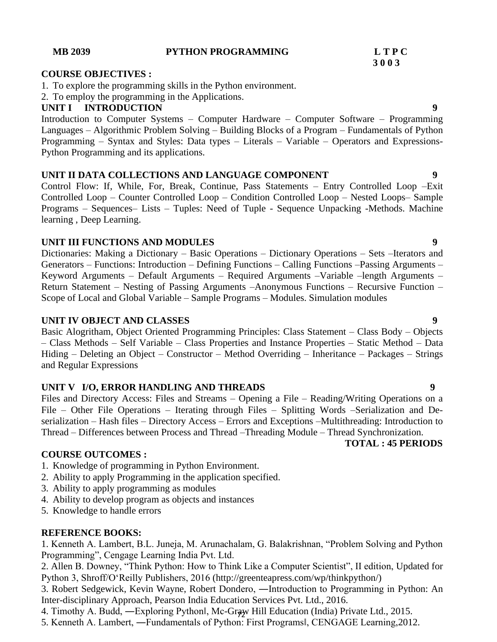#### **MB 2039 PYTHON PROGRAMMING L T P C**

#### **COURSE OBJECTIVES :**

- 1. To explore the programming skills in the Python environment.
- 2. To employ the programming in the Applications.

#### **UNIT I INTRODUCTION 9**

Introduction to Computer Systems – Computer Hardware – Computer Software – Programming Languages – Algorithmic Problem Solving – Building Blocks of a Program – Fundamentals of Python Programming – Syntax and Styles: Data types – Literals – Variable – Operators and Expressions-Python Programming and its applications.

#### **UNIT II DATA COLLECTIONS AND LANGUAGE COMPONENT 9**

Control Flow: If, While, For, Break, Continue, Pass Statements – Entry Controlled Loop –Exit Controlled Loop – Counter Controlled Loop – Condition Controlled Loop – Nested Loops– Sample Programs – Sequences– Lists – Tuples: Need of Tuple - Sequence Unpacking -Methods. Machine learning , Deep Learning.

### **UNIT III FUNCTIONS AND MODULES 9**

Dictionaries: Making a Dictionary – Basic Operations – Dictionary Operations – Sets –Iterators and Generators – Functions: Introduction – Defining Functions – Calling Functions –Passing Arguments – Keyword Arguments – Default Arguments – Required Arguments –Variable –length Arguments – Return Statement – Nesting of Passing Arguments –Anonymous Functions – Recursive Function – Scope of Local and Global Variable – Sample Programs – Modules. Simulation modules

#### **UNIT IV OBJECT AND CLASSES 9**

Basic Alogritham, Object Oriented Programming Principles: Class Statement – Class Body – Objects – Class Methods – Self Variable – Class Properties and Instance Properties – Static Method – Data Hiding – Deleting an Object – Constructor – Method Overriding – Inheritance – Packages – Strings and Regular Expressions

### **UNIT V I/O, ERROR HANDLING AND THREADS 9**

Files and Directory Access: Files and Streams – Opening a File – Reading/Writing Operations on a File – Other File Operations – Iterating through Files – Splitting Words –Serialization and Deserialization – Hash files – Directory Access – Errors and Exceptions –Multithreading: Introduction to Thread – Differences between Process and Thread –Threading Module – Thread Synchronization.

#### **COURSE OUTCOMES :**

- 1. Knowledge of programming in Python Environment.
- 2. Ability to apply Programming in the application specified.
- 3. Ability to apply programming as modules
- 4. Ability to develop program as objects and instances
- 5. Knowledge to handle errors

#### **REFERENCE BOOKS:**

1. Kenneth A. Lambert, B.L. Juneja, M. Arunachalam, G. Balakrishnan, "Problem Solving and Python Programming", Cengage Learning India Pvt. Ltd.

2. Allen B. Downey, "Think Python: How to Think Like a Computer Scientist", II edition, Updated for Python 3, Shroff/O'Reilly Publishers, 2016 (http://greenteapress.com/wp/thinkpython/)

3. Robert Sedgewick, Kevin Wayne, Robert Dondero, ―Introduction to Programming in Python: An Inter-disciplinary Approach, Pearson India Education Services Pvt. Ltd., 2016.

4. Timothy A. Budd, —Exploring Pythonl, Mc-Graw Hill Education (India) Private Ltd., 2015.

5. Kenneth A. Lambert, ―Fundamentals of Python: First Programs‖, CENGAGE Learning,2012.

**TOTAL : 45 PERIODS**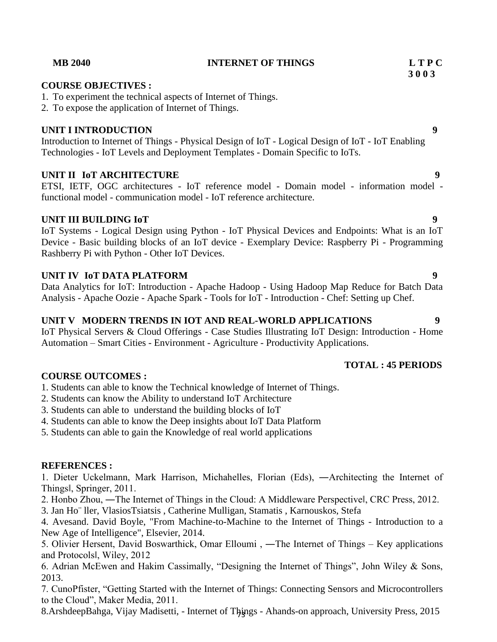**3 0 0 3**

### **TOTAL : 45 PERIODS**

1. Students can able to know the Technical knowledge of Internet of Things.

2. Students can know the Ability to understand IoT Architecture

3. Students can able to understand the building blocks of IoT

4. Students can able to know the Deep insights about IoT Data Platform

5. Students can able to gain the Knowledge of real world applications

### **REFERENCES :**

1. Dieter Uckelmann, Mark Harrison, Michahelles, Florian (Eds), ―Architecting the Internet of Things‖, Springer, 2011.

2. Honbo Zhou, ―The Internet of Things in the Cloud: A Middleware Perspective‖, CRC Press, 2012.

3. Jan Ho¨ ller, VlasiosTsiatsis , Catherine Mulligan, Stamatis , Karnouskos, Stefa

4. Avesand. David Boyle, "From Machine-to-Machine to the Internet of Things - Introduction to a New Age of Intelligence", Elsevier, 2014.

5. Olivier Hersent, David Boswarthick, Omar Elloumi, —The Internet of Things – Key applications and Protocols‖, Wiley, 2012

6. Adrian McEwen and Hakim Cassimally, "Designing the Internet of Things", John Wiley & Sons, 2013.

7. CunoPfister, "Getting Started with the Internet of Things: Connecting Sensors and Microcontrollers to the Cloud", Maker Media, 2011.

8.ArshdeepBahga, Vijay Madisetti, - Internet of Things - Ahands-on approach, University Press, 2015

# **COURSE OBJECTIVES :**

1. To experiment the technical aspects of Internet of Things.

2. To expose the application of Internet of Things.

### **UNIT I INTRODUCTION 9**

Introduction to Internet of Things - Physical Design of IoT - Logical Design of IoT - IoT Enabling Technologies - IoT Levels and Deployment Templates - Domain Specific to IoTs.

### **UNIT II IoT ARCHITECTURE 9**

ETSI, IETF, OGC architectures - IoT reference model - Domain model - information model functional model - communication model - IoT reference architecture.

### **UNIT III BUILDING IoT 9**

IoT Systems - Logical Design using Python - IoT Physical Devices and Endpoints: What is an IoT Device - Basic building blocks of an IoT device - Exemplary Device: Raspberry Pi - Programming Rashberry Pi with Python - Other IoT Devices.

### **UNIT IV IoT DATA PLATFORM 9**

Data Analytics for IoT: Introduction - Apache Hadoop - Using Hadoop Map Reduce for Batch Data Analysis - Apache Oozie - Apache Spark - Tools for IoT - Introduction - Chef: Setting up Chef.

## **UNIT V MODERN TRENDS IN IOT AND REAL-WORLD APPLICATIONS 9**

IoT Physical Servers & Cloud Offerings - Case Studies Illustrating IoT Design: Introduction - Home Automation – Smart Cities - Environment - Agriculture - Productivity Applications.

# **COURSE OUTCOMES :**



#### **MB 2040 INTERNET OF THINGS L T P C**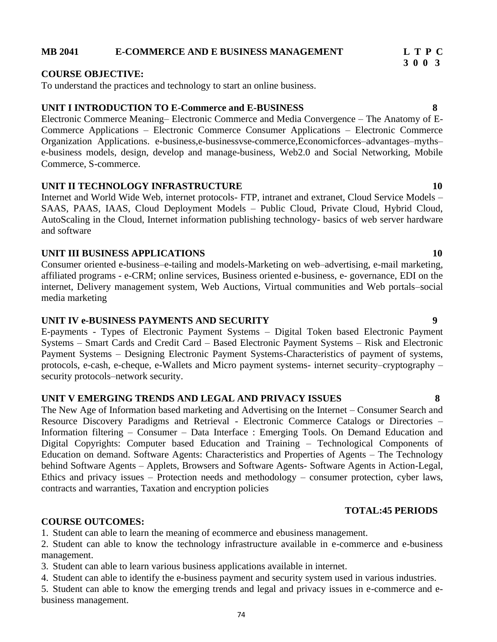#### **MB 2041 E-COMMERCE AND E BUSINESS MANAGEMENT L T P C**

#### **COURSE OBJECTIVE:**

To understand the practices and technology to start an online business.

#### **UNIT I INTRODUCTION TO E-Commerce and E-BUSINESS 8**

Electronic Commerce Meaning– Electronic Commerce and Media Convergence – The Anatomy of E-Commerce Applications – Electronic Commerce Consumer Applications – Electronic Commerce Organization Applications. e-business,e-businessvse-commerce,Economicforces–advantages–myths– e-business models, design, develop and manage-business, Web2.0 and Social Networking, Mobile Commerce, S-commerce.

#### **UNIT II TECHNOLOGY INFRASTRUCTURE 10**

Internet and World Wide Web, internet protocols- FTP, intranet and extranet, Cloud Service Models – SAAS, PAAS, IAAS, Cloud Deployment Models – Public Cloud, Private Cloud, Hybrid Cloud, AutoScaling in the Cloud, Internet information publishing technology- basics of web server hardware and software

#### **UNIT III BUSINESS APPLICATIONS 10**

Consumer oriented e-business–e-tailing and models-Marketing on web–advertising, e-mail marketing, affiliated programs - e-CRM; online services, Business oriented e-business, e- governance, EDI on the internet, Delivery management system, Web Auctions, Virtual communities and Web portals–social media marketing

#### **UNIT IV e-BUSINESS PAYMENTS AND SECURITY 9**

E-payments - Types of Electronic Payment Systems – Digital Token based Electronic Payment Systems – Smart Cards and Credit Card – Based Electronic Payment Systems – Risk and Electronic Payment Systems – Designing Electronic Payment Systems-Characteristics of payment of systems, protocols, e-cash, e-cheque, e-Wallets and Micro payment systems- internet security–cryptography – security protocols–network security.

#### **UNIT V EMERGING TRENDS AND LEGAL AND PRIVACY ISSUES 8**

The New Age of Information based marketing and Advertising on the Internet – Consumer Search and Resource Discovery Paradigms and Retrieval - Electronic Commerce Catalogs or Directories – Information filtering – Consumer – Data Interface : Emerging Tools. On Demand Education and Digital Copyrights: Computer based Education and Training – Technological Components of Education on demand. Software Agents: Characteristics and Properties of Agents – The Technology behind Software Agents – Applets, Browsers and Software Agents- Software Agents in Action-Legal, Ethics and privacy issues – Protection needs and methodology – consumer protection, cyber laws, contracts and warranties, Taxation and encryption policies

#### **TOTAL:45 PERIODS**

### **COURSE OUTCOMES:**

1. Student can able to learn the meaning of ecommerce and ebusiness management.

2. Student can able to know the technology infrastructure available in e-commerce and e-business management.

3. Student can able to learn various business applications available in internet.

4. Student can able to identify the e-business payment and security system used in various industries.

5. Student can able to know the emerging trends and legal and privacy issues in e-commerce and ebusiness management.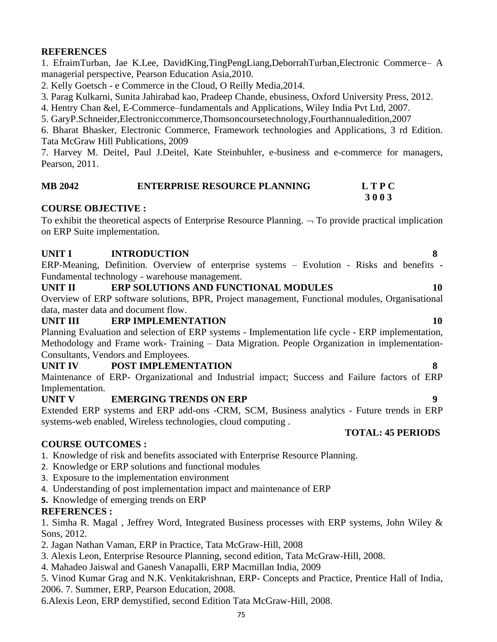#### **REFERENCES**

1. EfraimTurban, Jae K.Lee, DavidKing,TingPengLiang,DeborrahTurban,Electronic Commerce– A managerial perspective, Pearson Education Asia,2010.

2. Kelly Goetsch - e Commerce in the Cloud, O Reilly Media,2014.

3. Parag Kulkarni, Sunita Jahirabad kao, Pradeep Chande, ebusiness, Oxford University Press, 2012.

4. Hentry Chan &el, E-Commerce–fundamentals and Applications, Wiley India Pvt Ltd, 2007.

5. GaryP.Schneider,Electroniccommerce,Thomsoncoursetechnology,Fourthannualedition,2007

6. Bharat Bhasker, Electronic Commerce, Framework technologies and Applications, 3 rd Edition. Tata McGraw Hill Publications, 2009

7. Harvey M. Deitel, Paul J.Deitel, Kate Steinbuhler, e-business and e-commerce for managers, Pearson, 2011.

| <b>MB 2042</b> | <b>ENTERPRISE RESOURCE PLANNING</b> | <b>LTPC</b> |
|----------------|-------------------------------------|-------------|
|                |                                     | 3003        |

### **COURSE OBJECTIVE :**

To exhibit the theoretical aspects of Enterprise Resource Planning.  $\neg$  To provide practical implication on ERP Suite implementation.

### UNIT I INTRODUCTION 8

ERP-Meaning, Definition. Overview of enterprise systems – Evolution - Risks and benefits - Fundamental technology - warehouse management.

#### UNIT II ERP SOLUTIONS AND FUNCTIONAL MODULES 10

Overview of ERP software solutions, BPR, Project management, Functional modules, Organisational data, master data and document flow.

### **UNIT III ERP IMPLEMENTATION** 10

Planning Evaluation and selection of ERP systems - Implementation life cycle - ERP implementation, Methodology and Frame work- Training – Data Migration. People Organization in implementation-Consultants, Vendors and Employees.

### **UNIT IV POST IMPLEMENTATION 8**

Maintenance of ERP- Organizational and Industrial impact; Success and Failure factors of ERP Implementation.

### **UNIT V EMERGING TRENDS ON ERP 9**

Extended ERP systems and ERP add-ons -CRM, SCM, Business analytics - Future trends in ERP systems-web enabled, Wireless technologies, cloud computing .

#### **COURSE OUTCOMES :**

- 1. Knowledge of risk and benefits associated with Enterprise Resource Planning.
- 2. Knowledge or ERP solutions and functional modules
- 3. Exposure to the implementation environment
- 4. Understanding of post implementation impact and maintenance of ERP
- **5.** Knowledge of emerging trends on ERP

### **REFERENCES :**

1. Simha R. Magal , Jeffrey Word, Integrated Business processes with ERP systems, John Wiley & Sons, 2012.

- 2. Jagan Nathan Vaman, ERP in Practice, Tata McGraw-Hill, 2008
- 3. Alexis Leon, Enterprise Resource Planning, second edition, Tata McGraw-Hill, 2008.
- 4. Mahadeo Jaiswal and Ganesh Vanapalli, ERP Macmillan India, 2009
- 5. Vinod Kumar Grag and N.K. Venkitakrishnan, ERP- Concepts and Practice, Prentice Hall of India, 2006. 7. Summer, ERP, Pearson Education, 2008.

6.Alexis Leon, ERP demystified, second Edition Tata McGraw-Hill, 2008.

**TOTAL: 45 PERIODS**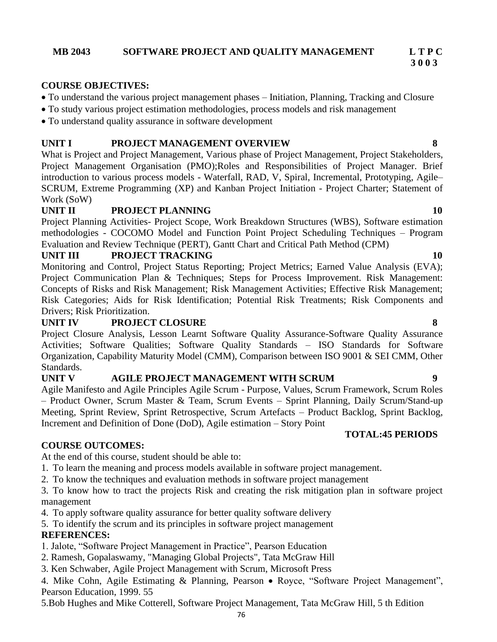## **3 0 0 3**

#### **COURSE OBJECTIVES:**

- To understand the various project management phases Initiation, Planning, Tracking and Closure
- To study various project estimation methodologies, process models and risk management
- To understand quality assurance in software development

#### **UNIT I PROJECT MANAGEMENT OVERVIEW 8**

What is Project and Project Management, Various phase of Project Management, Project Stakeholders, Project Management Organisation (PMO);Roles and Responsibilities of Project Manager. Brief introduction to various process models - Waterfall, RAD, V, Spiral, Incremental, Prototyping, Agile– SCRUM, Extreme Programming (XP) and Kanban Project Initiation - Project Charter; Statement of Work (SoW)

#### **UNIT II PROJECT PLANNING 10**

Project Planning Activities- Project Scope, Work Breakdown Structures (WBS), Software estimation methodologies - COCOMO Model and Function Point Project Scheduling Techniques – Program Evaluation and Review Technique (PERT), Gantt Chart and Critical Path Method (CPM)

#### **UNIT III PROJECT TRACKING 10**

Monitoring and Control, Project Status Reporting; Project Metrics; Earned Value Analysis (EVA); Project Communication Plan & Techniques; Steps for Process Improvement. Risk Management: Concepts of Risks and Risk Management; Risk Management Activities; Effective Risk Management; Risk Categories; Aids for Risk Identification; Potential Risk Treatments; Risk Components and Drivers; Risk Prioritization.

#### **UNIT IV PROJECT CLOSURE 8**

Project Closure Analysis, Lesson Learnt Software Quality Assurance-Software Quality Assurance Activities; Software Qualities; Software Quality Standards – ISO Standards for Software Organization, Capability Maturity Model (CMM), Comparison between ISO 9001 & SEI CMM, Other Standards.

### **UNIT V AGILE PROJECT MANAGEMENT WITH SCRUM 9**

Agile Manifesto and Agile Principles Agile Scrum - Purpose, Values, Scrum Framework, Scrum Roles – Product Owner, Scrum Master & Team, Scrum Events – Sprint Planning, Daily Scrum/Stand-up Meeting, Sprint Review, Sprint Retrospective, Scrum Artefacts – Product Backlog, Sprint Backlog, Increment and Definition of Done (DoD), Agile estimation – Story Point

#### **TOTAL:45 PERIODS**

#### **COURSE OUTCOMES:**

At the end of this course, student should be able to:

- 1. To learn the meaning and process models available in software project management.
- 2. To know the techniques and evaluation methods in software project management

3. To know how to tract the projects Risk and creating the risk mitigation plan in software project management

- 4. To apply software quality assurance for better quality software delivery
- 5. To identify the scrum and its principles in software project management

#### **REFERENCES:**

1. Jalote, "Software Project Management in Practice", Pearson Education

- 2. Ramesh, Gopalaswamy, "Managing Global Projects", Tata McGraw Hill
- 3. Ken Schwaber, Agile Project Management with Scrum, Microsoft Press

4. Mike Cohn, Agile Estimating & Planning, Pearson • Royce, "Software Project Management", Pearson Education, 1999. 55

5.Bob Hughes and Mike Cotterell, Software Project Management, Tata McGraw Hill, 5 th Edition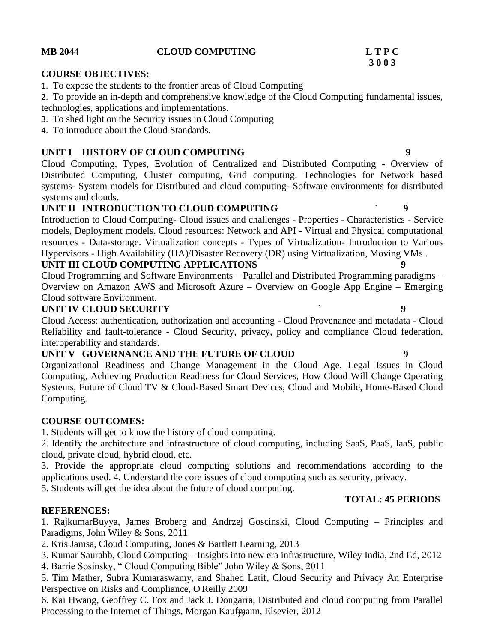### **MB 2044 CLOUD COMPUTING L T P C**

#### **COURSE OBJECTIVES:**

1. To expose the students to the frontier areas of Cloud Computing

2. To provide an in-depth and comprehensive knowledge of the Cloud Computing fundamental issues, technologies, applications and implementations.

- 3. To shed light on the Security issues in Cloud Computing
- 4. To introduce about the Cloud Standards.

### **UNIT I HISTORY OF CLOUD COMPUTING 9**

Cloud Computing, Types, Evolution of Centralized and Distributed Computing - Overview of Distributed Computing, Cluster computing, Grid computing. Technologies for Network based systems- System models for Distributed and cloud computing- Software environments for distributed systems and clouds.

#### **UNIT II INTRODUCTION TO CLOUD COMPUTING ` 9**

Introduction to Cloud Computing- Cloud issues and challenges - Properties - Characteristics - Service models, Deployment models. Cloud resources: Network and API - Virtual and Physical computational resources - Data-storage. Virtualization concepts - Types of Virtualization- Introduction to Various Hypervisors - High Availability (HA)/Disaster Recovery (DR) using Virtualization, Moving VMs .

### **UNIT III CLOUD COMPUTING APPLICATIONS**

Cloud Programming and Software Environments – Parallel and Distributed Programming paradigms – Overview on Amazon AWS and Microsoft Azure – Overview on Google App Engine – Emerging Cloud software Environment.

#### **UNIT IV CLOUD SECURITY ` 9**

Cloud Access: authentication, authorization and accounting - Cloud Provenance and metadata - Cloud Reliability and fault-tolerance - Cloud Security, privacy, policy and compliance Cloud federation, interoperability and standards.

### **UNIT V GOVERNANCE AND THE FUTURE OF CLOUD 9**

Organizational Readiness and Change Management in the Cloud Age, Legal Issues in Cloud Computing, Achieving Production Readiness for Cloud Services, How Cloud Will Change Operating Systems, Future of Cloud TV & Cloud-Based Smart Devices, Cloud and Mobile, Home-Based Cloud Computing.

### **COURSE OUTCOMES:**

1. Students will get to know the history of cloud computing.

2. Identify the architecture and infrastructure of cloud computing, including SaaS, PaaS, IaaS, public cloud, private cloud, hybrid cloud, etc.

3. Provide the appropriate cloud computing solutions and recommendations according to the applications used. 4. Understand the core issues of cloud computing such as security, privacy.

5. Students will get the idea about the future of cloud computing.

### **TOTAL: 45 PERIODS**

### **REFERENCES:**

1. RajkumarBuyya, James Broberg and Andrzej Goscinski, Cloud Computing – Principles and Paradigms, John Wiley & Sons, 2011

2. Kris Jamsa, Cloud Computing, Jones & Bartlett Learning, 2013

- 3. Kumar Saurahb, Cloud Computing Insights into new era infrastructure, Wiley India, 2nd Ed, 2012
- 4. Barrie Sosinsky, " Cloud Computing Bible" John Wiley & Sons, 2011

5. Tim Mather, Subra Kumaraswamy, and Shahed Latif, Cloud Security and Privacy An Enterprise Perspective on Risks and Compliance, O'Reilly 2009

Processing to the Internet of Things, Morgan Kaufmann, Elsevier, 2012 6. Kai Hwang, Geoffrey C. Fox and Jack J. Dongarra, Distributed and cloud computing from Parallel

# **3 0 0 3**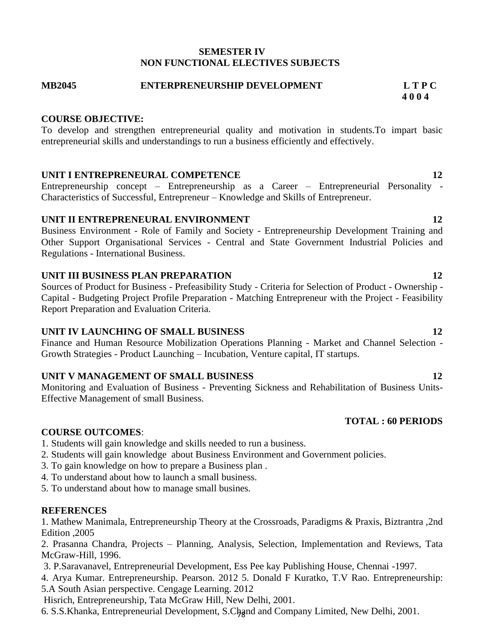#### **SEMESTER IV NON FUNCTIONAL ELECTIVES SUBJECTS**

**MB2045 ENTERPRENEURSHIP DEVELOPMENT L T P C 4 0 0 4**

#### **COURSE OBJECTIVE:**

To develop and strengthen entrepreneurial quality and motivation in students.To impart basic entrepreneurial skills and understandings to run a business efficiently and effectively.

### **UNIT I ENTREPRENEURAL COMPETENCE** 12

Entrepreneurship concept – Entrepreneurship as a Career – Entrepreneurial Personality - Characteristics of Successful, Entrepreneur – Knowledge and Skills of Entrepreneur.

#### **UNIT II ENTREPRENEURAL ENVIRONMENT** 12

Business Environment - Role of Family and Society - Entrepreneurship Development Training and Other Support Organisational Services - Central and State Government Industrial Policies and Regulations - International Business.

#### **UNIT III BUSINESS PLAN PREPARATION 12**

Sources of Product for Business - Prefeasibility Study - Criteria for Selection of Product - Ownership - Capital - Budgeting Project Profile Preparation - Matching Entrepreneur with the Project - Feasibility Report Preparation and Evaluation Criteria.

### **UNIT IV LAUNCHING OF SMALL BUSINESS 12**

Finance and Human Resource Mobilization Operations Planning - Market and Channel Selection - Growth Strategies - Product Launching – Incubation, Venture capital, IT startups.

### **UNIT V MANAGEMENT OF SMALL BUSINESS 12**

Monitoring and Evaluation of Business - Preventing Sickness and Rehabilitation of Business Units-Effective Management of small Business.

### **TOTAL : 60 PERIODS**

### **COURSE OUTCOMES**:

- 1. Students will gain knowledge and skills needed to run a business.
- 2. Students will gain knowledge about Business Environment and Government policies.
- 3. To gain knowledge on how to prepare a Business plan .
- 4. To understand about how to launch a small business.
- 5. To understand about how to manage small busines.

#### **REFERENCES**

1. Mathew Manimala, Entrepreneurship Theory at the Crossroads, Paradigms & Praxis, Biztrantra ,2nd Edition ,2005

2. Prasanna Chandra, Projects – Planning, Analysis, Selection, Implementation and Reviews, Tata McGraw-Hill, 1996.

- 3. P.Saravanavel, Entrepreneurial Development, Ess Pee kay Publishing House, Chennai -1997.
- 4. Arya Kumar. Entrepreneurship. Pearson. 2012 5. Donald F Kuratko, T.V Rao. Entrepreneurship:

5.A South Asian perspective. Cengage Learning. 2012

Hisrich, Entrepreneurship, Tata McGraw Hill, New Delhi, 2001.

6. S.S.Khanka, Entrepreneurial Development, S.Chand and Company Limited, New Delhi, 2001.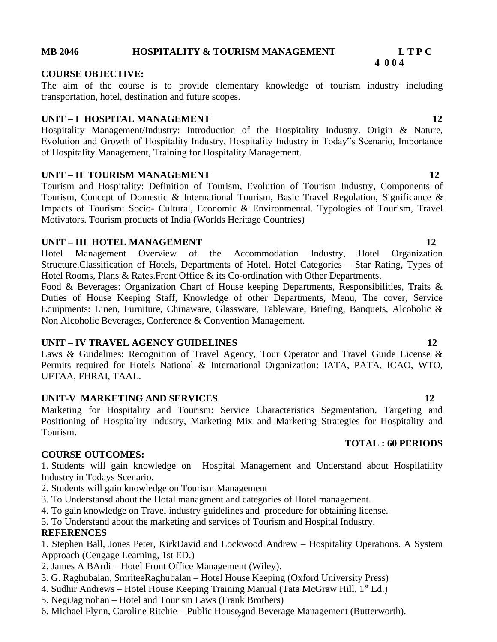#### **MB 2046 HOSPITALITY & TOURISM MANAGEMENT L T P C**

#### **COURSE OBJECTIVE:**

The aim of the course is to provide elementary knowledge of tourism industry including transportation, hotel, destination and future scopes.

 **4 0 0 4**

#### **UNIT – I HOSPITAL MANAGEMENT** 12

Hospitality Management/Industry: Introduction of the Hospitality Industry. Origin & Nature, Evolution and Growth of Hospitality Industry, Hospitality Industry in Today"s Scenario, Importance of Hospitality Management, Training for Hospitality Management.

#### **UNIT – II TOURISM MANAGEMENT** 12

Tourism and Hospitality: Definition of Tourism, Evolution of Tourism Industry, Components of Tourism, Concept of Domestic & International Tourism, Basic Travel Regulation, Significance & Impacts of Tourism: Socio- Cultural, Economic & Environmental. Typologies of Tourism, Travel Motivators. Tourism products of India (Worlds Heritage Countries)

#### **UNIT – III HOTEL MANAGEMENT 12**

Hotel Management Overview of the Accommodation Industry, Hotel Organization Structure.Classification of Hotels, Departments of Hotel, Hotel Categories – Star Rating, Types of Hotel Rooms, Plans & Rates. Front Office & its Co-ordination with Other Departments.

Food & Beverages: Organization Chart of House keeping Departments, Responsibilities, Traits & Duties of House Keeping Staff, Knowledge of other Departments, Menu, The cover, Service Equipments: Linen, Furniture, Chinaware, Glassware, Tableware, Briefing, Banquets, Alcoholic & Non Alcoholic Beverages, Conference & Convention Management.

#### **UNIT – IV TRAVEL AGENCY GUIDELINES 12**

Laws & Guidelines: Recognition of Travel Agency, Tour Operator and Travel Guide License & Permits required for Hotels National & International Organization: IATA, PATA, ICAO, WTO, UFTAA, FHRAI, TAAL.

#### **UNIT-V MARKETING AND SERVICES** 12

Marketing for Hospitality and Tourism: Service Characteristics Segmentation, Targeting and Positioning of Hospitality Industry, Marketing Mix and Marketing Strategies for Hospitality and Tourism.

#### **COURSE OUTCOMES:**

1. Students will gain knowledge on Hospital Management and Understand about Hospilatility Industry in Todays Scenario.

- 2. Students will gain knowledge on Tourism Management
- 3. To Understansd about the Hotal managment and categories of Hotel management.
- 4. To gain knowledge on Travel industry guidelines and procedure for obtaining license.
- 5. To Understand about the marketing and services of Tourism and Hospital Industry.

### **REFERENCES**

1. Stephen Ball, Jones Peter, KirkDavid and Lockwood Andrew – Hospitality Operations. A System Approach (Cengage Learning, 1st ED.)

- 2. James A BArdi Hotel Front Office Management (Wiley).
- 3. G. Raghubalan, SmriteeRaghubalan Hotel House Keeping (Oxford University Press)
- 4. Sudhir Andrews Hotel House Keeping Training Manual (Tata McGraw Hill, 1<sup>st</sup> Ed.)
- 5. NegiJagmohan Hotel and Tourism Laws (Frank Brothers)
- 6. Michael Flynn, Caroline Ritchie Public House, and Beverage Management (Butterworth).

#### **TOTAL : 60 PERIODS**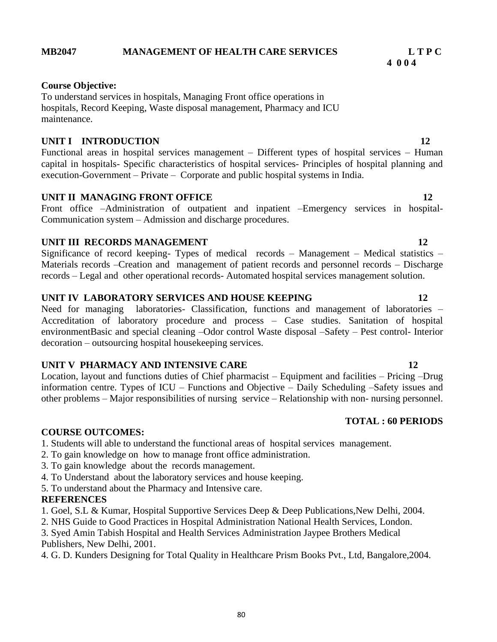### **MB2047 MANAGEMENT OF HEALTH CARE SERVICES L T P C**

#### **Course Objective:**

To understand services in hospitals, Managing Front office operations in hospitals, Record Keeping, Waste disposal management, Pharmacy and ICU maintenance.

### **UNIT I INTRODUCTION** 12

Functional areas in hospital services management – Different types of hospital services – Human capital in hospitals- Specific characteristics of hospital services- Principles of hospital planning and execution-Government – Private – Corporate and public hospital systems in India.

### **UNIT II MANAGING FRONT OFFICE 12** 12

Front office –Administration of outpatient and inpatient –Emergency services in hospital-Communication system – Admission and discharge procedures.

### **UNIT III RECORDS MANAGEMENT** 12

Significance of record keeping- Types of medical records – Management – Medical statistics – Materials records –Creation and management of patient records and personnel records – Discharge records – Legal and other operational records- Automated hospital services management solution.

#### **UNIT IV LABORATORY SERVICES AND HOUSE KEEPING 12**

Need for managing laboratories- Classification, functions and management of laboratories – Accreditation of laboratory procedure and process – Case studies. Sanitation of hospital environmentBasic and special cleaning –Odor control Waste disposal –Safety – Pest control- Interior decoration – outsourcing hospital housekeeping services.

### **UNIT V PHARMACY AND INTENSIVE CARE 12** 12

Location, layout and functions duties of Chief pharmacist – Equipment and facilities – Pricing –Drug information centre. Types of ICU – Functions and Objective – Daily Scheduling –Safety issues and other problems – Major responsibilities of nursing service – Relationship with non- nursing personnel.

#### **COURSE OUTCOMES:**

- 1. Students will able to understand the functional areas of hospital services management.
- 2. To gain knowledge on how to manage front office administration.
- 3. To gain knowledge about the records management.
- 4. To Understand about the laboratory services and house keeping.
- 5. To understand about the Pharmacy and Intensive care.

### **REFERENCES**

- 1. Goel, S.L & Kumar, Hospital Supportive Services Deep & Deep Publications,New Delhi, 2004.
- 2. NHS Guide to Good Practices in Hospital Administration National Health Services, London.
- 3. Syed Amin Tabish Hospital and Health Services Administration Jaypee Brothers Medical Publishers, New Delhi, 2001.
- 4. G. D. Kunders Designing for Total Quality in Healthcare Prism Books Pvt., Ltd, Bangalore,2004.

**TOTAL : 60 PERIODS**